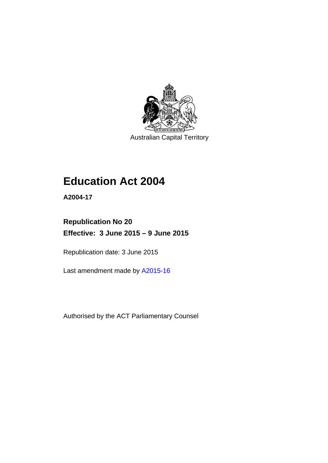

Australian Capital Territory

# **Education Act 2004**

**A2004-17** 

# **Republication No 20 Effective: 3 June 2015 – 9 June 2015**

Republication date: 3 June 2015

Last amendment made by [A2015-16](http://www.legislation.act.gov.au/a/2015-16)

Authorised by the ACT Parliamentary Counsel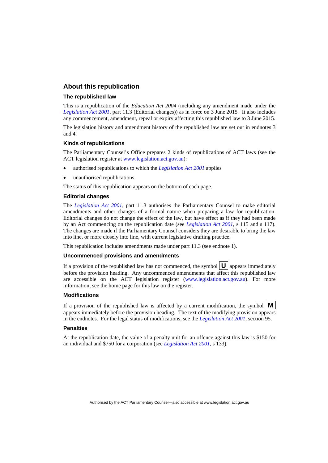### **About this republication**

#### **The republished law**

This is a republication of the *Education Act 2004* (including any amendment made under the *[Legislation Act 2001](http://www.legislation.act.gov.au/a/2001-14)*, part 11.3 (Editorial changes)) as in force on 3 June 2015*.* It also includes any commencement, amendment, repeal or expiry affecting this republished law to 3 June 2015.

The legislation history and amendment history of the republished law are set out in endnotes 3 and 4.

#### **Kinds of republications**

The Parliamentary Counsel's Office prepares 2 kinds of republications of ACT laws (see the ACT legislation register at [www.legislation.act.gov.au](http://www.legislation.act.gov.au/)):

- authorised republications to which the *[Legislation Act 2001](http://www.legislation.act.gov.au/a/2001-14)* applies
- unauthorised republications.

The status of this republication appears on the bottom of each page.

### **Editorial changes**

The *[Legislation Act 2001](http://www.legislation.act.gov.au/a/2001-14)*, part 11.3 authorises the Parliamentary Counsel to make editorial amendments and other changes of a formal nature when preparing a law for republication. Editorial changes do not change the effect of the law, but have effect as if they had been made by an Act commencing on the republication date (see *[Legislation Act 2001](http://www.legislation.act.gov.au/a/2001-14)*, s 115 and s 117). The changes are made if the Parliamentary Counsel considers they are desirable to bring the law into line, or more closely into line, with current legislative drafting practice.

This republication includes amendments made under part 11.3 (see endnote 1).

#### **Uncommenced provisions and amendments**

If a provision of the republished law has not commenced, the symbol  $\mathbf{U}$  appears immediately before the provision heading. Any uncommenced amendments that affect this republished law are accessible on the ACT legislation register [\(www.legislation.act.gov.au\)](http://www.legislation.act.gov.au/). For more information, see the home page for this law on the register.

#### **Modifications**

If a provision of the republished law is affected by a current modification, the symbol  $\mathbf{M}$ appears immediately before the provision heading. The text of the modifying provision appears in the endnotes. For the legal status of modifications, see the *[Legislation Act 2001](http://www.legislation.act.gov.au/a/2001-14)*, section 95.

#### **Penalties**

At the republication date, the value of a penalty unit for an offence against this law is \$150 for an individual and \$750 for a corporation (see *[Legislation Act 2001](http://www.legislation.act.gov.au/a/2001-14)*, s 133).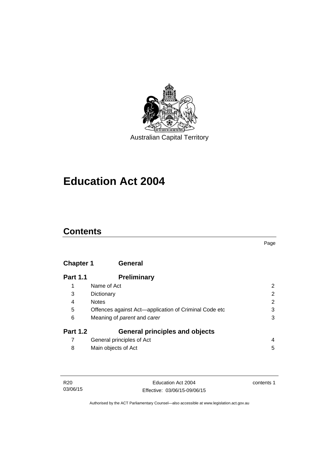

# **Education Act 2004**

# **Contents**

### Page

# **[Chapter 1](#page-13-0) General**

| <b>Part 1.1</b> | <b>Preliminary</b>                                    |                       |
|-----------------|-------------------------------------------------------|-----------------------|
|                 | Name of Act                                           | 2                     |
| 3               | Dictionary                                            | $\overline{2}$        |
| 4               | <b>Notes</b>                                          | $\mathbf{2}^{\prime}$ |
| 5               | Offences against Act-application of Criminal Code etc | 3                     |
| 6               | Meaning of <i>parent</i> and <i>carer</i>             | 3                     |
| <b>Part 1.2</b> | <b>General principles and objects</b>                 |                       |
|                 | General principles of Act                             | 4                     |
| 8               | Main objects of Act                                   | 5                     |

| R20      |  |
|----------|--|
| 03/06/15 |  |

contents 1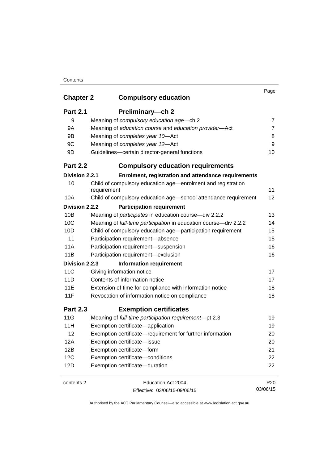| <b>Chapter 2</b> | <b>Compulsory education</b>                                                 | Page            |
|------------------|-----------------------------------------------------------------------------|-----------------|
| <b>Part 2.1</b>  | Preliminary-ch 2                                                            |                 |
| 9                | Meaning of compulsory education age-ch 2                                    | 7               |
| 9A               | Meaning of education course and education provider-Act                      | 7               |
| 9B               | Meaning of completes year 10-Act                                            | 8               |
| 9C               | Meaning of completes year 12-Act                                            | 9               |
| 9D               | Guidelines-certain director-general functions                               | 10              |
| <b>Part 2.2</b>  | <b>Compulsory education requirements</b>                                    |                 |
| Division 2.2.1   | Enrolment, registration and attendance requirements                         |                 |
| 10               | Child of compulsory education age-enrolment and registration<br>requirement | 11              |
| 10A              | Child of compulsory education age-school attendance requirement             | 12              |
| Division 2.2.2   | <b>Participation requirement</b>                                            |                 |
| 10B              | Meaning of participates in education course-div 2.2.2                       | 13              |
| 10C              | Meaning of full-time participation in education course-div 2.2.2            | 14              |
| 10D              | Child of compulsory education age-participation requirement                 | 15              |
| 11               | Participation requirement-absence                                           | 15              |
| 11A              | Participation requirement-suspension                                        | 16              |
| 11B              | Participation requirement-exclusion                                         | 16              |
| Division 2.2.3   | <b>Information requirement</b>                                              |                 |
| 11C              | Giving information notice                                                   | 17              |
| 11D              | Contents of information notice                                              | 17              |
| <b>11E</b>       | Extension of time for compliance with information notice                    | 18              |
| 11F              | Revocation of information notice on compliance                              | 18              |
| <b>Part 2.3</b>  | <b>Exemption certificates</b>                                               |                 |
| 11G              | Meaning of full-time participation requirement-pt 2.3                       | 19              |
| 11H              | Exemption certificate-application                                           | 19              |
| 12               | Exemption certificate—requirement for further information                   | 20              |
| 12A              | Exemption certificate-issue                                                 | 20              |
| 12B              | Exemption certificate-form                                                  | 21              |
| 12C              | Exemption certificate-conditions                                            | 22              |
| 12D              | Exemption certificate-duration                                              | 22              |
| contents 2       | Education Act 2004                                                          | R <sub>20</sub> |
|                  | Effective: 03/06/15-09/06/15                                                | 03/06/15        |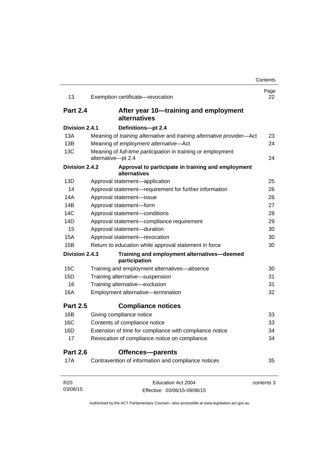| 13              | Exemption certificate-revocation                                                   | Page<br>22 |
|-----------------|------------------------------------------------------------------------------------|------------|
| <b>Part 2.4</b> | After year 10—training and employment<br>alternatives                              |            |
| Division 2.4.1  | Definitions-pt 2.4                                                                 |            |
| 13A             | Meaning of training alternative and training alternative provider-Act              | 23         |
| 13B             | Meaning of employment alternative-Act                                              | 24         |
| 13C             | Meaning of full-time participation in training or employment<br>alternative-pt 2.4 | 24         |
| Division 2.4.2  | Approval to participate in training and employment<br>alternatives                 |            |
| 13D             | Approval statement-application                                                     | 25         |
| 14              | Approval statement-requirement for further information                             | 26         |
| 14A             | Approval statement-issue                                                           | 26         |
| 14B             | Approval statement-form                                                            | 27         |
| 14C             | Approval statement-conditions                                                      | 28         |
| 14D             | Approval statement-compliance requirement                                          | 29         |
| 15              | Approval statement-duration                                                        | 30         |
| 15A             | Approval statement-revocation                                                      | 30         |
| 15B             | Return to education while approval statement in force                              | 30         |
| Division 2.4.3  | Training and employment alternatives-deemed<br>participation                       |            |
| 15C             | Training and employment alternatives-absence                                       | 30         |
| 15D             | Training alternative-suspension                                                    | 31         |
| 16              | Training alternative-exclusion                                                     | 31         |
| 16A             | Employment alternative-termination                                                 | 32         |
| <b>Part 2.5</b> | <b>Compliance notices</b>                                                          |            |
| 16B             | Giving compliance notice                                                           | 33         |
| 16C             | Contents of compliance notice                                                      | 33         |
| 16D             | Extension of time for compliance with compliance notice                            | 34         |
| 17              | Revocation of compliance notice on compliance                                      | 34         |
| <b>Part 2.6</b> | Offences-parents                                                                   |            |
| 17A             | Contravention of information and compliance notices                                | 35         |
| R <sub>20</sub> | Education Act 2004                                                                 | contents 3 |
| 03/06/15        | Effective: 03/06/15-09/06/15                                                       |            |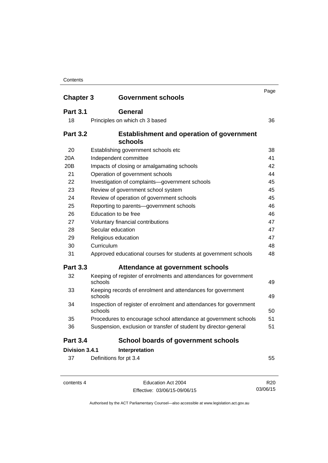| <b>Chapter 3</b> | <b>Government schools</b>                                                     | Page |
|------------------|-------------------------------------------------------------------------------|------|
| <b>Part 3.1</b>  | <b>General</b>                                                                |      |
| 18               | Principles on which ch 3 based                                                | 36   |
| <b>Part 3.2</b>  | <b>Establishment and operation of government</b><br>schools                   |      |
| 20               | Establishing government schools etc                                           | 38   |
| 20A              | Independent committee                                                         | 41   |
| 20B              | Impacts of closing or amalgamating schools                                    | 42   |
| 21               | Operation of government schools                                               | 44   |
| 22               | Investigation of complaints-government schools                                | 45   |
| 23               | Review of government school system                                            | 45   |
| 24               | Review of operation of government schools                                     | 45   |
| 25               | Reporting to parents-government schools                                       | 46   |
| 26               | Education to be free                                                          | 46   |
| 27               | Voluntary financial contributions                                             | 47   |
| 28               | Secular education                                                             | 47   |
| 29               | Religious education                                                           | 47   |
| 30               | Curriculum                                                                    | 48   |
| 31               | Approved educational courses for students at government schools               | 48   |
| <b>Part 3.3</b>  | Attendance at government schools                                              |      |
| 32               | Keeping of register of enrolments and attendances for government<br>schools   | 49   |
| 33               | Keeping records of enrolment and attendances for government<br>schools        | 49   |
| 34               | Inspection of register of enrolment and attendances for government<br>schools | 50   |
| 35               | Procedures to encourage school attendance at government schools               | 51   |
| 36               | Suspension, exclusion or transfer of student by director-general              | 51   |
| <b>Part 3.4</b>  | <b>School boards of government schools</b>                                    |      |
| Division 3.4.1   | Interpretation                                                                |      |
| 37               | Definitions for pt 3.4                                                        | 55   |

contents 4 Education Act 2004 Effective: 03/06/15-09/06/15

R20 03/06/15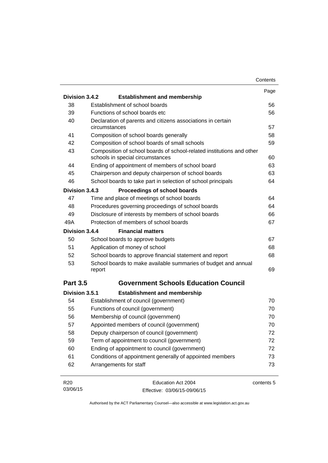|                 |                                                                                                           | Contents   |
|-----------------|-----------------------------------------------------------------------------------------------------------|------------|
|                 |                                                                                                           | Page       |
| Division 3.4.2  | <b>Establishment and membership</b>                                                                       |            |
| 38              | Establishment of school boards                                                                            | 56         |
| 39              | Functions of school boards etc.                                                                           | 56         |
| 40              | Declaration of parents and citizens associations in certain<br>circumstances                              | 57         |
| 41              | Composition of school boards generally                                                                    | 58         |
| 42              | Composition of school boards of small schools                                                             | 59         |
| 43              | Composition of school boards of school-related institutions and other<br>schools in special circumstances | 60         |
| 44              | Ending of appointment of members of school board                                                          | 63         |
| 45              | Chairperson and deputy chairperson of school boards                                                       | 63         |
| 46              | School boards to take part in selection of school principals                                              | 64         |
| Division 3.4.3  | Proceedings of school boards                                                                              |            |
| 47              | Time and place of meetings of school boards                                                               | 64         |
| 48              | Procedures governing proceedings of school boards                                                         | 64         |
| 49              | Disclosure of interests by members of school boards                                                       | 66         |
| 49A             | Protection of members of school boards                                                                    | 67         |
| Division 3.4.4  | <b>Financial matters</b>                                                                                  |            |
| 50              | School boards to approve budgets                                                                          | 67         |
| 51              | Application of money of school                                                                            | 68         |
| 52              | School boards to approve financial statement and report                                                   | 68         |
| 53              | School boards to make available summaries of budget and annual<br>report                                  | 69         |
| <b>Part 3.5</b> | <b>Government Schools Education Council</b>                                                               |            |
| Division 3.5.1  | <b>Establishment and membership</b>                                                                       |            |
| 54              | Establishment of council (government)                                                                     | 70         |
| 55              | Functions of council (government)                                                                         | 70         |
| 56              | Membership of council (government)                                                                        | 70         |
| 57              | Appointed members of council (government)                                                                 | 70         |
| 58              | Deputy chairperson of council (government)                                                                | 72         |
| 59              | Term of appointment to council (government)                                                               | 72         |
| 60              | Ending of appointment to council (government)                                                             | 72         |
| 61              | Conditions of appointment generally of appointed members                                                  | 73         |
| 62              | Arrangements for staff                                                                                    | 73         |
| R <sub>20</sub> | Education Act 2004                                                                                        | contents 5 |
| 03/06/15        | Effective: 03/06/15-09/06/15                                                                              |            |

Authorised by the ACT Parliamentary Counsel—also accessible at www.legislation.act.gov.au

Effective: 03/06/15-09/06/15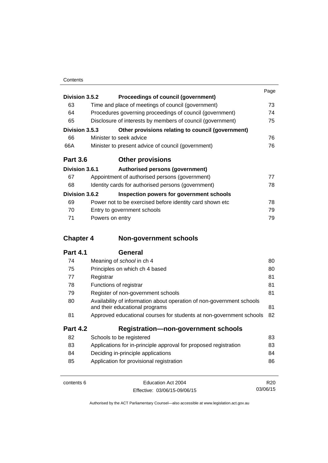|                 |                 |                                                            | Page |
|-----------------|-----------------|------------------------------------------------------------|------|
| Division 3.5.2  |                 | Proceedings of council (government)                        |      |
| 63              |                 | Time and place of meetings of council (government)         | 73   |
| 64              |                 | Procedures governing proceedings of council (government)   | 74   |
| 65              |                 | Disclosure of interests by members of council (government) | 75   |
| Division 3.5.3  |                 | Other provisions relating to council (government)          |      |
| 66              |                 | Minister to seek advice                                    | 76   |
| 66A             |                 | Minister to present advice of council (government)         | 76   |
| <b>Part 3.6</b> |                 | <b>Other provisions</b>                                    |      |
| Division 3.6.1  |                 | Authorised persons (government)                            |      |
| 67              |                 | Appointment of authorised persons (government)             | 77   |
| 68              |                 | Identity cards for authorised persons (government)         | 78   |
| Division 3.6.2  |                 | Inspection powers for government schools                   |      |
| 69              |                 | Power not to be exercised before identity card shown etc.  | 78   |
| 70              |                 | Entry to government schools                                | 79   |
| 71              | Powers on entry |                                                            | 79   |

## **Chapter 4 [Non-government schools](#page-91-0)**

| 74              | Meaning of school in ch 4                                                                               | 80 |
|-----------------|---------------------------------------------------------------------------------------------------------|----|
| 75              | Principles on which ch 4 based                                                                          | 80 |
| 77              | Registrar                                                                                               | 81 |
| 78              | Functions of registrar                                                                                  | 81 |
| 79              | Register of non-government schools                                                                      | 81 |
| 80              | Availability of information about operation of non-government schools<br>and their educational programs | 81 |
| 81              | Approved educational courses for students at non-government schools                                     | 82 |
| <b>Part 4.2</b> | <b>Registration-non-government schools</b>                                                              |    |
| 82              | Schools to be registered                                                                                | 83 |
| 83              | Applications for in-principle approval for proposed registration                                        | 83 |
| 84              | Deciding in-principle applications                                                                      | 84 |
| 85              | Application for provisional registration                                                                | 86 |
|                 |                                                                                                         |    |

| contents 6 | Education Act 2004           | R <sub>20</sub> |
|------------|------------------------------|-----------------|
|            | Effective: 03/06/15-09/06/15 | 03/06/15        |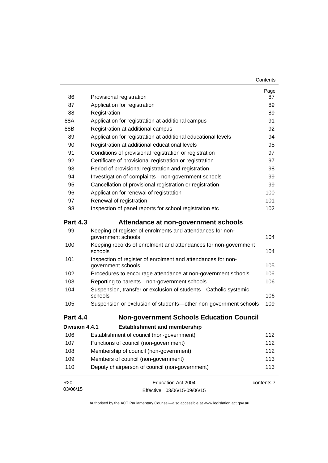| 86              | Provisional registration                                                           | Page<br>87 |
|-----------------|------------------------------------------------------------------------------------|------------|
| 87              | Application for registration                                                       | 89         |
| 88              | Registration                                                                       | 89         |
| 88A             | Application for registration at additional campus                                  |            |
| 88B             | Registration at additional campus                                                  | 91<br>92   |
| 89              | Application for registration at additional educational levels                      | 94         |
| 90              | Registration at additional educational levels                                      | 95         |
| 91              | Conditions of provisional registration or registration                             | 97         |
| 92              | Certificate of provisional registration or registration                            | 97         |
| 93              | Period of provisional registration and registration                                | 98         |
| 94              | Investigation of complaints-non-government schools                                 | 99         |
| 95              | Cancellation of provisional registration or registration                           | 99         |
| 96              | Application for renewal of registration                                            | 100        |
| 97              | Renewal of registration                                                            | 101        |
| 98              | Inspection of panel reports for school registration etc                            | 102        |
| <b>Part 4.3</b> | Attendance at non-government schools                                               |            |
| 99              | Keeping of register of enrolments and attendances for non-<br>government schools   | 104        |
| 100             | Keeping records of enrolment and attendances for non-government<br>schools         | 104        |
| 101             | Inspection of register of enrolment and attendances for non-<br>government schools | 105        |
| 102             | Procedures to encourage attendance at non-government schools                       | 106        |
| 103             | Reporting to parents-non-government schools                                        | 106        |
| 104             | Suspension, transfer or exclusion of students-Catholic systemic<br>schools         | 106        |
| 105             | Suspension or exclusion of students-other non-government schools                   | 109        |
| <b>Part 4.4</b> | <b>Non-government Schools Education Council</b>                                    |            |
| Division 4.4.1  | <b>Establishment and membership</b>                                                |            |
| 106             | Establishment of council (non-government)                                          | 112        |
| 107             | Functions of council (non-government)                                              | 112        |
| 108             | Membership of council (non-government)                                             | 112        |
| 109             | Members of council (non-government)                                                | 113        |
| 110             | Deputy chairperson of council (non-government)                                     | 113        |
| R <sub>20</sub> | Education Act 2004                                                                 | contents 7 |
| 03/06/15        | Effective: 03/06/15-09/06/15                                                       |            |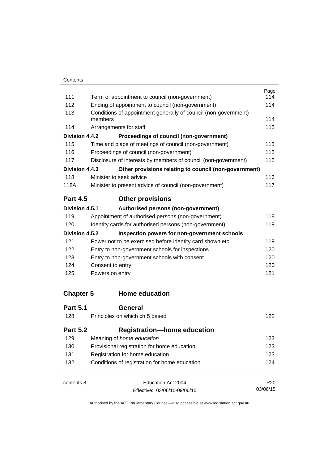|                  |                                                                            | Page            |
|------------------|----------------------------------------------------------------------------|-----------------|
| 111              | Term of appointment to council (non-government)                            | 114<br>114      |
| 112              | Ending of appointment to council (non-government)                          |                 |
| 113              | Conditions of appointment generally of council (non-government)<br>members |                 |
| 114              | Arrangements for staff                                                     | 115             |
| Division 4.4.2   | Proceedings of council (non-government)                                    |                 |
| 115              | Time and place of meetings of council (non-government)                     | 115             |
| 116              | Proceedings of council (non-government)                                    | 115             |
| 117              | Disclosure of interests by members of council (non-government)             | 115             |
| Division 4.4.3   | Other provisions relating to council (non-government)                      |                 |
| 118              | Minister to seek advice                                                    | 116             |
| 118A             | Minister to present advice of council (non-government)                     | 117             |
| <b>Part 4.5</b>  | <b>Other provisions</b>                                                    |                 |
| Division 4.5.1   | Authorised persons (non-government)                                        |                 |
| 119              | Appointment of authorised persons (non-government)                         | 118             |
| 120              | Identity cards for authorised persons (non-government)                     | 119             |
| Division 4.5.2   | Inspection powers for non-government schools                               |                 |
| 121              | Power not to be exercised before identity card shown etc                   | 119             |
| 122              | Entry to non-government schools for inspections                            |                 |
| 123              | Entry to non-government schools with consent                               |                 |
| 124              | Consent to entry                                                           | 120             |
| 125              | Powers on entry                                                            | 121             |
| <b>Chapter 5</b> | <b>Home education</b>                                                      |                 |
| <b>Part 5.1</b>  | General                                                                    |                 |
| 128              | Principles on which ch 5 based                                             | 122             |
| <b>Part 5.2</b>  | <b>Registration-home education</b>                                         |                 |
| 129              | Meaning of home education                                                  | 123             |
| 130              | Provisional registration for home education                                |                 |
| 131              | Registration for home education                                            |                 |
| 132              | Conditions of registration for home education                              | 124             |
| contents 8       | Education Act 2004                                                         | R <sub>20</sub> |

Effective: 03/06/15-09/06/15

03/06/15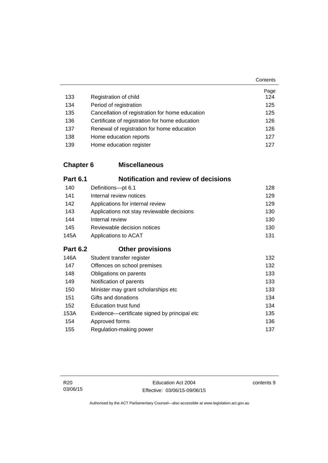|     |                                                 | Page |
|-----|-------------------------------------------------|------|
| 133 | Registration of child                           | 124  |
| 134 | Period of registration                          | 125  |
| 135 | Cancellation of registration for home education | 125  |
| 136 | Certificate of registration for home education  | 126  |
| 137 | Renewal of registration for home education      | 126  |
| 138 | Home education reports                          | 127  |
| 139 | Home education register                         | 127  |

## **Chapter 6 [Miscellaneous](#page-139-0)**

| <b>Part 6.1</b> | <b>Notification and review of decisions</b>  |     |
|-----------------|----------------------------------------------|-----|
| 140             | Definitions-pt 6.1                           | 128 |
| 141             | Internal review notices                      | 129 |
| 142             | Applications for internal review             | 129 |
| 143             | Applications not stay reviewable decisions   | 130 |
| 144             | Internal review                              | 130 |
| 145             | Reviewable decision notices                  | 130 |
| 145A            | Applications to ACAT                         | 131 |
| <b>Part 6.2</b> | <b>Other provisions</b>                      |     |
| 146A            | Student transfer register                    | 132 |
| 147             | Offences on school premises                  | 132 |
| 148             | Obligations on parents                       | 133 |
| 149             | Notification of parents                      | 133 |
| 150             | Minister may grant scholarships etc          | 133 |
| 151             | Gifts and donations                          | 134 |
| 152             | <b>Education trust fund</b>                  | 134 |
| 153A            | Evidence—certificate signed by principal etc | 135 |
| 154             | Approved forms                               | 136 |
| 155             | Regulation-making power                      | 137 |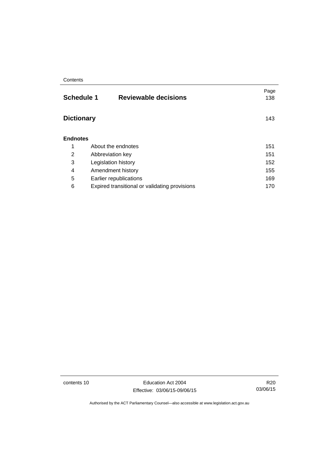| <b>Reviewable decisions</b>                   | Page<br>138                            |
|-----------------------------------------------|----------------------------------------|
|                                               | 143                                    |
|                                               |                                        |
| About the endnotes                            | 151                                    |
| Abbreviation key                              | 151                                    |
| Legislation history                           | 152                                    |
| Amendment history                             | 155                                    |
| Earlier republications                        | 169                                    |
| Expired transitional or validating provisions | 170                                    |
|                                               | <b>Schedule 1</b><br><b>Dictionary</b> |

contents 10 Education Act 2004 Effective: 03/06/15-09/06/15

R20 03/06/15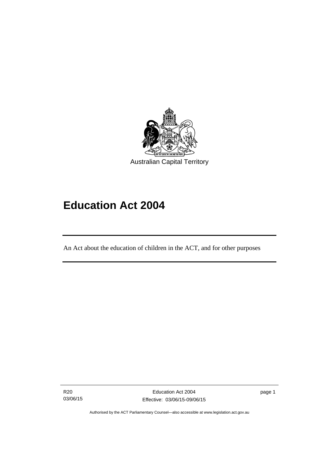

# **Education Act 2004**

An Act about the education of children in the ACT, and for other purposes

R20 03/06/15

l

page 1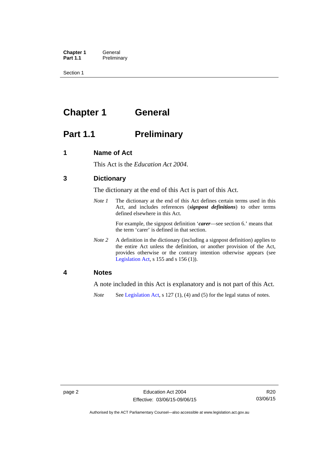**Chapter 1 General**<br>**Part 1.1 Prelimina Preliminary** 

Section 1

# <span id="page-13-0"></span>**Chapter 1 General**

## <span id="page-13-1"></span>**Part 1.1** Preliminary

### <span id="page-13-2"></span>**1 Name of Act**

This Act is the *Education Act 2004*.

### <span id="page-13-3"></span>**3 Dictionary**

The dictionary at the end of this Act is part of this Act.

*Note 1* The dictionary at the end of this Act defines certain terms used in this Act, and includes references (*signpost definitions*) to other terms defined elsewhere in this Act.

> For example, the signpost definition '*carer*—see section 6.' means that the term 'carer' is defined in that section.

*Note 2* A definition in the dictionary (including a signpost definition) applies to the entire Act unless the definition, or another provision of the Act, provides otherwise or the contrary intention otherwise appears (see [Legislation Act,](http://www.legislation.act.gov.au/a/2001-14)  $s$  155 and  $s$  156 (1)).

### <span id="page-13-4"></span>**4 Notes**

A note included in this Act is explanatory and is not part of this Act.

*Note* See [Legislation Act,](http://www.legislation.act.gov.au/a/2001-14) s 127 (1), (4) and (5) for the legal status of notes.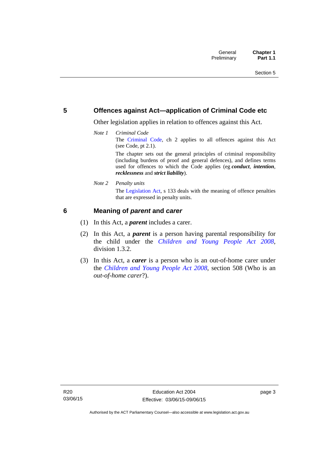### <span id="page-14-0"></span>**5 Offences against Act—application of Criminal Code etc**

Other legislation applies in relation to offences against this Act.

*Note 1 Criminal Code* The [Criminal Code,](http://www.legislation.act.gov.au/a/2002-51) ch 2 applies to all offences against this Act (see Code, pt 2.1). The chapter sets out the general principles of criminal responsibility

(including burdens of proof and general defences), and defines terms used for offences to which the Code applies (eg *conduct*, *intention*, *recklessness* and *strict liability*).

*Note 2 Penalty units* 

The [Legislation Act](http://www.legislation.act.gov.au/a/2001-14), s 133 deals with the meaning of offence penalties that are expressed in penalty units.

### <span id="page-14-1"></span>**6 Meaning of** *parent* **and** *carer*

- (1) In this Act, a *parent* includes a carer.
- (2) In this Act, a *parent* is a person having parental responsibility for the child under the *[Children and Young People Act 2008](http://www.legislation.act.gov.au/a/2008-19)*, division 1.3.2.
- (3) In this Act, a *carer* is a person who is an out-of-home carer under the *[Children and Young People Act 2008](http://www.legislation.act.gov.au/a/2008-19)*, section 508 (Who is an *out-of-home carer*?).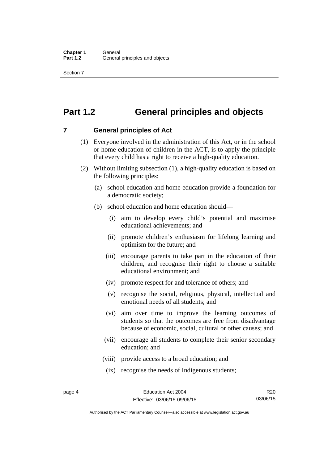Section 7

## <span id="page-15-0"></span>**Part 1.2 General principles and objects**

<span id="page-15-1"></span>**7 General principles of Act** 

- (1) Everyone involved in the administration of this Act, or in the school or home education of children in the ACT, is to apply the principle that every child has a right to receive a high-quality education.
- (2) Without limiting subsection (1), a high-quality education is based on the following principles:
	- (a) school education and home education provide a foundation for a democratic society;
	- (b) school education and home education should—
		- (i) aim to develop every child's potential and maximise educational achievements; and
		- (ii) promote children's enthusiasm for lifelong learning and optimism for the future; and
		- (iii) encourage parents to take part in the education of their children, and recognise their right to choose a suitable educational environment; and
		- (iv) promote respect for and tolerance of others; and
		- (v) recognise the social, religious, physical, intellectual and emotional needs of all students; and
		- (vi) aim over time to improve the learning outcomes of students so that the outcomes are free from disadvantage because of economic, social, cultural or other causes; and
		- (vii) encourage all students to complete their senior secondary education; and
		- (viii) provide access to a broad education; and
		- (ix) recognise the needs of Indigenous students;

R20 03/06/15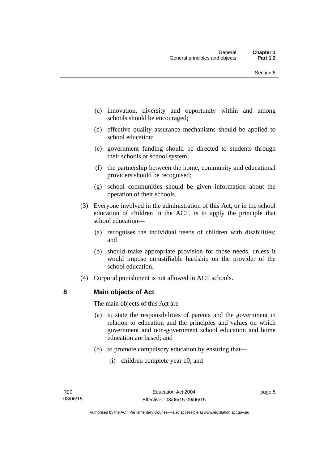- (c) innovation, diversity and opportunity within and among schools should be encouraged;
- (d) effective quality assurance mechanisms should be applied to school education;
- (e) government funding should be directed to students through their schools or school system;
- (f) the partnership between the home, community and educational providers should be recognised;
- (g) school communities should be given information about the operation of their schools.
- (3) Everyone involved in the administration of this Act, or in the school education of children in the ACT, is to apply the principle that school education—
	- (a) recognises the individual needs of children with disabilities; and
	- (b) should make appropriate provision for those needs, unless it would impose unjustifiable hardship on the provider of the school education.
- (4) Corporal punishment is not allowed in ACT schools.

### <span id="page-16-0"></span>**8 Main objects of Act**

The main objects of this Act are—

- (a) to state the responsibilities of parents and the government in relation to education and the principles and values on which government and non-government school education and home education are based; and
- (b) to promote compulsory education by ensuring that—
	- (i) children complete year 10; and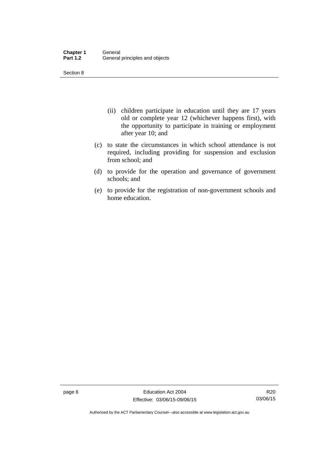Section 8

- (ii) children participate in education until they are 17 years old or complete year 12 (whichever happens first), with the opportunity to participate in training or employment after year 10; and
- (c) to state the circumstances in which school attendance is not required, including providing for suspension and exclusion from school; and
- (d) to provide for the operation and governance of government schools; and
- (e) to provide for the registration of non-government schools and home education.

page 6 Education Act 2004 Effective: 03/06/15-09/06/15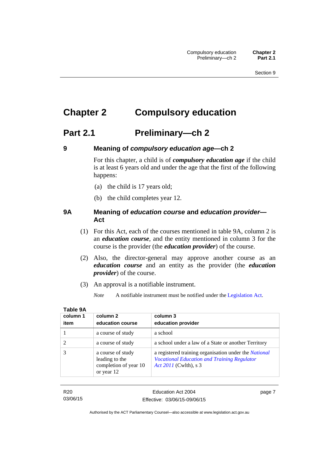# <span id="page-18-0"></span>**Chapter 2 Compulsory education**

## <span id="page-18-1"></span>**Part 2.1 Preliminary—ch 2**

<span id="page-18-2"></span>

## **9 Meaning of** *compulsory education age***—ch 2**

For this chapter, a child is of *compulsory education age* if the child is at least 6 years old and under the age that the first of the following happens:

- (a) the child is 17 years old;
- (b) the child completes year 12.

### <span id="page-18-3"></span>**9A Meaning of** *education course* **and** *education provider***— Act**

- (1) For this Act, each of the courses mentioned in table 9A, column 2 is an *education course*, and the entity mentioned in column 3 for the course is the provider (the *education provider*) of the course.
- (2) Also, the director-general may approve another course as an *education course* and an entity as the provider (the *education provider*) of the course.
- (3) An approval is a notifiable instrument.
	- *Note* A notifiable instrument must be notified under the [Legislation Act](http://www.legislation.act.gov.au/a/2001-14).

| column 1 | column 2                                                                   | column 3                                                                                                                                    |
|----------|----------------------------------------------------------------------------|---------------------------------------------------------------------------------------------------------------------------------------------|
| item     | education course                                                           | education provider                                                                                                                          |
|          | a course of study                                                          | a school                                                                                                                                    |
|          | a course of study                                                          | a school under a law of a State or another Territory                                                                                        |
|          | a course of study<br>leading to the<br>completion of year 10<br>or year 12 | a registered training organisation under the <i>National</i><br><b>Vocational Education and Training Regulator</b><br>Act 2011 (Cwlth), s 3 |

| -<br>ł<br>O<br>٠<br><br> |  |
|--------------------------|--|
|--------------------------|--|

R20 03/06/15 page 7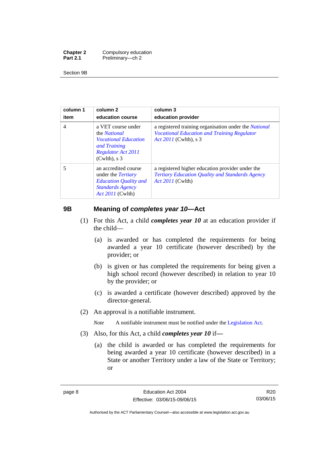| <b>Chapter 2</b> | Compulsory education |
|------------------|----------------------|
| <b>Part 2.1</b>  | Preliminary-ch 2     |

Section 9B

| column 1<br>item | column 2<br>education course                                                                                                             | column 3<br>education provider                                                                                                       |
|------------------|------------------------------------------------------------------------------------------------------------------------------------------|--------------------------------------------------------------------------------------------------------------------------------------|
| $\overline{4}$   | a VET course under<br>the <i>National</i><br><i>Vocational Education</i><br>and Training<br><b>Regulator Act 2011</b><br>$(Cwlth)$ , s 3 | a registered training organisation under the National<br><b>Vocational Education and Training Regulator</b><br>Act 2011 (Cwlth), s 3 |
| 5                | an accredited course<br>under the <i>Tertiary</i><br><b>Education Quality and</b><br><b>Standards Agency</b><br><i>Act 2011</i> (Cwlth)  | a registered higher education provider under the<br>Tertiary Education Quality and Standards Agency<br><i>Act 2011</i> (Cwlth)       |

### <span id="page-19-0"></span>**9B Meaning of** *completes year 10***—Act**

- (1) For this Act, a child *completes year 10* at an education provider if the child—
	- (a) is awarded or has completed the requirements for being awarded a year 10 certificate (however described) by the provider; or
	- (b) is given or has completed the requirements for being given a high school record (however described) in relation to year 10 by the provider; or
	- (c) is awarded a certificate (however described) approved by the director-general.
- (2) An approval is a notifiable instrument.

*Note* A notifiable instrument must be notified under the [Legislation Act](http://www.legislation.act.gov.au/a/2001-14).

- (3) Also, for this Act, a child *completes year 10* if*—*
	- (a) the child is awarded or has completed the requirements for being awarded a year 10 certificate (however described) in a State or another Territory under a law of the State or Territory; or

Authorised by the ACT Parliamentary Counsel—also accessible at www.legislation.act.gov.au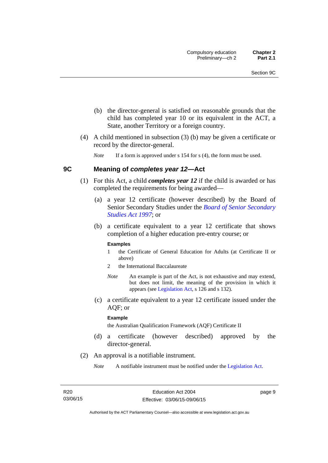- (b) the director-general is satisfied on reasonable grounds that the child has completed year 10 or its equivalent in the ACT, a State, another Territory or a foreign country.
- (4) A child mentioned in subsection (3) (b) may be given a certificate or record by the director-general.

*Note* If a form is approved under s 154 for s (4), the form must be used.

### <span id="page-20-0"></span>**9C Meaning of** *completes year 12***—Act**

- (1) For this Act, a child *completes year 12* if the child is awarded or has completed the requirements for being awarded—
	- (a) a year 12 certificate (however described) by the Board of Senior Secondary Studies under the *[Board of Senior Secondary](http://www.legislation.act.gov.au/a/1997-87)  [Studies Act 1997](http://www.legislation.act.gov.au/a/1997-87)*; or
	- (b) a certificate equivalent to a year 12 certificate that shows completion of a higher education pre-entry course; or

### **Examples**

- 1 the Certificate of General Education for Adults (at Certificate II or above)
- 2 the International Baccalaureate
- *Note* An example is part of the Act, is not exhaustive and may extend, but does not limit, the meaning of the provision in which it appears (see [Legislation Act,](http://www.legislation.act.gov.au/a/2001-14) s 126 and s 132).
- (c) a certificate equivalent to a year 12 certificate issued under the AQF; or

#### **Example**

the Australian Qualification Framework (AQF) Certificate II

- (d) a certificate (however described) approved by the director-general.
- (2) An approval is a notifiable instrument.
	- *Note* A notifiable instrument must be notified under the [Legislation Act](http://www.legislation.act.gov.au/a/2001-14).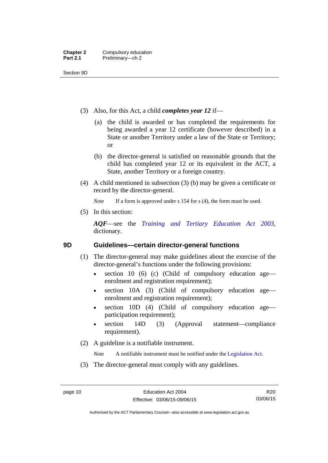Section 9D

- (3) Also, for this Act, a child *completes year 12* if—
	- (a) the child is awarded or has completed the requirements for being awarded a year 12 certificate (however described) in a State or another Territory under a law of the State or Territory; or
	- (b) the director-general is satisfied on reasonable grounds that the child has completed year 12 or its equivalent in the ACT, a State, another Territory or a foreign country.
- (4) A child mentioned in subsection (3) (b) may be given a certificate or record by the director-general.

*Note* If a form is approved under s 154 for s (4), the form must be used.

(5) In this section:

*AQF*—see the *[Training and Tertiary Education Act 2003](http://www.legislation.act.gov.au/a/2003-36)*, dictionary.

### <span id="page-21-0"></span>**9D Guidelines—certain director-general functions**

- (1) The director-general may make guidelines about the exercise of the director-general's functions under the following provisions:
	- $\bullet$  section 10 (6) (c) (Child of compulsory education age enrolment and registration requirement);
	- section 10A (3) (Child of compulsory education age enrolment and registration requirement);
	- section 10D (4) (Child of compulsory education age participation requirement);
	- section 14D (3) (Approval statement—compliance requirement).
- (2) A guideline is a notifiable instrument.

*Note* A notifiable instrument must be notified under the [Legislation Act](http://www.legislation.act.gov.au/a/2001-14).

(3) The director-general must comply with any guidelines.

Authorised by the ACT Parliamentary Counsel—also accessible at www.legislation.act.gov.au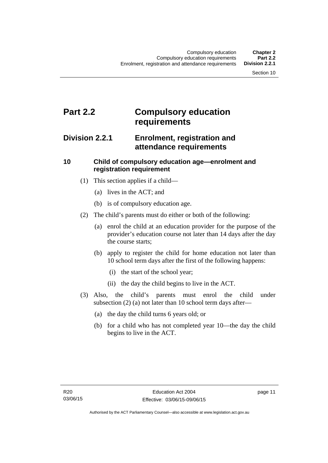# <span id="page-22-0"></span>**Part 2.2 Compulsory education requirements**

## <span id="page-22-1"></span>**Division 2.2.1 Enrolment, registration and attendance requirements**

### <span id="page-22-2"></span>**10 Child of compulsory education age—enrolment and registration requirement**

- (1) This section applies if a child—
	- (a) lives in the ACT; and
	- (b) is of compulsory education age.
- (2) The child's parents must do either or both of the following:
	- (a) enrol the child at an education provider for the purpose of the provider's education course not later than 14 days after the day the course starts;
	- (b) apply to register the child for home education not later than 10 school term days after the first of the following happens:
		- (i) the start of the school year;
		- (ii) the day the child begins to live in the ACT.
- (3) Also, the child's parents must enrol the child under subsection (2) (a) not later than 10 school term days after—
	- (a) the day the child turns 6 years old; or
	- (b) for a child who has not completed year 10—the day the child begins to live in the ACT.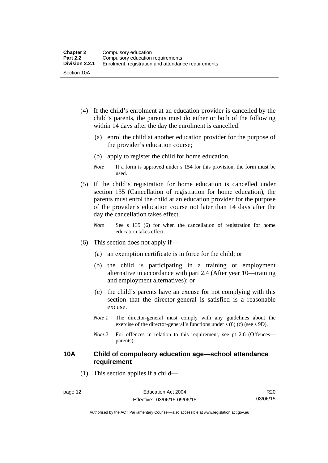- (4) If the child's enrolment at an education provider is cancelled by the child's parents, the parents must do either or both of the following within 14 days after the day the enrolment is cancelled:
	- (a) enrol the child at another education provider for the purpose of the provider's education course;
	- (b) apply to register the child for home education.
	- *Note* If a form is approved under s 154 for this provision, the form must be used.
- (5) If the child's registration for home education is cancelled under section 135 (Cancellation of registration for home education), the parents must enrol the child at an education provider for the purpose of the provider's education course not later than 14 days after the day the cancellation takes effect.
	- *Note* See s 135 (6) for when the cancellation of registration for home education takes effect.
- (6) This section does not apply if—
	- (a) an exemption certificate is in force for the child; or
	- (b) the child is participating in a training or employment alternative in accordance with part 2.4 (After year 10—training and employment alternatives); or
	- (c) the child's parents have an excuse for not complying with this section that the director-general is satisfied is a reasonable excuse.
	- *Note 1* The director-general must comply with any guidelines about the exercise of the director-general's functions under s (6) (c) (see s 9D).
	- *Note* 2 For offences in relation to this requirement, see pt 2.6 (Offences parents).

### <span id="page-23-0"></span>**10A Child of compulsory education age—school attendance requirement**

(1) This section applies if a child—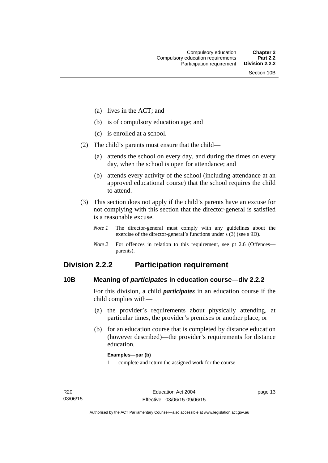- (a) lives in the ACT; and
- (b) is of compulsory education age; and
- (c) is enrolled at a school.
- (2) The child's parents must ensure that the child—
	- (a) attends the school on every day, and during the times on every day, when the school is open for attendance; and
	- (b) attends every activity of the school (including attendance at an approved educational course) that the school requires the child to attend.
- (3) This section does not apply if the child's parents have an excuse for not complying with this section that the director-general is satisfied is a reasonable excuse.
	- *Note 1* The director-general must comply with any guidelines about the exercise of the director-general's functions under s (3) (see s 9D).
	- *Note 2* For offences in relation to this requirement, see pt 2.6 (Offences parents).

## <span id="page-24-0"></span>**Division 2.2.2 Participation requirement**

### <span id="page-24-1"></span>**10B Meaning of** *participates* **in education course—div 2.2.2**

For this division, a child *participates* in an education course if the child complies with—

- (a) the provider's requirements about physically attending, at particular times, the provider's premises or another place; or
- (b) for an education course that is completed by distance education (however described)—the provider's requirements for distance education.

### **Examples—par (b)**

1 complete and return the assigned work for the course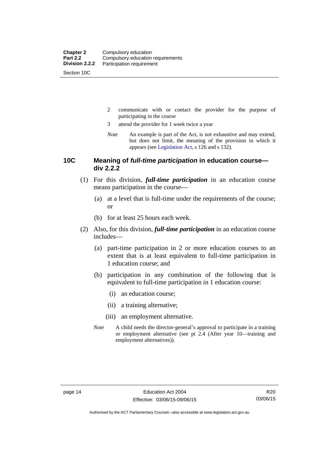Section 10C

- 2 communicate with or contact the provider for the purpose of participating in the course
- 3 attend the provider for 1 week twice a year
- *Note* An example is part of the Act, is not exhaustive and may extend, but does not limit, the meaning of the provision in which it appears (see [Legislation Act,](http://www.legislation.act.gov.au/a/2001-14) s 126 and s 132).

### <span id="page-25-0"></span>**10C Meaning of** *full-time participation* **in education course div 2.2.2**

- (1) For this division, *full-time participation* in an education course means participation in the course—
	- (a) at a level that is full-time under the requirements of the course; or
	- (b) for at least 25 hours each week.
- (2) Also, for this division, *full-time participation* in an education course includes—
	- (a) part-time participation in 2 or more education courses to an extent that is at least equivalent to full-time participation in 1 education course; and
	- (b) participation in any combination of the following that is equivalent to full-time participation in 1 education course:
		- (i) an education course;
		- (ii) a training alternative;
		- (iii) an employment alternative.
	- *Note* A child needs the director-general's approval to participate in a training or employment alternative (see pt 2.4 (After year 10—training and employment alternatives)).

Authorised by the ACT Parliamentary Counsel—also accessible at www.legislation.act.gov.au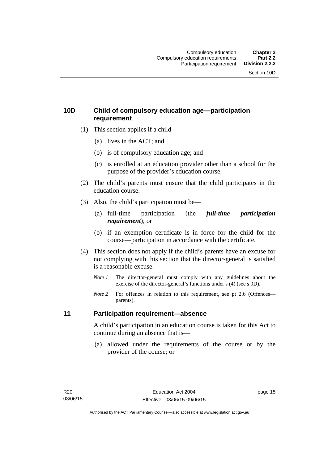## <span id="page-26-0"></span>**10D Child of compulsory education age—participation requirement**

- (1) This section applies if a child—
	- (a) lives in the ACT; and
	- (b) is of compulsory education age; and
	- (c) is enrolled at an education provider other than a school for the purpose of the provider's education course.
- (2) The child's parents must ensure that the child participates in the education course.
- (3) Also, the child's participation must be—
	- (a) full-time participation (the *full-time participation requirement*); or
	- (b) if an exemption certificate is in force for the child for the course—participation in accordance with the certificate.
- (4) This section does not apply if the child's parents have an excuse for not complying with this section that the director-general is satisfied is a reasonable excuse.
	- *Note 1* The director-general must comply with any guidelines about the exercise of the director-general's functions under s (4) (see s 9D).
	- *Note* 2 For offences in relation to this requirement, see pt 2.6 (Offences parents).

### <span id="page-26-1"></span>**11 Participation requirement—absence**

A child's participation in an education course is taken for this Act to continue during an absence that is—

 (a) allowed under the requirements of the course or by the provider of the course; or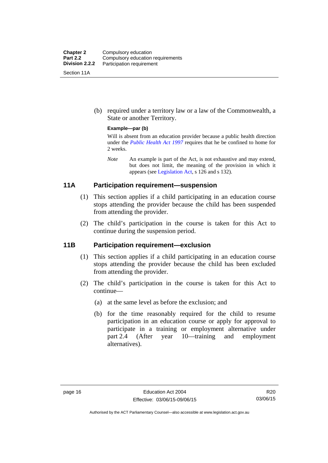| <b>Chapter 2</b><br><b>Part 2.2</b> | Compulsory education<br>Compulsory education requirements |
|-------------------------------------|-----------------------------------------------------------|
| Division 2.2.2                      | Participation requirement                                 |
| Section 11A                         |                                                           |

 (b) required under a territory law or a law of the Commonwealth, a State or another Territory.

### **Example—par (b)**

Will is absent from an education provider because a public health direction under the *[Public Health Act 1997](http://www.legislation.act.gov.au/a/1997-69)* requires that he be confined to home for 2 weeks.

*Note* An example is part of the Act, is not exhaustive and may extend, but does not limit, the meaning of the provision in which it appears (see [Legislation Act,](http://www.legislation.act.gov.au/a/2001-14) s 126 and s 132).

### <span id="page-27-0"></span>**11A Participation requirement—suspension**

- (1) This section applies if a child participating in an education course stops attending the provider because the child has been suspended from attending the provider.
- (2) The child's participation in the course is taken for this Act to continue during the suspension period.

### <span id="page-27-1"></span>**11B Participation requirement—exclusion**

- (1) This section applies if a child participating in an education course stops attending the provider because the child has been excluded from attending the provider.
- (2) The child's participation in the course is taken for this Act to continue—
	- (a) at the same level as before the exclusion; and
	- (b) for the time reasonably required for the child to resume participation in an education course or apply for approval to participate in a training or employment alternative under part 2.4 (After year 10—training and employment alternatives).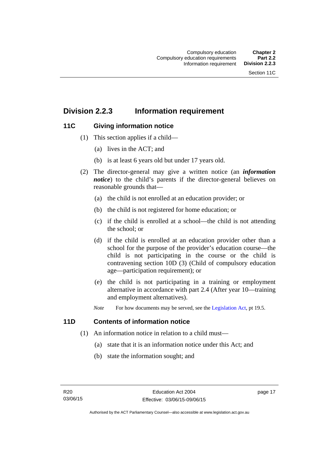## <span id="page-28-0"></span>**Division 2.2.3 Information requirement**

### <span id="page-28-1"></span>**11C Giving information notice**

- (1) This section applies if a child—
	- (a) lives in the ACT; and
	- (b) is at least 6 years old but under 17 years old.
- (2) The director-general may give a written notice (an *information notice*) to the child's parents if the director-general believes on reasonable grounds that—
	- (a) the child is not enrolled at an education provider; or
	- (b) the child is not registered for home education; or
	- (c) if the child is enrolled at a school—the child is not attending the school; or
	- (d) if the child is enrolled at an education provider other than a school for the purpose of the provider's education course—the child is not participating in the course or the child is contravening section 10D (3) (Child of compulsory education age—participation requirement); or
	- (e) the child is not participating in a training or employment alternative in accordance with part 2.4 (After year 10—training and employment alternatives).
	- *Note* For how documents may be served, see the [Legislation Act,](http://www.legislation.act.gov.au/a/2001-14) pt 19.5.

### <span id="page-28-2"></span>**11D Contents of information notice**

- (1) An information notice in relation to a child must—
	- (a) state that it is an information notice under this Act; and
	- (b) state the information sought; and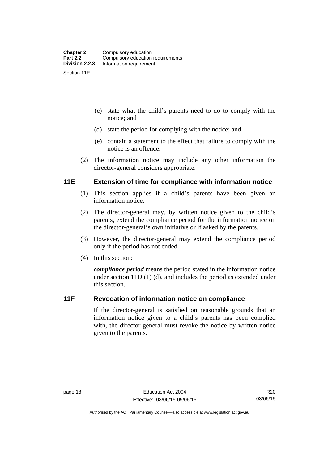- (c) state what the child's parents need to do to comply with the notice; and
- (d) state the period for complying with the notice; and
- (e) contain a statement to the effect that failure to comply with the notice is an offence.
- (2) The information notice may include any other information the director-general considers appropriate.

### <span id="page-29-0"></span>**11E Extension of time for compliance with information notice**

- (1) This section applies if a child's parents have been given an information notice.
- (2) The director-general may, by written notice given to the child's parents, extend the compliance period for the information notice on the director-general's own initiative or if asked by the parents.
- (3) However, the director-general may extend the compliance period only if the period has not ended.
- (4) In this section:

*compliance period* means the period stated in the information notice under section 11D (1) (d), and includes the period as extended under this section.

### <span id="page-29-1"></span>**11F Revocation of information notice on compliance**

If the director-general is satisfied on reasonable grounds that an information notice given to a child's parents has been complied with, the director-general must revoke the notice by written notice given to the parents.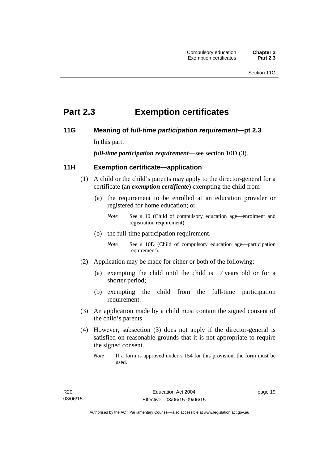## <span id="page-30-0"></span>**Part 2.3 Exemption certificates**

### <span id="page-30-1"></span>**11G Meaning of** *full-time participation requirement***—pt 2.3**

In this part:

*full-time participation requirement*—see section 10D (3).

### <span id="page-30-2"></span>**11H Exemption certificate—application**

- (1) A child or the child's parents may apply to the director-general for a certificate (an *exemption certificate*) exempting the child from—
	- (a) the requirement to be enrolled at an education provider or registered for home education; or
		- *Note* See s 10 (Child of compulsory education age—enrolment and registration requirement).
	- (b) the full-time participation requirement.
		- *Note* See s 10D (Child of compulsory education age—participation requirement).
- (2) Application may be made for either or both of the following:
	- (a) exempting the child until the child is 17 years old or for a shorter period;
	- (b) exempting the child from the full-time participation requirement.
- (3) An application made by a child must contain the signed consent of the child's parents.
- (4) However, subsection (3) does not apply if the director-general is satisfied on reasonable grounds that it is not appropriate to require the signed consent.
	- *Note* If a form is approved under s 154 for this provision, the form must be used.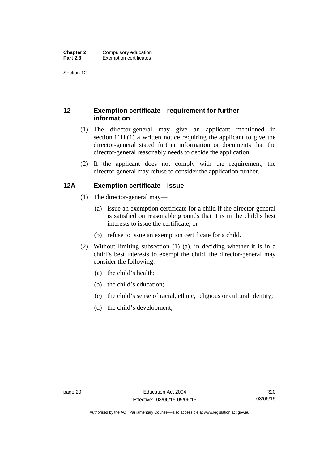Section 12

## <span id="page-31-0"></span>**12 Exemption certificate—requirement for further information**

- (1) The director-general may give an applicant mentioned in section 11H (1) a written notice requiring the applicant to give the director-general stated further information or documents that the director-general reasonably needs to decide the application.
- (2) If the applicant does not comply with the requirement, the director-general may refuse to consider the application further.

### <span id="page-31-1"></span>**12A Exemption certificate—issue**

- (1) The director-general may—
	- (a) issue an exemption certificate for a child if the director-general is satisfied on reasonable grounds that it is in the child's best interests to issue the certificate; or
	- (b) refuse to issue an exemption certificate for a child.
- (2) Without limiting subsection (1) (a), in deciding whether it is in a child's best interests to exempt the child, the director-general may consider the following:
	- (a) the child's health;
	- (b) the child's education;
	- (c) the child's sense of racial, ethnic, religious or cultural identity;
	- (d) the child's development;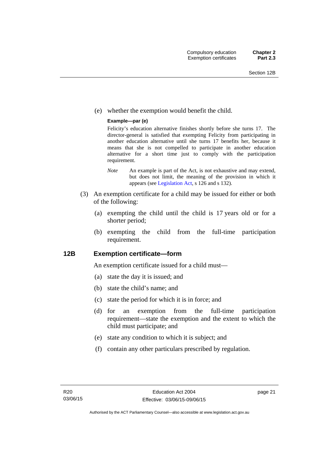(e) whether the exemption would benefit the child.

### **Example—par (e)**

Felicity's education alternative finishes shortly before she turns 17. The director-general is satisfied that exempting Felicity from participating in another education alternative until she turns 17 benefits her, because it means that she is not compelled to participate in another education alternative for a short time just to comply with the participation requirement.

- *Note* An example is part of the Act, is not exhaustive and may extend, but does not limit, the meaning of the provision in which it appears (see [Legislation Act,](http://www.legislation.act.gov.au/a/2001-14) s 126 and s 132).
- (3) An exemption certificate for a child may be issued for either or both of the following:
	- (a) exempting the child until the child is 17 years old or for a shorter period;
	- (b) exempting the child from the full-time participation requirement.

### <span id="page-32-0"></span>**12B Exemption certificate—form**

An exemption certificate issued for a child must—

- (a) state the day it is issued; and
- (b) state the child's name; and
- (c) state the period for which it is in force; and
- (d) for an exemption from the full-time participation requirement—state the exemption and the extent to which the child must participate; and
- (e) state any condition to which it is subject; and
- (f) contain any other particulars prescribed by regulation.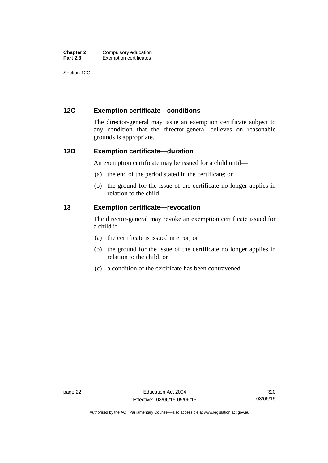| <b>Chapter 2</b> | Compulsory education          |
|------------------|-------------------------------|
| <b>Part 2.3</b>  | <b>Exemption certificates</b> |

Section 12C

### <span id="page-33-0"></span>**12C Exemption certificate—conditions**

The director-general may issue an exemption certificate subject to any condition that the director-general believes on reasonable grounds is appropriate.

### <span id="page-33-1"></span>**12D Exemption certificate—duration**

An exemption certificate may be issued for a child until—

- (a) the end of the period stated in the certificate; or
- (b) the ground for the issue of the certificate no longer applies in relation to the child.

### <span id="page-33-2"></span>**13 Exemption certificate—revocation**

The director-general may revoke an exemption certificate issued for a child if—

- (a) the certificate is issued in error; or
- (b) the ground for the issue of the certificate no longer applies in relation to the child; or
- (c) a condition of the certificate has been contravened.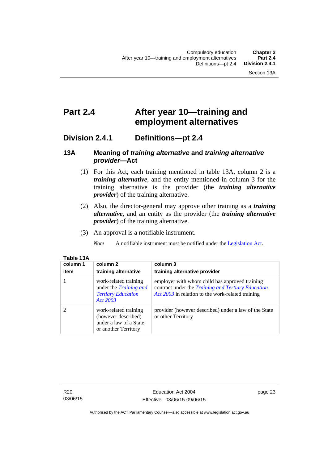## <span id="page-34-0"></span>**Part 2.4 After year 10—training and employment alternatives**

## <span id="page-34-1"></span>**Division 2.4.1 Definitions—pt 2.4**

### <span id="page-34-2"></span>**13A Meaning of** *training alternative* **and** *training alternative provider***—Act**

- (1) For this Act, each training mentioned in table 13A, column 2 is a *training alternative*, and the entity mentioned in column 3 for the training alternative is the provider (the *training alternative provider*) of the training alternative.
- (2) Also, the director-general may approve other training as a *training alternative*, and an entity as the provider (the *training alternative provider*) of the training alternative.
- (3) An approval is a notifiable instrument.

*Note* A notifiable instrument must be notified under the [Legislation Act](http://www.legislation.act.gov.au/a/2001-14).

| 1 YN 197 |          |
|----------|----------|
| column 1 | column   |
| item     | training |

**Table 13A** 

| column 1<br>item | column 2<br>training alternative                                                                | column 3<br>training alternative provider                                                                                                                        |
|------------------|-------------------------------------------------------------------------------------------------|------------------------------------------------------------------------------------------------------------------------------------------------------------------|
|                  | work-related training<br>under the <i>Training and</i><br><b>Tertiary Education</b><br>Act 2003 | employer with whom child has approved training<br>contract under the <i>Training and Tertiary Education</i><br>Act 2003 in relation to the work-related training |
|                  | work-related training<br>(however described)<br>under a law of a State<br>or another Territory  | provider (however described) under a law of the State<br>or other Territory                                                                                      |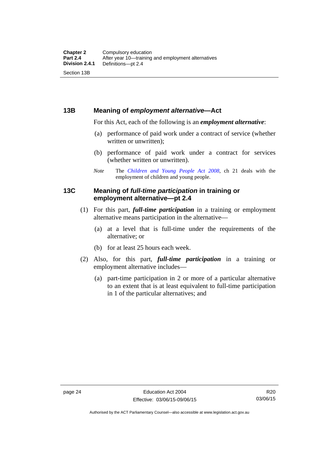### <span id="page-35-0"></span>**13B Meaning of** *employment alternative***—Act**

For this Act, each of the following is an *employment alternative*:

- (a) performance of paid work under a contract of service (whether written or unwritten);
- (b) performance of paid work under a contract for services (whether written or unwritten).
- *Note* The *[Children and Young People Act 2008](http://www.legislation.act.gov.au/a/2008-19)*, ch 21 deals with the employment of children and young people.

### <span id="page-35-1"></span>**13C Meaning of** *full-time participation* **in training or employment alternative—pt 2.4**

- (1) For this part, *full-time participation* in a training or employment alternative means participation in the alternative—
	- (a) at a level that is full-time under the requirements of the alternative; or
	- (b) for at least 25 hours each week.
- (2) Also, for this part, *full-time participation* in a training or employment alternative includes—
	- (a) part-time participation in 2 or more of a particular alternative to an extent that is at least equivalent to full-time participation in 1 of the particular alternatives; and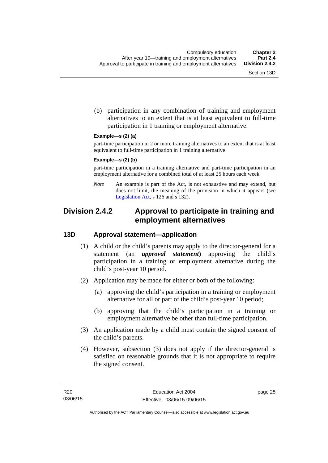(b) participation in any combination of training and employment alternatives to an extent that is at least equivalent to full-time participation in 1 training or employment alternative.

#### **Example—s (2) (a)**

part-time participation in 2 or more training alternatives to an extent that is at least equivalent to full-time participation in 1 training alternative

#### **Example—s (2) (b)**

part-time participation in a training alternative and part-time participation in an employment alternative for a combined total of at least 25 hours each week

*Note* An example is part of the Act, is not exhaustive and may extend, but does not limit, the meaning of the provision in which it appears (see [Legislation Act,](http://www.legislation.act.gov.au/a/2001-14) s 126 and s 132).

## **Division 2.4.2 Approval to participate in training and employment alternatives**

## **13D Approval statement—application**

- (1) A child or the child's parents may apply to the director-general for a statement (an *approval statement***)** approving the child's participation in a training or employment alternative during the child's post-year 10 period.
- (2) Application may be made for either or both of the following:
	- (a) approving the child's participation in a training or employment alternative for all or part of the child's post-year 10 period;
	- (b) approving that the child's participation in a training or employment alternative be other than full-time participation.
- (3) An application made by a child must contain the signed consent of the child's parents.
- (4) However, subsection (3) does not apply if the director-general is satisfied on reasonable grounds that it is not appropriate to require the signed consent.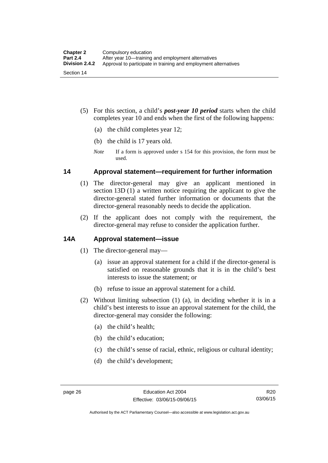- (5) For this section, a child's *post-year 10 period* starts when the child completes year 10 and ends when the first of the following happens:
	- (a) the child completes year 12;
	- (b) the child is 17 years old.
	- *Note* If a form is approved under s 154 for this provision, the form must be used.

## **14 Approval statement—requirement for further information**

- (1) The director-general may give an applicant mentioned in section 13D (1) a written notice requiring the applicant to give the director-general stated further information or documents that the director-general reasonably needs to decide the application.
- (2) If the applicant does not comply with the requirement, the director-general may refuse to consider the application further.

## **14A Approval statement—issue**

- (1) The director-general may—
	- (a) issue an approval statement for a child if the director-general is satisfied on reasonable grounds that it is in the child's best interests to issue the statement; or
	- (b) refuse to issue an approval statement for a child.
- (2) Without limiting subsection (1) (a), in deciding whether it is in a child's best interests to issue an approval statement for the child, the director-general may consider the following:
	- (a) the child's health;
	- (b) the child's education;
	- (c) the child's sense of racial, ethnic, religious or cultural identity;
	- (d) the child's development;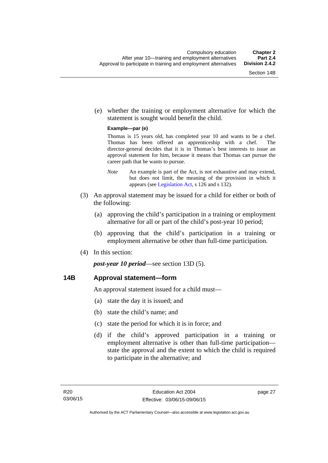(e) whether the training or employment alternative for which the statement is sought would benefit the child.

#### **Example—par (e)**

Thomas is 15 years old, has completed year 10 and wants to be a chef. Thomas has been offered an apprenticeship with a chef. The director-general decides that it is in Thomas's best interests to issue an approval statement for him, because it means that Thomas can pursue the career path that he wants to pursue.

- *Note* An example is part of the Act, is not exhaustive and may extend, but does not limit, the meaning of the provision in which it appears (see [Legislation Act,](http://www.legislation.act.gov.au/a/2001-14) s 126 and s 132).
- (3) An approval statement may be issued for a child for either or both of the following:
	- (a) approving the child's participation in a training or employment alternative for all or part of the child's post-year 10 period;
	- (b) approving that the child's participation in a training or employment alternative be other than full-time participation.
- (4) In this section:

*post-year 10 period*—see section 13D (5).

## **14B Approval statement—form**

An approval statement issued for a child must—

- (a) state the day it is issued; and
- (b) state the child's name; and
- (c) state the period for which it is in force; and
- (d) if the child's approved participation in a training or employment alternative is other than full-time participation state the approval and the extent to which the child is required to participate in the alternative; and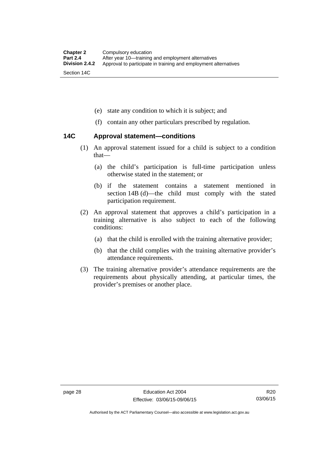- (e) state any condition to which it is subject; and
- (f) contain any other particulars prescribed by regulation.

## **14C Approval statement—conditions**

- (1) An approval statement issued for a child is subject to a condition that—
	- (a) the child's participation is full-time participation unless otherwise stated in the statement; or
	- (b) if the statement contains a statement mentioned in section 14B (d)—the child must comply with the stated participation requirement.
- (2) An approval statement that approves a child's participation in a training alternative is also subject to each of the following conditions:
	- (a) that the child is enrolled with the training alternative provider;
	- (b) that the child complies with the training alternative provider's attendance requirements.
- (3) The training alternative provider's attendance requirements are the requirements about physically attending, at particular times, the provider's premises or another place.

Authorised by the ACT Parliamentary Counsel—also accessible at www.legislation.act.gov.au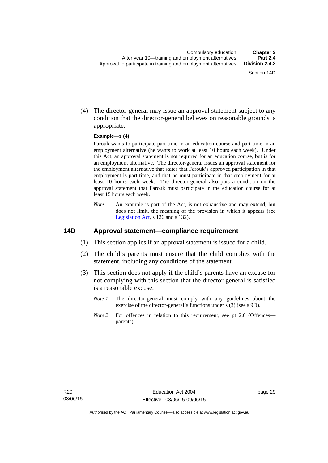(4) The director-general may issue an approval statement subject to any condition that the director-general believes on reasonable grounds is appropriate.

#### **Example—s (4)**

Farouk wants to participate part-time in an education course and part-time in an employment alternative (he wants to work at least 10 hours each week). Under this Act, an approval statement is not required for an education course, but is for an employment alternative. The director-general issues an approval statement for the employment alternative that states that Farouk's approved participation in that employment is part-time, and that he must participate in that employment for at least 10 hours each week. The director-general also puts a condition on the approval statement that Farouk must participate in the education course for at least 15 hours each week.

*Note* An example is part of the Act, is not exhaustive and may extend, but does not limit, the meaning of the provision in which it appears (see [Legislation Act,](http://www.legislation.act.gov.au/a/2001-14) s 126 and s 132).

### **14D Approval statement—compliance requirement**

- (1) This section applies if an approval statement is issued for a child.
- (2) The child's parents must ensure that the child complies with the statement, including any conditions of the statement.
- (3) This section does not apply if the child's parents have an excuse for not complying with this section that the director-general is satisfied is a reasonable excuse.
	- *Note 1* The director-general must comply with any guidelines about the exercise of the director-general's functions under s (3) (see s 9D).
	- *Note 2* For offences in relation to this requirement, see pt 2.6 (Offences parents).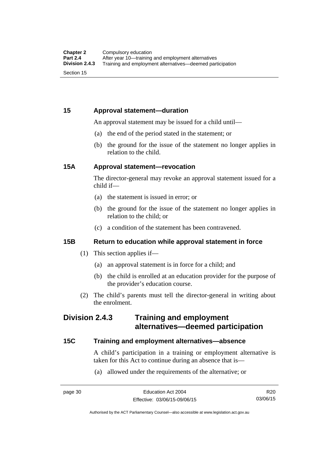## **15 Approval statement—duration**

An approval statement may be issued for a child until—

- (a) the end of the period stated in the statement; or
- (b) the ground for the issue of the statement no longer applies in relation to the child.

## **15A Approval statement—revocation**

The director-general may revoke an approval statement issued for a child if—

- (a) the statement is issued in error; or
- (b) the ground for the issue of the statement no longer applies in relation to the child; or
- (c) a condition of the statement has been contravened.

## **15B Return to education while approval statement in force**

- (1) This section applies if—
	- (a) an approval statement is in force for a child; and
	- (b) the child is enrolled at an education provider for the purpose of the provider's education course.
- (2) The child's parents must tell the director-general in writing about the enrolment.

## **Division 2.4.3 Training and employment alternatives—deemed participation**

## **15C Training and employment alternatives—absence**

A child's participation in a training or employment alternative is taken for this Act to continue during an absence that is—

(a) allowed under the requirements of the alternative; or

R20 03/06/15

Authorised by the ACT Parliamentary Counsel—also accessible at www.legislation.act.gov.au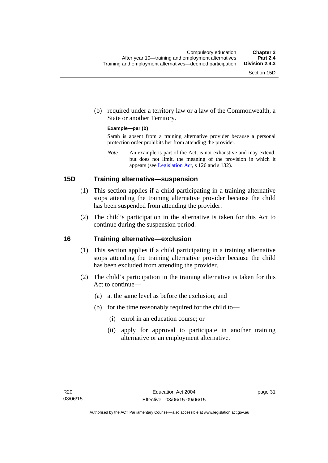(b) required under a territory law or a law of the Commonwealth, a State or another Territory.

#### **Example—par (b)**

Sarah is absent from a training alternative provider because a personal protection order prohibits her from attending the provider.

*Note* An example is part of the Act, is not exhaustive and may extend, but does not limit, the meaning of the provision in which it appears (see [Legislation Act,](http://www.legislation.act.gov.au/a/2001-14) s 126 and s 132).

## **15D Training alternative—suspension**

- (1) This section applies if a child participating in a training alternative stops attending the training alternative provider because the child has been suspended from attending the provider.
- (2) The child's participation in the alternative is taken for this Act to continue during the suspension period.

#### **16 Training alternative—exclusion**

- (1) This section applies if a child participating in a training alternative stops attending the training alternative provider because the child has been excluded from attending the provider.
- (2) The child's participation in the training alternative is taken for this Act to continue—
	- (a) at the same level as before the exclusion; and
	- (b) for the time reasonably required for the child to—
		- (i) enrol in an education course; or
		- (ii) apply for approval to participate in another training alternative or an employment alternative.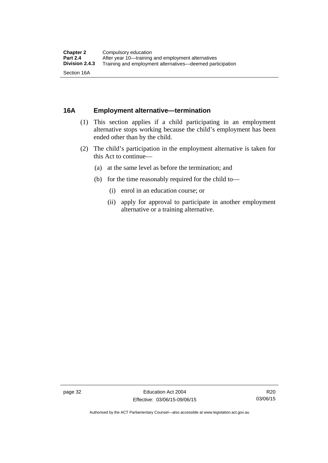## **16A Employment alternative—termination**

- (1) This section applies if a child participating in an employment alternative stops working because the child's employment has been ended other than by the child.
- (2) The child's participation in the employment alternative is taken for this Act to continue—
	- (a) at the same level as before the termination; and
	- (b) for the time reasonably required for the child to—
		- (i) enrol in an education course; or
		- (ii) apply for approval to participate in another employment alternative or a training alternative.

Authorised by the ACT Parliamentary Counsel—also accessible at www.legislation.act.gov.au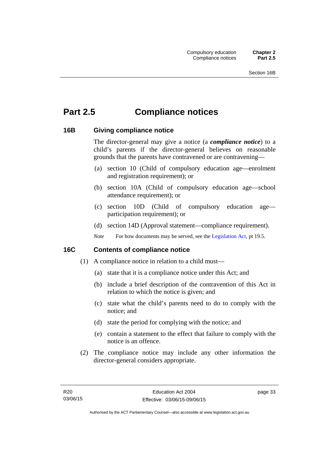# **Part 2.5 Compliance notices**

## **16B Giving compliance notice**

The director-general may give a notice (a *compliance notice*) to a child's parents if the director-general believes on reasonable grounds that the parents have contravened or are contravening—

- (a) section 10 (Child of compulsory education age—enrolment and registration requirement); or
- (b) section 10A (Child of compulsory education age—school attendance requirement); or
- (c) section 10D (Child of compulsory education age participation requirement); or
- (d) section 14D (Approval statement—compliance requirement).
- *Note* For how documents may be served, see the [Legislation Act,](http://www.legislation.act.gov.au/a/2001-14) pt 19.5.

## **16C Contents of compliance notice**

- (1) A compliance notice in relation to a child must—
	- (a) state that it is a compliance notice under this Act; and
	- (b) include a brief description of the contravention of this Act in relation to which the notice is given; and
	- (c) state what the child's parents need to do to comply with the notice; and
	- (d) state the period for complying with the notice; and
	- (e) contain a statement to the effect that failure to comply with the notice is an offence.
- (2) The compliance notice may include any other information the director-general considers appropriate.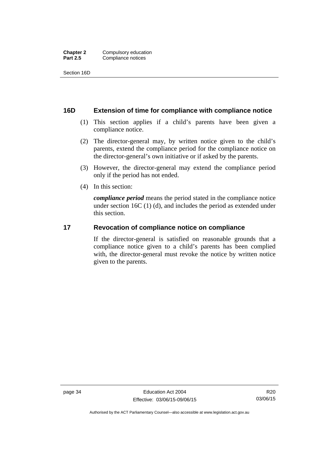Section 16D

## **16D Extension of time for compliance with compliance notice**

- (1) This section applies if a child's parents have been given a compliance notice.
- (2) The director-general may, by written notice given to the child's parents, extend the compliance period for the compliance notice on the director-general's own initiative or if asked by the parents.
- (3) However, the director-general may extend the compliance period only if the period has not ended.
- (4) In this section:

*compliance period* means the period stated in the compliance notice under section 16C (1) (d), and includes the period as extended under this section.

## **17 Revocation of compliance notice on compliance**

If the director-general is satisfied on reasonable grounds that a compliance notice given to a child's parents has been complied with, the director-general must revoke the notice by written notice given to the parents.

Authorised by the ACT Parliamentary Counsel—also accessible at www.legislation.act.gov.au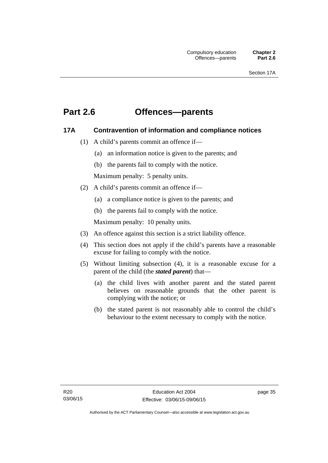## **Part 2.6 Offences—parents**

## **17A Contravention of information and compliance notices**

- (1) A child's parents commit an offence if—
	- (a) an information notice is given to the parents; and
	- (b) the parents fail to comply with the notice.

Maximum penalty: 5 penalty units.

- (2) A child's parents commit an offence if—
	- (a) a compliance notice is given to the parents; and
	- (b) the parents fail to comply with the notice.

Maximum penalty: 10 penalty units.

- (3) An offence against this section is a strict liability offence.
- (4) This section does not apply if the child's parents have a reasonable excuse for failing to comply with the notice.
- (5) Without limiting subsection (4), it is a reasonable excuse for a parent of the child (the *stated parent*) that—
	- (a) the child lives with another parent and the stated parent believes on reasonable grounds that the other parent is complying with the notice; or
	- (b) the stated parent is not reasonably able to control the child's behaviour to the extent necessary to comply with the notice.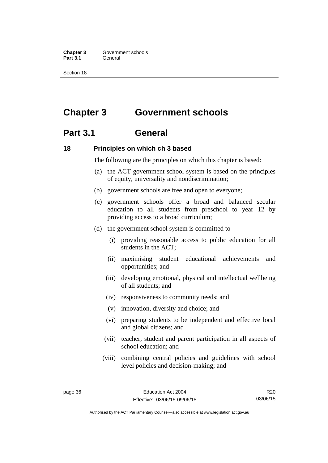**Chapter 3 Government schools** Part 3.1 **General** 

Section 18

# **Chapter 3 Government schools**

## **Part 3.1 General**

## **18 Principles on which ch 3 based**

The following are the principles on which this chapter is based:

- (a) the ACT government school system is based on the principles of equity, universality and nondiscrimination;
- (b) government schools are free and open to everyone;
- (c) government schools offer a broad and balanced secular education to all students from preschool to year 12 by providing access to a broad curriculum;
- (d) the government school system is committed to—
	- (i) providing reasonable access to public education for all students in the ACT;
	- (ii) maximising student educational achievements and opportunities; and
	- (iii) developing emotional, physical and intellectual wellbeing of all students; and
	- (iv) responsiveness to community needs; and
	- (v) innovation, diversity and choice; and
	- (vi) preparing students to be independent and effective local and global citizens; and
	- (vii) teacher, student and parent participation in all aspects of school education; and
	- (viii) combining central policies and guidelines with school level policies and decision-making; and

R20 03/06/15

Authorised by the ACT Parliamentary Counsel—also accessible at www.legislation.act.gov.au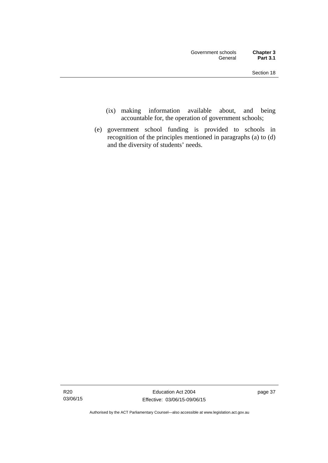- (ix) making information available about, and being accountable for, the operation of government schools;
- (e) government school funding is provided to schools in recognition of the principles mentioned in paragraphs (a) to (d) and the diversity of students' needs.

Authorised by the ACT Parliamentary Counsel—also accessible at www.legislation.act.gov.au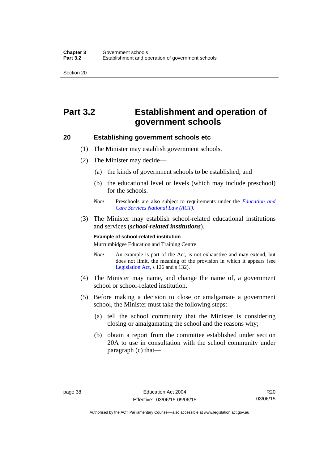# **Part 3.2 Establishment and operation of government schools**

## **20 Establishing government schools etc**

- (1) The Minister may establish government schools.
- (2) The Minister may decide—
	- (a) the kinds of government schools to be established; and
	- (b) the educational level or levels (which may include preschool) for the schools.
	- *Note* Preschools are also subject to requirements under the *[Education and](http://www.legislation.act.gov.au/a/2011-42/default.asp)  [Care Services National Law \(ACT\)](http://www.legislation.act.gov.au/a/2011-42/default.asp)*.
- (3) The Minister may establish school-related educational institutions and services (*school-related institutions*).

#### **Example of school-related institution**

Murrumbidgee Education and Training Centre

- *Note* An example is part of the Act, is not exhaustive and may extend, but does not limit, the meaning of the provision in which it appears (see [Legislation Act,](http://www.legislation.act.gov.au/a/2001-14) s 126 and s 132).
- (4) The Minister may name, and change the name of, a government school or school-related institution.
- (5) Before making a decision to close or amalgamate a government school, the Minister must take the following steps:
	- (a) tell the school community that the Minister is considering closing or amalgamating the school and the reasons why;
	- (b) obtain a report from the committee established under section 20A to use in consultation with the school community under paragraph (c) that—

R20 03/06/15

Authorised by the ACT Parliamentary Counsel—also accessible at www.legislation.act.gov.au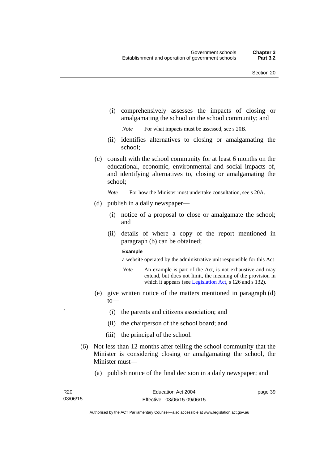(i) comprehensively assesses the impacts of closing or amalgamating the school on the school community; and

*Note* For what impacts must be assessed, see s 20B.

- (ii) identifies alternatives to closing or amalgamating the school;
- (c) consult with the school community for at least 6 months on the educational, economic, environmental and social impacts of, and identifying alternatives to, closing or amalgamating the school;

*Note* For how the Minister must undertake consultation, see s 20A.

- (d) publish in a daily newspaper—
	- (i) notice of a proposal to close or amalgamate the school; and
	- (ii) details of where a copy of the report mentioned in paragraph (b) can be obtained;

#### **Example**

a website operated by the administrative unit responsible for this Act

- *Note* An example is part of the Act, is not exhaustive and may extend, but does not limit, the meaning of the provision in which it appears (see [Legislation Act,](http://www.legislation.act.gov.au/a/2001-14) s 126 and s 132).
- (e) give written notice of the matters mentioned in paragraph (d) to—
	- ` (i) the parents and citizens association; and
	- (ii) the chairperson of the school board; and
	- (iii) the principal of the school.
- (6) Not less than 12 months after telling the school community that the Minister is considering closing or amalgamating the school, the Minister must—
	- (a) publish notice of the final decision in a daily newspaper; and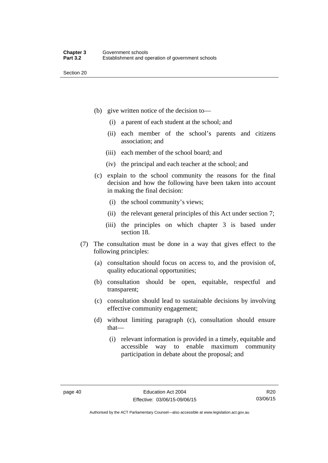- (b) give written notice of the decision to—
	- (i) a parent of each student at the school; and
	- (ii) each member of the school's parents and citizens association; and
	- (iii) each member of the school board; and
	- (iv) the principal and each teacher at the school; and
- (c) explain to the school community the reasons for the final decision and how the following have been taken into account in making the final decision:
	- (i) the school community's views;
	- (ii) the relevant general principles of this Act under section 7;
	- (iii) the principles on which chapter 3 is based under section 18.
- (7) The consultation must be done in a way that gives effect to the following principles:
	- (a) consultation should focus on access to, and the provision of, quality educational opportunities;
	- (b) consultation should be open, equitable, respectful and transparent;
	- (c) consultation should lead to sustainable decisions by involving effective community engagement;
	- (d) without limiting paragraph (c), consultation should ensure that—
		- (i) relevant information is provided in a timely, equitable and accessible way to enable maximum community participation in debate about the proposal; and

Authorised by the ACT Parliamentary Counsel—also accessible at www.legislation.act.gov.au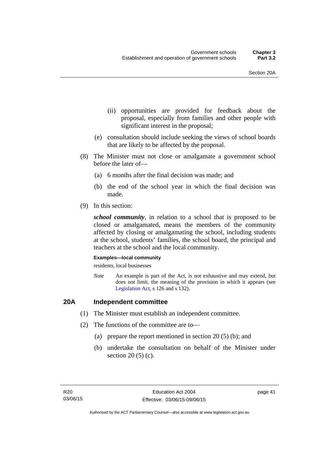- (ii) opportunities are provided for feedback about the proposal, especially from families and other people with significant interest in the proposal;
- (e) consultation should include seeking the views of school boards that are likely to be affected by the proposal.
- (8) The Minister must not close or amalgamate a government school before the later of—
	- (a) 6 months after the final decision was made; and
	- (b) the end of the school year in which the final decision was made.
- (9) In this section:

*school community*, in relation to a school that is proposed to be closed or amalgamated, means the members of the community affected by closing or amalgamating the school, including students at the school, students' families, the school board, the principal and teachers at the school and the local community.

#### **Examples—local community**

residents, local businesses

*Note* An example is part of the Act, is not exhaustive and may extend, but does not limit, the meaning of the provision in which it appears (see [Legislation Act,](http://www.legislation.act.gov.au/a/2001-14) s 126 and s 132).

## **20A Independent committee**

- (1) The Minister must establish an independent committee.
- (2) The functions of the committee are to—
	- (a) prepare the report mentioned in section 20 (5) (b); and
	- (b) undertake the consultation on behalf of the Minister under section 20 (5) (c).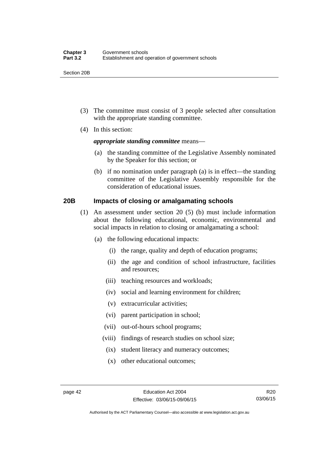Section 20B

- (3) The committee must consist of 3 people selected after consultation with the appropriate standing committee.
- (4) In this section:

### *appropriate standing committee* means—

- (a) the standing committee of the Legislative Assembly nominated by the Speaker for this section; or
- (b) if no nomination under paragraph (a) is in effect—the standing committee of the Legislative Assembly responsible for the consideration of educational issues.

## **20B Impacts of closing or amalgamating schools**

- (1) An assessment under section 20 (5) (b) must include information about the following educational, economic, environmental and social impacts in relation to closing or amalgamating a school:
	- (a) the following educational impacts:
		- (i) the range, quality and depth of education programs;
		- (ii) the age and condition of school infrastructure, facilities and resources;
		- (iii) teaching resources and workloads;
		- (iv) social and learning environment for children;
		- (v) extracurricular activities;
		- (vi) parent participation in school;
		- (vii) out-of-hours school programs;
		- (viii) findings of research studies on school size;
			- (ix) student literacy and numeracy outcomes;
			- (x) other educational outcomes;

Authorised by the ACT Parliamentary Counsel—also accessible at www.legislation.act.gov.au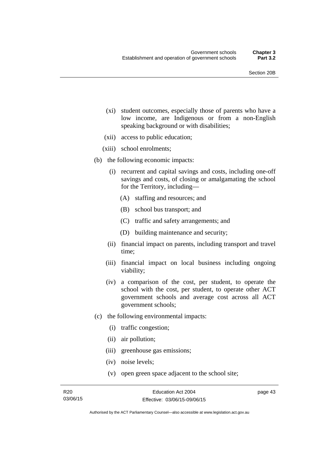- (xi) student outcomes, especially those of parents who have a low income, are Indigenous or from a non-English speaking background or with disabilities;
- (xii) access to public education;
- (xiii) school enrolments;
- (b) the following economic impacts:
	- (i) recurrent and capital savings and costs, including one-off savings and costs, of closing or amalgamating the school for the Territory, including—
		- (A) staffing and resources; and
		- (B) school bus transport; and
		- (C) traffic and safety arrangements; and
		- (D) building maintenance and security;
	- (ii) financial impact on parents, including transport and travel time;
	- (iii) financial impact on local business including ongoing viability;
	- (iv) a comparison of the cost, per student, to operate the school with the cost, per student, to operate other ACT government schools and average cost across all ACT government schools;
- (c) the following environmental impacts:
	- (i) traffic congestion;
	- (ii) air pollution;
	- (iii) greenhouse gas emissions;
	- (iv) noise levels;
	- (v) open green space adjacent to the school site;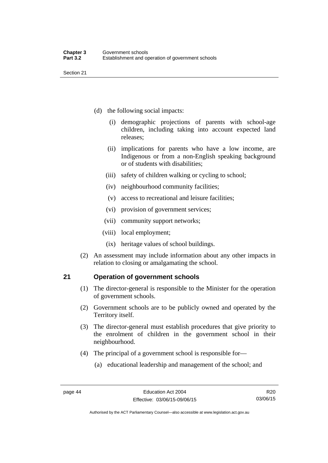- (d) the following social impacts:
	- (i) demographic projections of parents with school-age children, including taking into account expected land releases;
	- (ii) implications for parents who have a low income, are Indigenous or from a non-English speaking background or of students with disabilities;
	- (iii) safety of children walking or cycling to school;
	- (iv) neighbourhood community facilities;
	- (v) access to recreational and leisure facilities;
	- (vi) provision of government services;
	- (vii) community support networks;
	- (viii) local employment;
		- (ix) heritage values of school buildings.
- (2) An assessment may include information about any other impacts in relation to closing or amalgamating the school.

## **21 Operation of government schools**

- (1) The director-general is responsible to the Minister for the operation of government schools.
- (2) Government schools are to be publicly owned and operated by the Territory itself.
- (3) The director-general must establish procedures that give priority to the enrolment of children in the government school in their neighbourhood.
- (4) The principal of a government school is responsible for—
	- (a) educational leadership and management of the school; and

Authorised by the ACT Parliamentary Counsel—also accessible at www.legislation.act.gov.au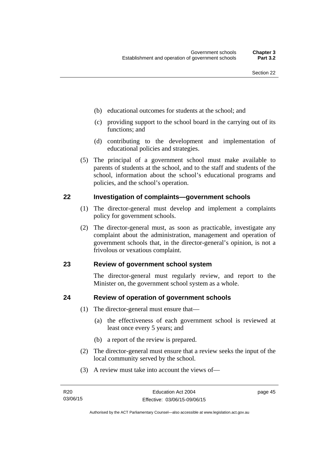- (b) educational outcomes for students at the school; and
- (c) providing support to the school board in the carrying out of its functions; and
- (d) contributing to the development and implementation of educational policies and strategies.
- (5) The principal of a government school must make available to parents of students at the school, and to the staff and students of the school, information about the school's educational programs and policies, and the school's operation.

## **22 Investigation of complaints—government schools**

- (1) The director-general must develop and implement a complaints policy for government schools.
- (2) The director-general must, as soon as practicable, investigate any complaint about the administration, management and operation of government schools that, in the director-general's opinion, is not a frivolous or vexatious complaint.

## **23 Review of government school system**

The director-general must regularly review, and report to the Minister on, the government school system as a whole.

## **24 Review of operation of government schools**

- (1) The director-general must ensure that—
	- (a) the effectiveness of each government school is reviewed at least once every 5 years; and
	- (b) a report of the review is prepared.
- (2) The director-general must ensure that a review seeks the input of the local community served by the school.
- (3) A review must take into account the views of—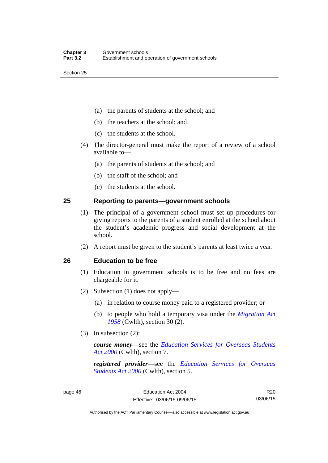- (a) the parents of students at the school; and
- (b) the teachers at the school; and
- (c) the students at the school.
- (4) The director-general must make the report of a review of a school available to—
	- (a) the parents of students at the school; and
	- (b) the staff of the school; and
	- (c) the students at the school.

## **25 Reporting to parents—government schools**

- (1) The principal of a government school must set up procedures for giving reports to the parents of a student enrolled at the school about the student's academic progress and social development at the school.
- (2) A report must be given to the student's parents at least twice a year.

## **26 Education to be free**

- (1) Education in government schools is to be free and no fees are chargeable for it.
- (2) Subsection (1) does not apply—
	- (a) in relation to course money paid to a registered provider; or
	- (b) to people who hold a temporary visa under the *[Migration Act](http://www.comlaw.gov.au/Series/C1958A00062)  [1958](http://www.comlaw.gov.au/Series/C1958A00062)* (Cwlth), section 30 (2).
- (3) In subsection (2):

*course money*—see the *[Education Services for Overseas Students](http://www.comlaw.gov.au/Series/C2004A00757)  [Act 2000](http://www.comlaw.gov.au/Series/C2004A00757)* (Cwlth), section 7.

*registered provider*—see the *[Education Services for Overseas](http://www.comlaw.gov.au/Series/C2004A00757)  [Students Act 2000](http://www.comlaw.gov.au/Series/C2004A00757)* (Cwlth), section 5.

R20 03/06/15

Authorised by the ACT Parliamentary Counsel—also accessible at www.legislation.act.gov.au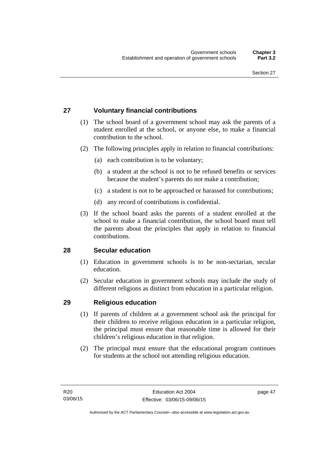## **27 Voluntary financial contributions**

- (1) The school board of a government school may ask the parents of a student enrolled at the school, or anyone else, to make a financial contribution to the school.
- (2) The following principles apply in relation to financial contributions:
	- (a) each contribution is to be voluntary;
	- (b) a student at the school is not to be refused benefits or services because the student's parents do not make a contribution;
	- (c) a student is not to be approached or harassed for contributions;
	- (d) any record of contributions is confidential.
- (3) If the school board asks the parents of a student enrolled at the school to make a financial contribution, the school board must tell the parents about the principles that apply in relation to financial contributions.

## **28 Secular education**

- (1) Education in government schools is to be non-sectarian, secular education.
- (2) Secular education in government schools may include the study of different religions as distinct from education in a particular religion.

## **29 Religious education**

- (1) If parents of children at a government school ask the principal for their children to receive religious education in a particular religion, the principal must ensure that reasonable time is allowed for their children's religious education in that religion.
- (2) The principal must ensure that the educational program continues for students at the school not attending religious education.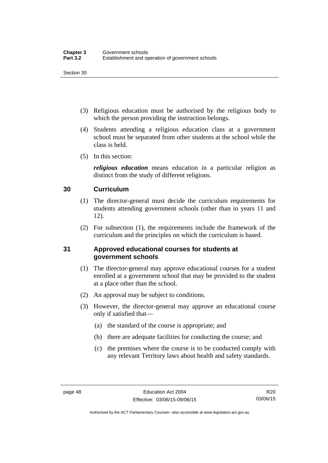- (3) Religious education must be authorised by the religious body to which the person providing the instruction belongs.
- (4) Students attending a religious education class at a government school must be separated from other students at the school while the class is held.
- (5) In this section:

*religious education* means education in a particular religion as distinct from the study of different religions.

## **30 Curriculum**

- (1) The director-general must decide the curriculum requirements for students attending government schools (other than in years 11 and 12).
- (2) For subsection (1), the requirements include the framework of the curriculum and the principles on which the curriculum is based.

## **31 Approved educational courses for students at government schools**

- (1) The director-general may approve educational courses for a student enrolled at a government school that may be provided to the student at a place other than the school.
- (2) An approval may be subject to conditions.
- (3) However, the director-general may approve an educational course only if satisfied that—
	- (a) the standard of the course is appropriate; and
	- (b) there are adequate facilities for conducting the course; and
	- (c) the premises where the course is to be conducted comply with any relevant Territory laws about health and safety standards.

Authorised by the ACT Parliamentary Counsel—also accessible at www.legislation.act.gov.au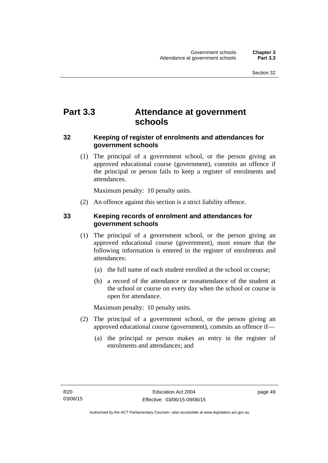# **Part 3.3 Attendance at government schools**

## **32 Keeping of register of enrolments and attendances for government schools**

 (1) The principal of a government school, or the person giving an approved educational course (government), commits an offence if the principal or person fails to keep a register of enrolments and attendances.

Maximum penalty: 10 penalty units.

(2) An offence against this section is a strict liability offence.

## **33 Keeping records of enrolment and attendances for government schools**

- (1) The principal of a government school, or the person giving an approved educational course (government), must ensure that the following information is entered in the register of enrolments and attendances:
	- (a) the full name of each student enrolled at the school or course;
	- (b) a record of the attendance or nonattendance of the student at the school or course on every day when the school or course is open for attendance.

Maximum penalty: 10 penalty units.

- (2) The principal of a government school, or the person giving an approved educational course (government), commits an offence if—
	- (a) the principal or person makes an entry in the register of enrolments and attendances; and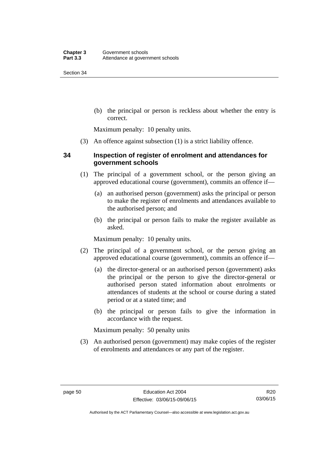(b) the principal or person is reckless about whether the entry is correct.

Maximum penalty: 10 penalty units.

(3) An offence against subsection (1) is a strict liability offence.

## **34 Inspection of register of enrolment and attendances for government schools**

- (1) The principal of a government school, or the person giving an approved educational course (government), commits an offence if—
	- (a) an authorised person (government) asks the principal or person to make the register of enrolments and attendances available to the authorised person; and
	- (b) the principal or person fails to make the register available as asked.

Maximum penalty: 10 penalty units.

- (2) The principal of a government school, or the person giving an approved educational course (government), commits an offence if—
	- (a) the director-general or an authorised person (government) asks the principal or the person to give the director-general or authorised person stated information about enrolments or attendances of students at the school or course during a stated period or at a stated time; and
	- (b) the principal or person fails to give the information in accordance with the request.

Maximum penalty: 50 penalty units

 (3) An authorised person (government) may make copies of the register of enrolments and attendances or any part of the register.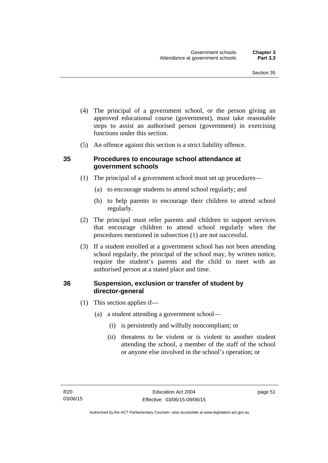- (4) The principal of a government school, or the person giving an approved educational course (government), must take reasonable steps to assist an authorised person (government) in exercising functions under this section.
- (5) An offence against this section is a strict liability offence.

## **35 Procedures to encourage school attendance at government schools**

- (1) The principal of a government school must set up procedures—
	- (a) to encourage students to attend school regularly; and
	- (b) to help parents to encourage their children to attend school regularly.
- (2) The principal must refer parents and children to support services that encourage children to attend school regularly when the procedures mentioned in subsection (1) are not successful.
- (3) If a student enrolled at a government school has not been attending school regularly, the principal of the school may, by written notice, require the student's parents and the child to meet with an authorised person at a stated place and time.

## **36 Suspension, exclusion or transfer of student by director-general**

- (1) This section applies if—
	- (a) a student attending a government school—
		- (i) is persistently and wilfully noncompliant; or
		- (ii) threatens to be violent or is violent to another student attending the school, a member of the staff of the school or anyone else involved in the school's operation; or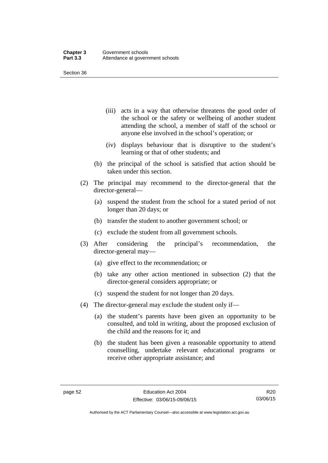- (iii) acts in a way that otherwise threatens the good order of the school or the safety or wellbeing of another student attending the school, a member of staff of the school or anyone else involved in the school's operation; or
- (iv) displays behaviour that is disruptive to the student's learning or that of other students; and
- (b) the principal of the school is satisfied that action should be taken under this section.
- (2) The principal may recommend to the director-general that the director-general—
	- (a) suspend the student from the school for a stated period of not longer than 20 days; or
	- (b) transfer the student to another government school; or
	- (c) exclude the student from all government schools.
- (3) After considering the principal's recommendation, the director-general may—
	- (a) give effect to the recommendation; or
	- (b) take any other action mentioned in subsection (2) that the director-general considers appropriate; or
	- (c) suspend the student for not longer than 20 days.
- (4) The director-general may exclude the student only if—
	- (a) the student's parents have been given an opportunity to be consulted, and told in writing, about the proposed exclusion of the child and the reasons for it; and
	- (b) the student has been given a reasonable opportunity to attend counselling, undertake relevant educational programs or receive other appropriate assistance; and

R20 03/06/15

Authorised by the ACT Parliamentary Counsel—also accessible at www.legislation.act.gov.au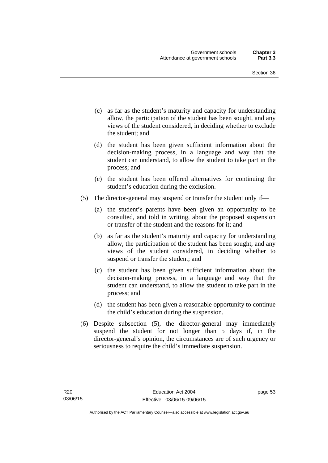- (c) as far as the student's maturity and capacity for understanding allow, the participation of the student has been sought, and any views of the student considered, in deciding whether to exclude the student; and
- (d) the student has been given sufficient information about the decision-making process, in a language and way that the student can understand, to allow the student to take part in the process; and
- (e) the student has been offered alternatives for continuing the student's education during the exclusion.
- (5) The director-general may suspend or transfer the student only if—
	- (a) the student's parents have been given an opportunity to be consulted, and told in writing, about the proposed suspension or transfer of the student and the reasons for it; and
	- (b) as far as the student's maturity and capacity for understanding allow, the participation of the student has been sought, and any views of the student considered, in deciding whether to suspend or transfer the student; and
	- (c) the student has been given sufficient information about the decision-making process, in a language and way that the student can understand, to allow the student to take part in the process; and
	- (d) the student has been given a reasonable opportunity to continue the child's education during the suspension.
- (6) Despite subsection (5), the director-general may immediately suspend the student for not longer than 5 days if, in the director-general's opinion, the circumstances are of such urgency or seriousness to require the child's immediate suspension.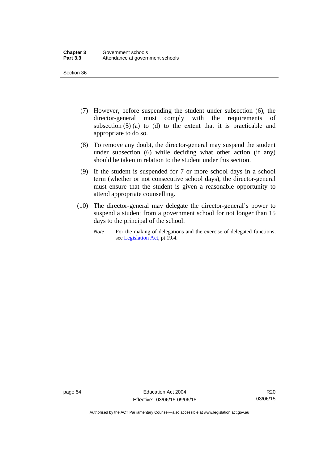- (7) However, before suspending the student under subsection (6), the director-general must comply with the requirements of subsection  $(5)$  (a) to (d) to the extent that it is practicable and appropriate to do so.
- (8) To remove any doubt, the director-general may suspend the student under subsection (6) while deciding what other action (if any) should be taken in relation to the student under this section.
- (9) If the student is suspended for 7 or more school days in a school term (whether or not consecutive school days), the director-general must ensure that the student is given a reasonable opportunity to attend appropriate counselling.
- (10) The director-general may delegate the director-general's power to suspend a student from a government school for not longer than 15 days to the principal of the school.
	- *Note* For the making of delegations and the exercise of delegated functions, see [Legislation Act](http://www.legislation.act.gov.au/a/2001-14), pt 19.4.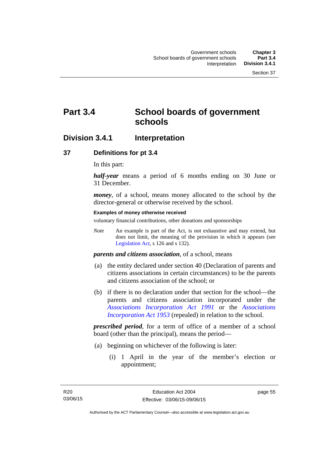# **Part 3.4 School boards of government schools**

## **Division 3.4.1 Interpretation**

## **37 Definitions for pt 3.4**

In this part:

*half-year* means a period of 6 months ending on 30 June or 31 December.

*money*, of a school, means money allocated to the school by the director-general or otherwise received by the school.

#### **Examples of money otherwise received**

voluntary financial contributions, other donations and sponsorships

*Note* An example is part of the Act, is not exhaustive and may extend, but does not limit, the meaning of the provision in which it appears (see [Legislation Act,](http://www.legislation.act.gov.au/a/2001-14) s 126 and s 132).

*parents and citizens association*, of a school, means

- (a) the entity declared under section 40 (Declaration of parents and citizens associations in certain circumstances) to be the parents and citizens association of the school; or
- (b) if there is no declaration under that section for the school—the parents and citizens association incorporated under the *[Associations Incorporation Act 1991](http://www.legislation.act.gov.au/a/1991-46)* or the *[Associations](http://www.legislation.act.gov.au/a/1953-15)  [Incorporation Act 1953](http://www.legislation.act.gov.au/a/1953-15)* (repealed) in relation to the school.

*prescribed period*, for a term of office of a member of a school board (other than the principal), means the period—

- (a) beginning on whichever of the following is later:
	- (i) 1 April in the year of the member's election or appointment;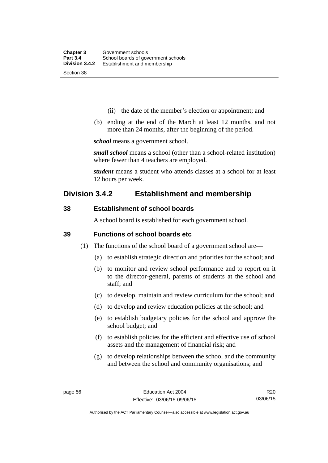- (ii) the date of the member's election or appointment; and
- (b) ending at the end of the March at least 12 months, and not more than 24 months, after the beginning of the period.

*school* means a government school.

*small school* means a school (other than a school-related institution) where fewer than 4 teachers are employed.

*student* means a student who attends classes at a school for at least 12 hours per week.

## **Division 3.4.2 Establishment and membership**

## **38 Establishment of school boards**

A school board is established for each government school.

### **39 Functions of school boards etc**

- (1) The functions of the school board of a government school are—
	- (a) to establish strategic direction and priorities for the school; and
	- (b) to monitor and review school performance and to report on it to the director-general, parents of students at the school and staff; and
	- (c) to develop, maintain and review curriculum for the school; and
	- (d) to develop and review education policies at the school; and
	- (e) to establish budgetary policies for the school and approve the school budget; and
	- (f) to establish policies for the efficient and effective use of school assets and the management of financial risk; and
	- (g) to develop relationships between the school and the community and between the school and community organisations; and

R20 03/06/15

Authorised by the ACT Parliamentary Counsel—also accessible at www.legislation.act.gov.au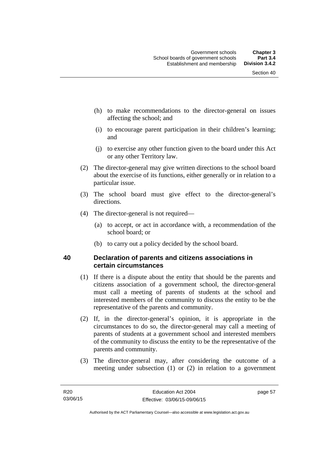- (h) to make recommendations to the director-general on issues affecting the school; and
- (i) to encourage parent participation in their children's learning; and
- (j) to exercise any other function given to the board under this Act or any other Territory law.
- (2) The director-general may give written directions to the school board about the exercise of its functions, either generally or in relation to a particular issue.
- (3) The school board must give effect to the director-general's directions.
- (4) The director-general is not required—
	- (a) to accept, or act in accordance with, a recommendation of the school board; or
	- (b) to carry out a policy decided by the school board.

## **40 Declaration of parents and citizens associations in certain circumstances**

- (1) If there is a dispute about the entity that should be the parents and citizens association of a government school, the director-general must call a meeting of parents of students at the school and interested members of the community to discuss the entity to be the representative of the parents and community.
- (2) If, in the director-general's opinion, it is appropriate in the circumstances to do so, the director-general may call a meeting of parents of students at a government school and interested members of the community to discuss the entity to be the representative of the parents and community.
- (3) The director-general may, after considering the outcome of a meeting under subsection (1) or (2) in relation to a government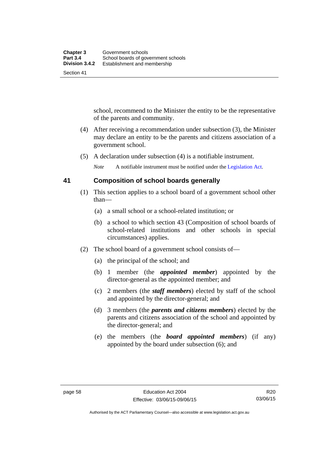school, recommend to the Minister the entity to be the representative of the parents and community.

- (4) After receiving a recommendation under subsection (3), the Minister may declare an entity to be the parents and citizens association of a government school.
- (5) A declaration under subsection (4) is a notifiable instrument.

*Note* A notifiable instrument must be notified under the [Legislation Act](http://www.legislation.act.gov.au/a/2001-14).

## **41 Composition of school boards generally**

- (1) This section applies to a school board of a government school other than—
	- (a) a small school or a school-related institution; or
	- (b) a school to which section 43 (Composition of school boards of school-related institutions and other schools in special circumstances) applies.
- (2) The school board of a government school consists of—
	- (a) the principal of the school; and
	- (b) 1 member (the *appointed member*) appointed by the director-general as the appointed member; and
	- (c) 2 members (the *staff members*) elected by staff of the school and appointed by the director-general; and
	- (d) 3 members (the *parents and citizens members*) elected by the parents and citizens association of the school and appointed by the director-general; and
	- (e) the members (the *board appointed members*) (if any) appointed by the board under subsection (6); and

Authorised by the ACT Parliamentary Counsel—also accessible at www.legislation.act.gov.au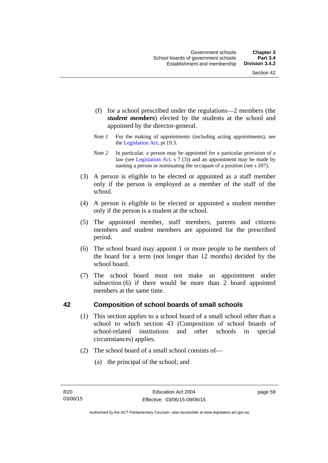- (f) for a school prescribed under the regulations—2 members (the *student members*) elected by the students at the school and appointed by the director-general.
- *Note 1* For the making of appointments (including acting appointments), see the [Legislation Act,](http://www.legislation.act.gov.au/a/2001-14) pt 19.3.
- *Note 2* In particular, a person may be appointed for a particular provision of a law (see [Legislation Act,](http://www.legislation.act.gov.au/a/2001-14) s 7 (3)) and an appointment may be made by naming a person or nominating the occupant of a position (see s 207).
- (3) A person is eligible to be elected or appointed as a staff member only if the person is employed as a member of the staff of the school.
- (4) A person is eligible to be elected or appointed a student member only if the person is a student at the school.
- (5) The appointed member, staff members, parents and citizens members and student members are appointed for the prescribed period.
- (6) The school board may appoint 1 or more people to be members of the board for a term (not longer than 12 months) decided by the school board.
- (7) The school board must not make an appointment under subsection (6) if there would be more than 2 board appointed members at the same time.

## **42 Composition of school boards of small schools**

- (1) This section applies to a school board of a small school other than a school to which section 43 (Composition of school boards of school-related institutions and other schools in special circumstances) applies.
- (2) The school board of a small school consists of—
	- (a) the principal of the school; and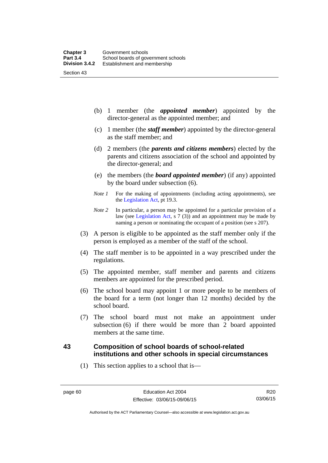(b) 1 member (the *appointed member*) appointed by the director-general as the appointed member; and

- (c) 1 member (the *staff member*) appointed by the director-general as the staff member; and
- (d) 2 members (the *parents and citizens members*) elected by the parents and citizens association of the school and appointed by the director-general; and
- (e) the members (the *board appointed member*) (if any) appointed by the board under subsection (6).
- *Note 1* For the making of appointments (including acting appointments), see the [Legislation Act,](http://www.legislation.act.gov.au/a/2001-14) pt 19.3.
- *Note 2* In particular, a person may be appointed for a particular provision of a law (see [Legislation Act,](http://www.legislation.act.gov.au/a/2001-14) s 7 (3)) and an appointment may be made by naming a person or nominating the occupant of a position (see s 207).
- (3) A person is eligible to be appointed as the staff member only if the person is employed as a member of the staff of the school.
- (4) The staff member is to be appointed in a way prescribed under the regulations.
- (5) The appointed member, staff member and parents and citizens members are appointed for the prescribed period.
- (6) The school board may appoint 1 or more people to be members of the board for a term (not longer than 12 months) decided by the school board.
- (7) The school board must not make an appointment under subsection (6) if there would be more than 2 board appointed members at the same time.

## **43 Composition of school boards of school-related institutions and other schools in special circumstances**

(1) This section applies to a school that is—

Authorised by the ACT Parliamentary Counsel—also accessible at www.legislation.act.gov.au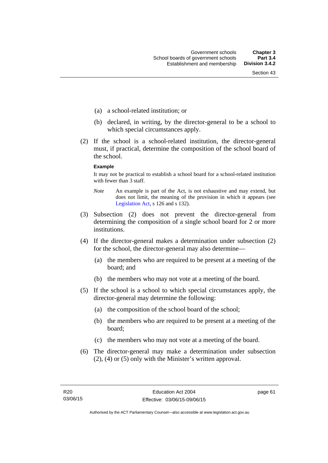- (a) a school-related institution; or
- (b) declared, in writing, by the director-general to be a school to which special circumstances apply.
- (2) If the school is a school-related institution, the director-general must, if practical, determine the composition of the school board of the school.

#### **Example**

It may not be practical to establish a school board for a school-related institution with fewer than 3 staff.

- *Note* An example is part of the Act, is not exhaustive and may extend, but does not limit, the meaning of the provision in which it appears (see [Legislation Act,](http://www.legislation.act.gov.au/a/2001-14) s 126 and s 132).
- (3) Subsection (2) does not prevent the director-general from determining the composition of a single school board for 2 or more institutions.
- (4) If the director-general makes a determination under subsection (2) for the school, the director-general may also determine—
	- (a) the members who are required to be present at a meeting of the board; and
	- (b) the members who may not vote at a meeting of the board.
- (5) If the school is a school to which special circumstances apply, the director-general may determine the following:
	- (a) the composition of the school board of the school;
	- (b) the members who are required to be present at a meeting of the board;
	- (c) the members who may not vote at a meeting of the board.
- (6) The director-general may make a determination under subsection (2), (4) or (5) only with the Minister's written approval.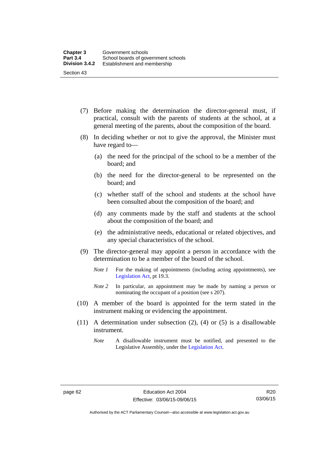- (7) Before making the determination the director-general must, if practical, consult with the parents of students at the school, at a general meeting of the parents, about the composition of the board.
- (8) In deciding whether or not to give the approval, the Minister must have regard to—
	- (a) the need for the principal of the school to be a member of the board; and
	- (b) the need for the director-general to be represented on the board; and
	- (c) whether staff of the school and students at the school have been consulted about the composition of the board; and
	- (d) any comments made by the staff and students at the school about the composition of the board; and
	- (e) the administrative needs, educational or related objectives, and any special characteristics of the school.
- (9) The director-general may appoint a person in accordance with the determination to be a member of the board of the school.
	- *Note 1* For the making of appointments (including acting appointments), see [Legislation Act,](http://www.legislation.act.gov.au/a/2001-14) pt 19.3.
	- *Note 2* In particular, an appointment may be made by naming a person or nominating the occupant of a position (see s 207).
- (10) A member of the board is appointed for the term stated in the instrument making or evidencing the appointment.
- (11) A determination under subsection (2), (4) or (5) is a disallowable instrument.
	- *Note* A disallowable instrument must be notified, and presented to the Legislative Assembly, under the [Legislation Act.](http://www.legislation.act.gov.au/a/2001-14)

Authorised by the ACT Parliamentary Counsel—also accessible at www.legislation.act.gov.au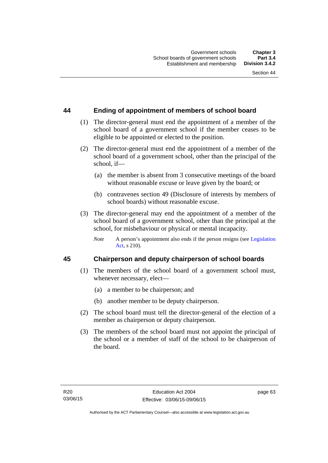## **44 Ending of appointment of members of school board**

- (1) The director-general must end the appointment of a member of the school board of a government school if the member ceases to be eligible to be appointed or elected to the position.
- (2) The director-general must end the appointment of a member of the school board of a government school, other than the principal of the school, if—
	- (a) the member is absent from 3 consecutive meetings of the board without reasonable excuse or leave given by the board; or
	- (b) contravenes section 49 (Disclosure of interests by members of school boards) without reasonable excuse.
- (3) The director-general may end the appointment of a member of the school board of a government school, other than the principal at the school, for misbehaviour or physical or mental incapacity.
	- *Note* A person's appointment also ends if the person resigns (see Legislation [Act](http://www.legislation.act.gov.au/a/2001-14), s 210).

## **45 Chairperson and deputy chairperson of school boards**

- (1) The members of the school board of a government school must, whenever necessary, elect—
	- (a) a member to be chairperson; and
	- (b) another member to be deputy chairperson.
- (2) The school board must tell the director-general of the election of a member as chairperson or deputy chairperson.
- (3) The members of the school board must not appoint the principal of the school or a member of staff of the school to be chairperson of the board.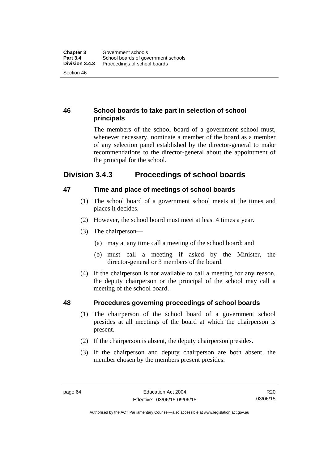## **46 School boards to take part in selection of school principals**

The members of the school board of a government school must, whenever necessary, nominate a member of the board as a member of any selection panel established by the director-general to make recommendations to the director-general about the appointment of the principal for the school.

## **Division 3.4.3 Proceedings of school boards**

## **47 Time and place of meetings of school boards**

- (1) The school board of a government school meets at the times and places it decides.
- (2) However, the school board must meet at least 4 times a year.
- (3) The chairperson—
	- (a) may at any time call a meeting of the school board; and
	- (b) must call a meeting if asked by the Minister, the director-general or 3 members of the board.
- (4) If the chairperson is not available to call a meeting for any reason, the deputy chairperson or the principal of the school may call a meeting of the school board.

## **48 Procedures governing proceedings of school boards**

- (1) The chairperson of the school board of a government school presides at all meetings of the board at which the chairperson is present.
- (2) If the chairperson is absent, the deputy chairperson presides.
- (3) If the chairperson and deputy chairperson are both absent, the member chosen by the members present presides.

Authorised by the ACT Parliamentary Counsel—also accessible at www.legislation.act.gov.au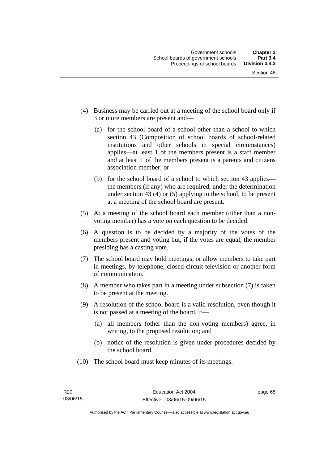- (4) Business may be carried out at a meeting of the school board only if 3 or more members are present and—
	- (a) for the school board of a school other than a school to which section 43 (Composition of school boards of school-related institutions and other schools in special circumstances) applies—at least 1 of the members present is a staff member and at least 1 of the members present is a parents and citizens association member; or
	- (b) for the school board of a school to which section 43 applies the members (if any) who are required, under the determination under section 43 (4) or (5) applying to the school, to be present at a meeting of the school board are present.
- (5) At a meeting of the school board each member (other than a nonvoting member) has a vote on each question to be decided.
- (6) A question is to be decided by a majority of the votes of the members present and voting but, if the votes are equal, the member presiding has a casting vote.
- (7) The school board may hold meetings, or allow members to take part in meetings, by telephone, closed-circuit television or another form of communication.
- (8) A member who takes part in a meeting under subsection (7) is taken to be present at the meeting.
- (9) A resolution of the school board is a valid resolution, even though it is not passed at a meeting of the board, if—
	- (a) all members (other than the non-voting members) agree, in writing, to the proposed resolution; and
	- (b) notice of the resolution is given under procedures decided by the school board.
- (10) The school board must keep minutes of its meetings.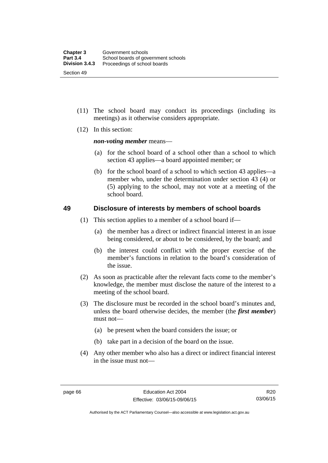- (11) The school board may conduct its proceedings (including its meetings) as it otherwise considers appropriate.
- (12) In this section:

*non-voting member* means—

- (a) for the school board of a school other than a school to which section 43 applies—a board appointed member; or
- (b) for the school board of a school to which section 43 applies—a member who, under the determination under section 43 (4) or (5) applying to the school, may not vote at a meeting of the school board.

## **49 Disclosure of interests by members of school boards**

- (1) This section applies to a member of a school board if—
	- (a) the member has a direct or indirect financial interest in an issue being considered, or about to be considered, by the board; and
	- (b) the interest could conflict with the proper exercise of the member's functions in relation to the board's consideration of the issue.
- (2) As soon as practicable after the relevant facts come to the member's knowledge, the member must disclose the nature of the interest to a meeting of the school board.
- (3) The disclosure must be recorded in the school board's minutes and, unless the board otherwise decides, the member (the *first member*) must not—
	- (a) be present when the board considers the issue; or
	- (b) take part in a decision of the board on the issue.
- (4) Any other member who also has a direct or indirect financial interest in the issue must not—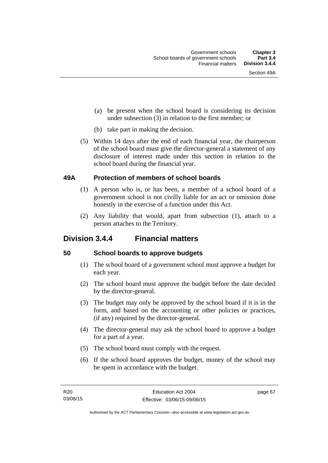- (a) be present when the school board is considering its decision under subsection (3) in relation to the first member; or
- (b) take part in making the decision.
- (5) Within 14 days after the end of each financial year, the chairperson of the school board must give the director-general a statement of any disclosure of interest made under this section in relation to the school board during the financial year.

## **49A Protection of members of school boards**

- (1) A person who is, or has been, a member of a school board of a government school is not civilly liable for an act or omission done honestly in the exercise of a function under this Act.
- (2) Any liability that would, apart from subsection (1), attach to a person attaches to the Territory.

## **Division 3.4.4 Financial matters**

## **50 School boards to approve budgets**

- (1) The school board of a government school must approve a budget for each year.
- (2) The school board must approve the budget before the date decided by the director-general.
- (3) The budget may only be approved by the school board if it is in the form, and based on the accounting or other policies or practices, (if any) required by the director-general.
- (4) The director-general may ask the school board to approve a budget for a part of a year.
- (5) The school board must comply with the request.
- (6) If the school board approves the budget, money of the school may be spent in accordance with the budget.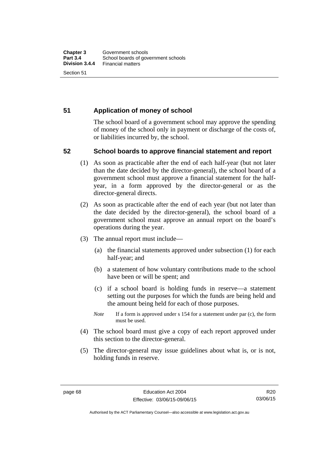## **51 Application of money of school**

The school board of a government school may approve the spending of money of the school only in payment or discharge of the costs of, or liabilities incurred by, the school.

## **52 School boards to approve financial statement and report**

- (1) As soon as practicable after the end of each half-year (but not later than the date decided by the director-general), the school board of a government school must approve a financial statement for the halfyear, in a form approved by the director-general or as the director-general directs.
- (2) As soon as practicable after the end of each year (but not later than the date decided by the director-general), the school board of a government school must approve an annual report on the board's operations during the year.
- (3) The annual report must include—
	- (a) the financial statements approved under subsection (1) for each half-year; and
	- (b) a statement of how voluntary contributions made to the school have been or will be spent; and
	- (c) if a school board is holding funds in reserve—a statement setting out the purposes for which the funds are being held and the amount being held for each of those purposes.
	- *Note* If a form is approved under s 154 for a statement under par (c), the form must be used.
- (4) The school board must give a copy of each report approved under this section to the director-general.
- (5) The director-general may issue guidelines about what is, or is not, holding funds in reserve.

R20 03/06/15

Authorised by the ACT Parliamentary Counsel—also accessible at www.legislation.act.gov.au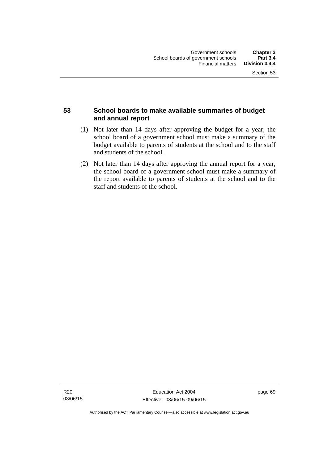## **53 School boards to make available summaries of budget and annual report**

- (1) Not later than 14 days after approving the budget for a year, the school board of a government school must make a summary of the budget available to parents of students at the school and to the staff and students of the school.
- (2) Not later than 14 days after approving the annual report for a year, the school board of a government school must make a summary of the report available to parents of students at the school and to the staff and students of the school.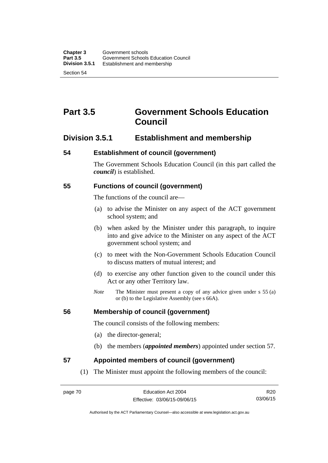# **Part 3.5 Government Schools Education Council**

## **Division 3.5.1 Establishment and membership**

## **54 Establishment of council (government)**

The Government Schools Education Council (in this part called the *council*) is established.

## **55 Functions of council (government)**

The functions of the council are—

- (a) to advise the Minister on any aspect of the ACT government school system; and
- (b) when asked by the Minister under this paragraph, to inquire into and give advice to the Minister on any aspect of the ACT government school system; and
- (c) to meet with the Non-Government Schools Education Council to discuss matters of mutual interest; and
- (d) to exercise any other function given to the council under this Act or any other Territory law.
- *Note* The Minister must present a copy of any advice given under s 55 (a) or (b) to the Legislative Assembly (see s 66A).

## **56 Membership of council (government)**

The council consists of the following members:

- (a) the director-general;
- (b) the members (*appointed members*) appointed under section 57.

## **57 Appointed members of council (government)**

(1) The Minister must appoint the following members of the council:

R20 03/06/15

Authorised by the ACT Parliamentary Counsel—also accessible at www.legislation.act.gov.au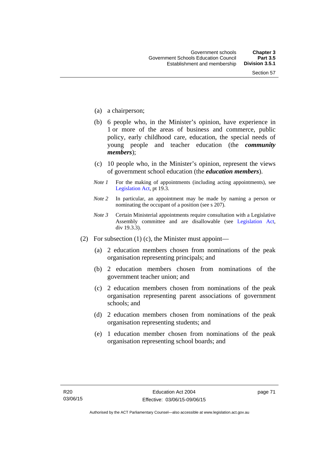- (a) a chairperson;
- (b) 6 people who, in the Minister's opinion, have experience in 1 or more of the areas of business and commerce, public policy, early childhood care, education, the special needs of young people and teacher education (the *community members*);
- (c) 10 people who, in the Minister's opinion, represent the views of government school education (the *education members*).
- *Note 1* For the making of appointments (including acting appointments), see [Legislation Act,](http://www.legislation.act.gov.au/a/2001-14) pt 19.3.
- *Note 2* In particular, an appointment may be made by naming a person or nominating the occupant of a position (see s 207).
- *Note 3* Certain Ministerial appointments require consultation with a Legislative Assembly committee and are disallowable (see [Legislation Act,](http://www.legislation.act.gov.au/a/2001-14) div 19.3.3).
- (2) For subsection (1) (c), the Minister must appoint—
	- (a) 2 education members chosen from nominations of the peak organisation representing principals; and
	- (b) 2 education members chosen from nominations of the government teacher union; and
	- (c) 2 education members chosen from nominations of the peak organisation representing parent associations of government schools; and
	- (d) 2 education members chosen from nominations of the peak organisation representing students; and
	- (e) 1 education member chosen from nominations of the peak organisation representing school boards; and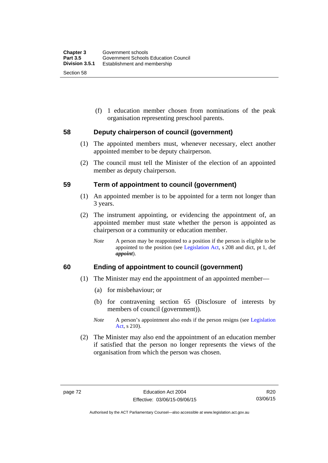(f) 1 education member chosen from nominations of the peak organisation representing preschool parents.

## **58 Deputy chairperson of council (government)**

- (1) The appointed members must, whenever necessary, elect another appointed member to be deputy chairperson.
- (2) The council must tell the Minister of the election of an appointed member as deputy chairperson.

#### **59 Term of appointment to council (government)**

- (1) An appointed member is to be appointed for a term not longer than 3 years.
- (2) The instrument appointing, or evidencing the appointment of, an appointed member must state whether the person is appointed as chairperson or a community or education member.
	- *Note* A person may be reappointed to a position if the person is eligible to be appointed to the position (see [Legislation Act](http://www.legislation.act.gov.au/a/2001-14), s 208 and dict, pt 1, def *appoint*).

## **60 Ending of appointment to council (government)**

- (1) The Minister may end the appointment of an appointed member—
	- (a) for misbehaviour; or
	- (b) for contravening section 65 (Disclosure of interests by members of council (government)).
	- *Note* A person's appointment also ends if the person resigns (see Legislation [Act](http://www.legislation.act.gov.au/a/2001-14), s 210).
- (2) The Minister may also end the appointment of an education member if satisfied that the person no longer represents the views of the organisation from which the person was chosen.

R20 03/06/15

Authorised by the ACT Parliamentary Counsel—also accessible at www.legislation.act.gov.au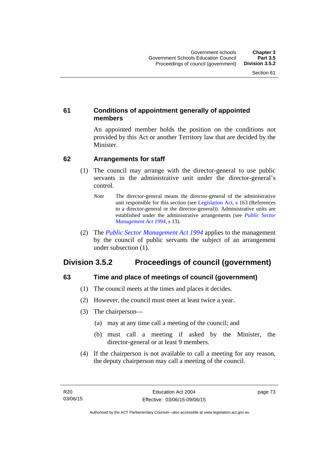## **61 Conditions of appointment generally of appointed members**

An appointed member holds the position on the conditions not provided by this Act or another Territory law that are decided by the Minister.

## **62 Arrangements for staff**

- (1) The council may arrange with the director-general to use public servants in the administrative unit under the director-general's control.
	- *Note* The director-general means the director-general of the administrative unit responsible for this section (see [Legislation Act](http://www.legislation.act.gov.au/a/2001-14), s 163 (References to a director-general or the director-general)). Administrative units are established under the administrative arrangements (see *[Public Sector](http://www.legislation.act.gov.au/a/1994-37)  [Management Act 1994](http://www.legislation.act.gov.au/a/1994-37)*, s 13).
- (2) The *[Public Sector Management Act 1994](http://www.legislation.act.gov.au/a/1994-37)* applies to the management by the council of public servants the subject of an arrangement under subsection (1).

# **Division 3.5.2 Proceedings of council (government)**

## **63 Time and place of meetings of council (government)**

- (1) The council meets at the times and places it decides.
- (2) However, the council must meet at least twice a year.
- (3) The chairperson—
	- (a) may at any time call a meeting of the council; and
	- (b) must call a meeting if asked by the Minister, the director-general or at least 9 members.
- (4) If the chairperson is not available to call a meeting for any reason, the deputy chairperson may call a meeting of the council.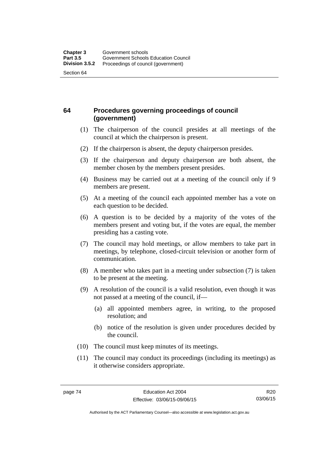## **64 Procedures governing proceedings of council (government)**

- (1) The chairperson of the council presides at all meetings of the council at which the chairperson is present.
- (2) If the chairperson is absent, the deputy chairperson presides.
- (3) If the chairperson and deputy chairperson are both absent, the member chosen by the members present presides.
- (4) Business may be carried out at a meeting of the council only if 9 members are present.
- (5) At a meeting of the council each appointed member has a vote on each question to be decided.
- (6) A question is to be decided by a majority of the votes of the members present and voting but, if the votes are equal, the member presiding has a casting vote.
- (7) The council may hold meetings, or allow members to take part in meetings, by telephone, closed-circuit television or another form of communication.
- (8) A member who takes part in a meeting under subsection (7) is taken to be present at the meeting.
- (9) A resolution of the council is a valid resolution, even though it was not passed at a meeting of the council, if—
	- (a) all appointed members agree, in writing, to the proposed resolution; and
	- (b) notice of the resolution is given under procedures decided by the council.
- (10) The council must keep minutes of its meetings.
- (11) The council may conduct its proceedings (including its meetings) as it otherwise considers appropriate.

R20 03/06/15

Authorised by the ACT Parliamentary Counsel—also accessible at www.legislation.act.gov.au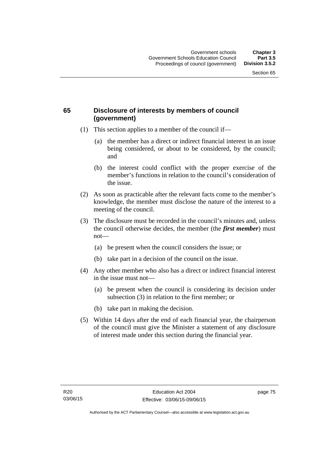## **65 Disclosure of interests by members of council (government)**

- (1) This section applies to a member of the council if—
	- (a) the member has a direct or indirect financial interest in an issue being considered, or about to be considered, by the council; and
	- (b) the interest could conflict with the proper exercise of the member's functions in relation to the council's consideration of the issue.
- (2) As soon as practicable after the relevant facts come to the member's knowledge, the member must disclose the nature of the interest to a meeting of the council.
- (3) The disclosure must be recorded in the council's minutes and, unless the council otherwise decides, the member (the *first member*) must not—
	- (a) be present when the council considers the issue; or
	- (b) take part in a decision of the council on the issue.
- (4) Any other member who also has a direct or indirect financial interest in the issue must not—
	- (a) be present when the council is considering its decision under subsection (3) in relation to the first member; or
	- (b) take part in making the decision.
- (5) Within 14 days after the end of each financial year, the chairperson of the council must give the Minister a statement of any disclosure of interest made under this section during the financial year.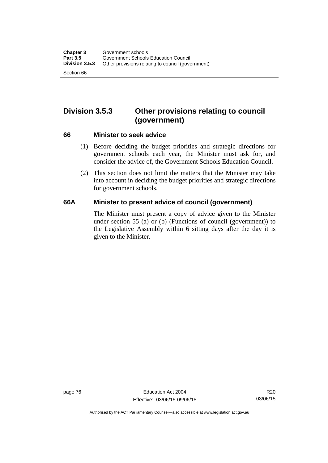# **Division 3.5.3 Other provisions relating to council (government)**

#### **66 Minister to seek advice**

- (1) Before deciding the budget priorities and strategic directions for government schools each year, the Minister must ask for, and consider the advice of, the Government Schools Education Council.
- (2) This section does not limit the matters that the Minister may take into account in deciding the budget priorities and strategic directions for government schools.

## **66A Minister to present advice of council (government)**

The Minister must present a copy of advice given to the Minister under section 55 (a) or (b) (Functions of council (government)) to the Legislative Assembly within 6 sitting days after the day it is given to the Minister.

Authorised by the ACT Parliamentary Counsel—also accessible at www.legislation.act.gov.au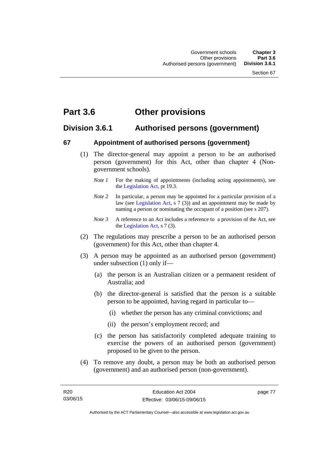# **Part 3.6 Other provisions**

## **Division 3.6.1 Authorised persons (government)**

## **67 Appointment of authorised persons (government)**

- (1) The director-general may appoint a person to be an authorised person (government) for this Act, other than chapter 4 (Nongovernment schools).
	- *Note 1* For the making of appointments (including acting appointments), see the [Legislation Act,](http://www.legislation.act.gov.au/a/2001-14) pt 19.3.
	- *Note 2* In particular, a person may be appointed for a particular provision of a law (see [Legislation Act,](http://www.legislation.act.gov.au/a/2001-14) s 7 (3)) and an appointment may be made by naming a person or nominating the occupant of a position (see s 207).
	- *Note 3* A reference to an Act includes a reference to a provision of the Act, see the [Legislation Act,](http://www.legislation.act.gov.au/a/2001-14) s 7 (3).
- (2) The regulations may prescribe a person to be an authorised person (government) for this Act, other than chapter 4.
- (3) A person may be appointed as an authorised person (government) under subsection (1) only if—
	- (a) the person is an Australian citizen or a permanent resident of Australia; and
	- (b) the director-general is satisfied that the person is a suitable person to be appointed, having regard in particular to—
		- (i) whether the person has any criminal convictions; and
		- (ii) the person's employment record; and
	- (c) the person has satisfactorily completed adequate training to exercise the powers of an authorised person (government) proposed to be given to the person.
- (4) To remove any doubt, a person may be both an authorised person (government) and an authorised person (non-government).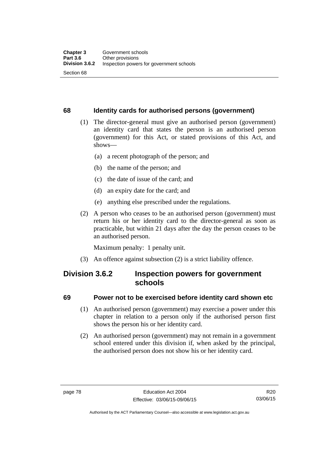## **68 Identity cards for authorised persons (government)**

- (1) The director-general must give an authorised person (government) an identity card that states the person is an authorised person (government) for this Act, or stated provisions of this Act, and shows—
	- (a) a recent photograph of the person; and
	- (b) the name of the person; and
	- (c) the date of issue of the card; and
	- (d) an expiry date for the card; and
	- (e) anything else prescribed under the regulations.
- (2) A person who ceases to be an authorised person (government) must return his or her identity card to the director-general as soon as practicable, but within 21 days after the day the person ceases to be an authorised person.

Maximum penalty: 1 penalty unit.

(3) An offence against subsection (2) is a strict liability offence.

## **Division 3.6.2 Inspection powers for government schools**

## **69 Power not to be exercised before identity card shown etc**

- (1) An authorised person (government) may exercise a power under this chapter in relation to a person only if the authorised person first shows the person his or her identity card.
- (2) An authorised person (government) may not remain in a government school entered under this division if, when asked by the principal, the authorised person does not show his or her identity card.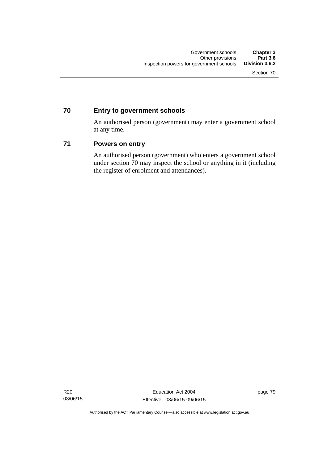## **70 Entry to government schools**

An authorised person (government) may enter a government school at any time.

## **71 Powers on entry**

An authorised person (government) who enters a government school under section 70 may inspect the school or anything in it (including the register of enrolment and attendances).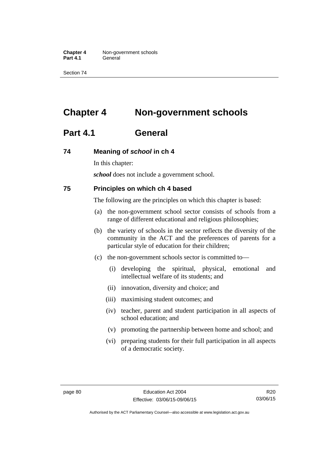**Chapter 4** Non-government schools Part 4.1 **General** 

Section 74

# **Chapter 4 Non-government schools**

## **Part 4.1 General**

#### **74 Meaning of** *school* **in ch 4**

In this chapter:

*school* does not include a government school.

#### **75 Principles on which ch 4 based**

The following are the principles on which this chapter is based:

- (a) the non-government school sector consists of schools from a range of different educational and religious philosophies;
- (b) the variety of schools in the sector reflects the diversity of the community in the ACT and the preferences of parents for a particular style of education for their children;
- (c) the non-government schools sector is committed to—
	- (i) developing the spiritual, physical, emotional and intellectual welfare of its students; and
	- (ii) innovation, diversity and choice; and
	- (iii) maximising student outcomes; and
	- (iv) teacher, parent and student participation in all aspects of school education; and
	- (v) promoting the partnership between home and school; and
	- (vi) preparing students for their full participation in all aspects of a democratic society.

R20 03/06/15

Authorised by the ACT Parliamentary Counsel—also accessible at www.legislation.act.gov.au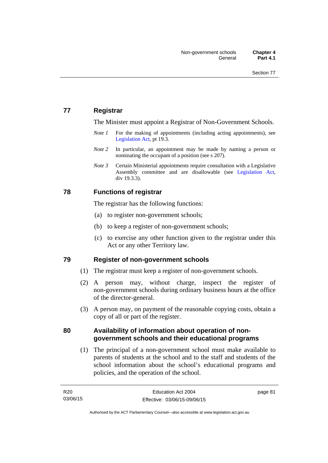## **77 Registrar**

The Minister must appoint a Registrar of Non-Government Schools.

- *Note 1* For the making of appointments (including acting appointments), see [Legislation Act,](http://www.legislation.act.gov.au/a/2001-14) pt 19.3.
- *Note* 2 In particular, an appointment may be made by naming a person or nominating the occupant of a position (see s 207).
- *Note 3* Certain Ministerial appointments require consultation with a Legislative Assembly committee and are disallowable (see [Legislation Act,](http://www.legislation.act.gov.au/a/2001-14) div 19.3.3).

## **78 Functions of registrar**

The registrar has the following functions:

- (a) to register non-government schools;
- (b) to keep a register of non-government schools;
- (c) to exercise any other function given to the registrar under this Act or any other Territory law.

## **79 Register of non-government schools**

- (1) The registrar must keep a register of non-government schools.
- (2) A person may, without charge, inspect the register of non-government schools during ordinary business hours at the office of the director-general.
- (3) A person may, on payment of the reasonable copying costs, obtain a copy of all or part of the register.

## **80 Availability of information about operation of nongovernment schools and their educational programs**

(1) The principal of a non-government school must make available to parents of students at the school and to the staff and students of the school information about the school's educational programs and policies, and the operation of the school.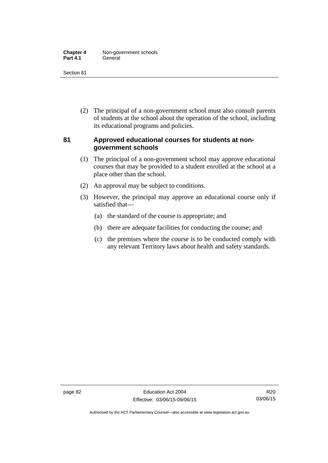| <b>Chapter 4</b> | Non-government schools |
|------------------|------------------------|
| <b>Part 4.1</b>  | General                |

 (2) The principal of a non-government school must also consult parents of students at the school about the operation of the school, including its educational programs and policies.

## **81 Approved educational courses for students at nongovernment schools**

- (1) The principal of a non-government school may approve educational courses that may be provided to a student enrolled at the school at a place other than the school.
- (2) An approval may be subject to conditions.
- (3) However, the principal may approve an educational course only if satisfied that—
	- (a) the standard of the course is appropriate; and
	- (b) there are adequate facilities for conducting the course; and
	- (c) the premises where the course is to be conducted comply with any relevant Territory laws about health and safety standards.

Authorised by the ACT Parliamentary Counsel—also accessible at www.legislation.act.gov.au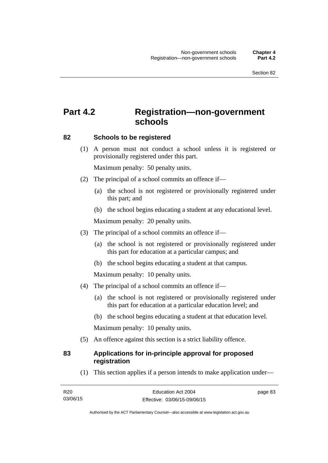# **Part 4.2 Registration—non-government schools**

## **82 Schools to be registered**

 (1) A person must not conduct a school unless it is registered or provisionally registered under this part.

Maximum penalty: 50 penalty units.

- (2) The principal of a school commits an offence if—
	- (a) the school is not registered or provisionally registered under this part; and
	- (b) the school begins educating a student at any educational level.

Maximum penalty: 20 penalty units.

- (3) The principal of a school commits an offence if—
	- (a) the school is not registered or provisionally registered under this part for education at a particular campus; and
	- (b) the school begins educating a student at that campus.

Maximum penalty: 10 penalty units.

- (4) The principal of a school commits an offence if—
	- (a) the school is not registered or provisionally registered under this part for education at a particular education level; and
	- (b) the school begins educating a student at that education level.

Maximum penalty: 10 penalty units.

(5) An offence against this section is a strict liability offence.

## **83 Applications for in-principle approval for proposed registration**

(1) This section applies if a person intends to make application under—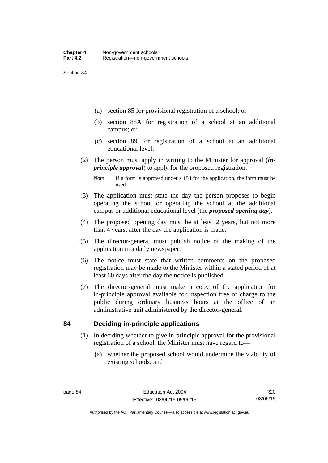- (a) section 85 for provisional registration of a school; or
- (b) section 88A for registration of a school at an additional campus; or
- (c) section 89 for registration of a school at an additional educational level.
- (2) The person must apply in writing to the Minister for approval (*inprinciple approval*) to apply for the proposed registration.
	- *Note* If a form is approved under s 154 for the application, the form must be used.
- (3) The application must state the day the person proposes to begin operating the school or operating the school at the additional campus or additional educational level (the *proposed opening day*).
- (4) The proposed opening day must be at least 2 years, but not more than 4 years, after the day the application is made.
- (5) The director-general must publish notice of the making of the application in a daily newspaper.
- (6) The notice must state that written comments on the proposed registration may be made to the Minister within a stated period of at least 60 days after the day the notice is published.
- (7) The director-general must make a copy of the application for in-principle approval available for inspection free of charge to the public during ordinary business hours at the office of an administrative unit administered by the director-general.

## **84 Deciding in-principle applications**

- (1) In deciding whether to give in-principle approval for the provisional registration of a school, the Minister must have regard to—
	- (a) whether the proposed school would undermine the viability of existing schools; and

R20 03/06/15

Authorised by the ACT Parliamentary Counsel—also accessible at www.legislation.act.gov.au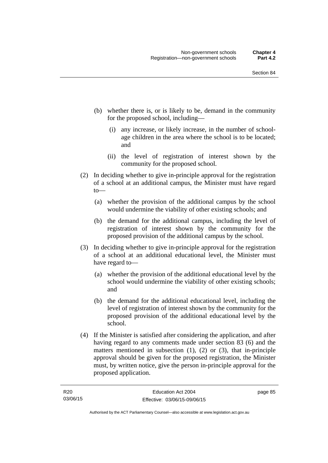- (b) whether there is, or is likely to be, demand in the community for the proposed school, including—
	- (i) any increase, or likely increase, in the number of schoolage children in the area where the school is to be located; and
	- (ii) the level of registration of interest shown by the community for the proposed school.
- (2) In deciding whether to give in-principle approval for the registration of a school at an additional campus, the Minister must have regard to—
	- (a) whether the provision of the additional campus by the school would undermine the viability of other existing schools; and
	- (b) the demand for the additional campus, including the level of registration of interest shown by the community for the proposed provision of the additional campus by the school.
- (3) In deciding whether to give in-principle approval for the registration of a school at an additional educational level, the Minister must have regard to—
	- (a) whether the provision of the additional educational level by the school would undermine the viability of other existing schools; and
	- (b) the demand for the additional educational level, including the level of registration of interest shown by the community for the proposed provision of the additional educational level by the school.
- (4) If the Minister is satisfied after considering the application, and after having regard to any comments made under section 83 (6) and the matters mentioned in subsection (1), (2) or (3), that in-principle approval should be given for the proposed registration, the Minister must, by written notice, give the person in-principle approval for the proposed application.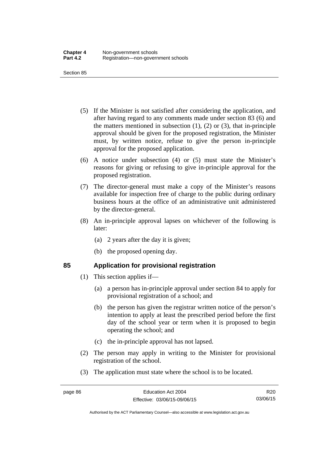- (5) If the Minister is not satisfied after considering the application, and after having regard to any comments made under section 83 (6) and the matters mentioned in subsection  $(1)$ ,  $(2)$  or  $(3)$ , that in-principle approval should be given for the proposed registration, the Minister must, by written notice, refuse to give the person in-principle approval for the proposed application.
- (6) A notice under subsection (4) or (5) must state the Minister's reasons for giving or refusing to give in-principle approval for the proposed registration.
- (7) The director-general must make a copy of the Minister's reasons available for inspection free of charge to the public during ordinary business hours at the office of an administrative unit administered by the director-general.
- (8) An in-principle approval lapses on whichever of the following is later:
	- (a) 2 years after the day it is given;
	- (b) the proposed opening day.

## **85 Application for provisional registration**

- (1) This section applies if—
	- (a) a person has in-principle approval under section 84 to apply for provisional registration of a school; and
	- (b) the person has given the registrar written notice of the person's intention to apply at least the prescribed period before the first day of the school year or term when it is proposed to begin operating the school; and
	- (c) the in-principle approval has not lapsed.
- (2) The person may apply in writing to the Minister for provisional registration of the school.
- (3) The application must state where the school is to be located.

R20 03/06/15

Authorised by the ACT Parliamentary Counsel—also accessible at www.legislation.act.gov.au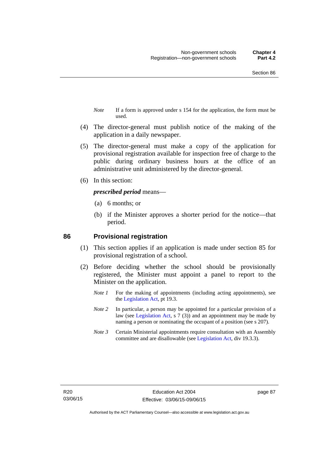- *Note* If a form is approved under s 154 for the application, the form must be used.
- (4) The director-general must publish notice of the making of the application in a daily newspaper.
- (5) The director-general must make a copy of the application for provisional registration available for inspection free of charge to the public during ordinary business hours at the office of an administrative unit administered by the director-general.
- (6) In this section:

#### *prescribed period* means—

- (a) 6 months; or
- (b) if the Minister approves a shorter period for the notice—that period.

#### **86 Provisional registration**

- (1) This section applies if an application is made under section 85 for provisional registration of a school.
- (2) Before deciding whether the school should be provisionally registered, the Minister must appoint a panel to report to the Minister on the application.
	- *Note 1* For the making of appointments (including acting appointments), see the [Legislation Act,](http://www.legislation.act.gov.au/a/2001-14) pt 19.3.
	- *Note 2* In particular, a person may be appointed for a particular provision of a law (see [Legislation Act,](http://www.legislation.act.gov.au/a/2001-14) s 7 (3)) and an appointment may be made by naming a person or nominating the occupant of a position (see s 207).
	- *Note 3* Certain Ministerial appointments require consultation with an Assembly committee and are disallowable (see [Legislation Act](http://www.legislation.act.gov.au/a/2001-14), div 19.3.3).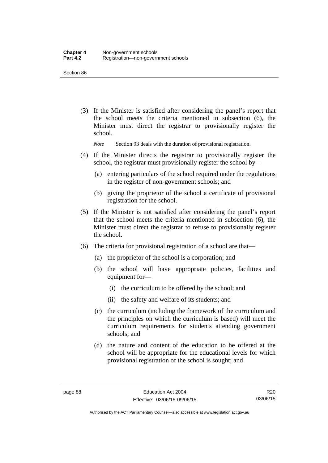(3) If the Minister is satisfied after considering the panel's report that the school meets the criteria mentioned in subsection (6), the Minister must direct the registrar to provisionally register the school.

*Note* Section 93 deals with the duration of provisional registration.

- (4) If the Minister directs the registrar to provisionally register the school, the registrar must provisionally register the school by—
	- (a) entering particulars of the school required under the regulations in the register of non-government schools; and
	- (b) giving the proprietor of the school a certificate of provisional registration for the school.
- (5) If the Minister is not satisfied after considering the panel's report that the school meets the criteria mentioned in subsection (6), the Minister must direct the registrar to refuse to provisionally register the school.
- (6) The criteria for provisional registration of a school are that—
	- (a) the proprietor of the school is a corporation; and
	- (b) the school will have appropriate policies, facilities and equipment for-
		- (i) the curriculum to be offered by the school; and
		- (ii) the safety and welfare of its students; and
	- (c) the curriculum (including the framework of the curriculum and the principles on which the curriculum is based) will meet the curriculum requirements for students attending government schools; and
	- (d) the nature and content of the education to be offered at the school will be appropriate for the educational levels for which provisional registration of the school is sought; and

Authorised by the ACT Parliamentary Counsel—also accessible at www.legislation.act.gov.au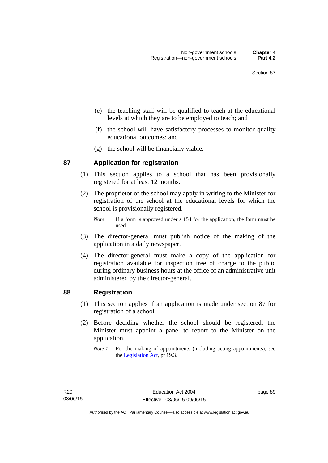- (e) the teaching staff will be qualified to teach at the educational levels at which they are to be employed to teach; and
- (f) the school will have satisfactory processes to monitor quality educational outcomes; and
- (g) the school will be financially viable.

## **87 Application for registration**

- (1) This section applies to a school that has been provisionally registered for at least 12 months.
- (2) The proprietor of the school may apply in writing to the Minister for registration of the school at the educational levels for which the school is provisionally registered.
	- *Note* If a form is approved under s 154 for the application, the form must be used.
- (3) The director-general must publish notice of the making of the application in a daily newspaper.
- (4) The director-general must make a copy of the application for registration available for inspection free of charge to the public during ordinary business hours at the office of an administrative unit administered by the director-general.

## **88 Registration**

- (1) This section applies if an application is made under section 87 for registration of a school.
- (2) Before deciding whether the school should be registered, the Minister must appoint a panel to report to the Minister on the application.
	- *Note 1* For the making of appointments (including acting appointments), see the [Legislation Act,](http://www.legislation.act.gov.au/a/2001-14) pt 19.3.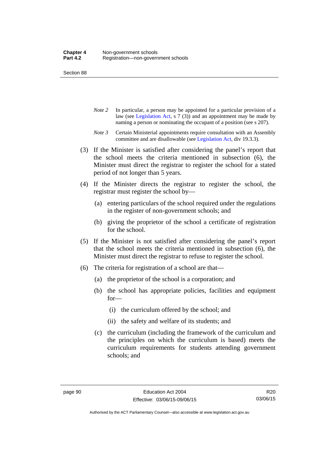- *Note 2* In particular, a person may be appointed for a particular provision of a law (see [Legislation Act,](http://www.legislation.act.gov.au/a/2001-14) s 7 (3)) and an appointment may be made by naming a person or nominating the occupant of a position (see s 207).
- *Note 3* Certain Ministerial appointments require consultation with an Assembly committee and are disallowable (see [Legislation Act](http://www.legislation.act.gov.au/a/2001-14), div 19.3.3).
- (3) If the Minister is satisfied after considering the panel's report that the school meets the criteria mentioned in subsection (6), the Minister must direct the registrar to register the school for a stated period of not longer than 5 years.
- (4) If the Minister directs the registrar to register the school, the registrar must register the school by—
	- (a) entering particulars of the school required under the regulations in the register of non-government schools; and
	- (b) giving the proprietor of the school a certificate of registration for the school.
- (5) If the Minister is not satisfied after considering the panel's report that the school meets the criteria mentioned in subsection (6), the Minister must direct the registrar to refuse to register the school.
- (6) The criteria for registration of a school are that—
	- (a) the proprietor of the school is a corporation; and
	- (b) the school has appropriate policies, facilities and equipment for—
		- (i) the curriculum offered by the school; and
		- (ii) the safety and welfare of its students; and
	- (c) the curriculum (including the framework of the curriculum and the principles on which the curriculum is based) meets the curriculum requirements for students attending government schools; and

R20 03/06/15

Authorised by the ACT Parliamentary Counsel—also accessible at www.legislation.act.gov.au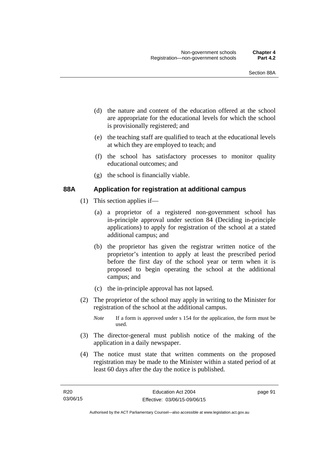- (d) the nature and content of the education offered at the school are appropriate for the educational levels for which the school is provisionally registered; and
- (e) the teaching staff are qualified to teach at the educational levels at which they are employed to teach; and
- (f) the school has satisfactory processes to monitor quality educational outcomes; and
- (g) the school is financially viable.

## **88A Application for registration at additional campus**

- (1) This section applies if—
	- (a) a proprietor of a registered non-government school has in-principle approval under section 84 (Deciding in-principle applications) to apply for registration of the school at a stated additional campus; and
	- (b) the proprietor has given the registrar written notice of the proprietor's intention to apply at least the prescribed period before the first day of the school year or term when it is proposed to begin operating the school at the additional campus; and
	- (c) the in-principle approval has not lapsed.
- (2) The proprietor of the school may apply in writing to the Minister for registration of the school at the additional campus.
	- *Note* If a form is approved under s 154 for the application, the form must be used.
- (3) The director-general must publish notice of the making of the application in a daily newspaper.
- (4) The notice must state that written comments on the proposed registration may be made to the Minister within a stated period of at least 60 days after the day the notice is published.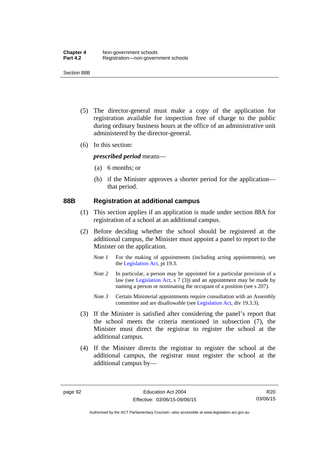Section 88B

- (5) The director-general must make a copy of the application for registration available for inspection free of charge to the public during ordinary business hours at the office of an administrative unit administered by the director-general.
- (6) In this section:

*prescribed period* means—

- (a) 6 months; or
- (b) if the Minister approves a shorter period for the application that period.

#### **88B Registration at additional campus**

- (1) This section applies if an application is made under section 88A for registration of a school at an additional campus.
- (2) Before deciding whether the school should be registered at the additional campus, the Minister must appoint a panel to report to the Minister on the application.
	- *Note 1* For the making of appointments (including acting appointments), see the [Legislation Act,](http://www.legislation.act.gov.au/a/2001-14) pt 19.3.
	- *Note 2* In particular, a person may be appointed for a particular provision of a law (see [Legislation Act,](http://www.legislation.act.gov.au/a/2001-14) s 7 (3)) and an appointment may be made by naming a person or nominating the occupant of a position (see s 207).
	- *Note 3* Certain Ministerial appointments require consultation with an Assembly committee and are disallowable (see [Legislation Act](http://www.legislation.act.gov.au/a/2001-14), div 19.3.3).
- (3) If the Minister is satisfied after considering the panel's report that the school meets the criteria mentioned in subsection (7), the Minister must direct the registrar to register the school at the additional campus.
- (4) If the Minister directs the registrar to register the school at the additional campus, the registrar must register the school at the additional campus by—

R20 03/06/15

Authorised by the ACT Parliamentary Counsel—also accessible at www.legislation.act.gov.au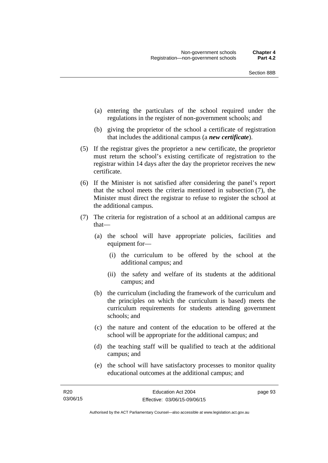- (a) entering the particulars of the school required under the regulations in the register of non-government schools; and
- (b) giving the proprietor of the school a certificate of registration that includes the additional campus (a *new certificate*).
- (5) If the registrar gives the proprietor a new certificate, the proprietor must return the school's existing certificate of registration to the registrar within 14 days after the day the proprietor receives the new certificate.
- (6) If the Minister is not satisfied after considering the panel's report that the school meets the criteria mentioned in subsection (7), the Minister must direct the registrar to refuse to register the school at the additional campus.
- (7) The criteria for registration of a school at an additional campus are that—
	- (a) the school will have appropriate policies, facilities and equipment for—
		- (i) the curriculum to be offered by the school at the additional campus; and
		- (ii) the safety and welfare of its students at the additional campus; and
	- (b) the curriculum (including the framework of the curriculum and the principles on which the curriculum is based) meets the curriculum requirements for students attending government schools; and
	- (c) the nature and content of the education to be offered at the school will be appropriate for the additional campus; and
	- (d) the teaching staff will be qualified to teach at the additional campus; and
	- (e) the school will have satisfactory processes to monitor quality educational outcomes at the additional campus; and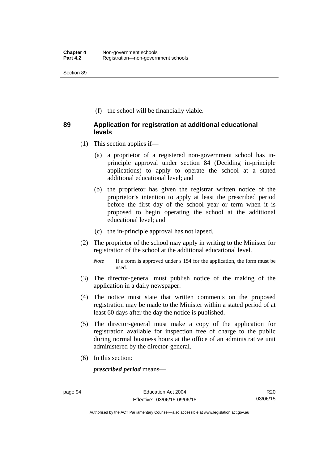(f) the school will be financially viable.

## **89 Application for registration at additional educational levels**

- (1) This section applies if—
	- (a) a proprietor of a registered non-government school has inprinciple approval under section 84 (Deciding in-principle applications) to apply to operate the school at a stated additional educational level; and
	- (b) the proprietor has given the registrar written notice of the proprietor's intention to apply at least the prescribed period before the first day of the school year or term when it is proposed to begin operating the school at the additional educational level; and
	- (c) the in-principle approval has not lapsed.
- (2) The proprietor of the school may apply in writing to the Minister for registration of the school at the additional educational level.
	- *Note* If a form is approved under s 154 for the application, the form must be used.
- (3) The director-general must publish notice of the making of the application in a daily newspaper.
- (4) The notice must state that written comments on the proposed registration may be made to the Minister within a stated period of at least 60 days after the day the notice is published.
- (5) The director-general must make a copy of the application for registration available for inspection free of charge to the public during normal business hours at the office of an administrative unit administered by the director-general.
- (6) In this section:

*prescribed period* means—

Authorised by the ACT Parliamentary Counsel—also accessible at www.legislation.act.gov.au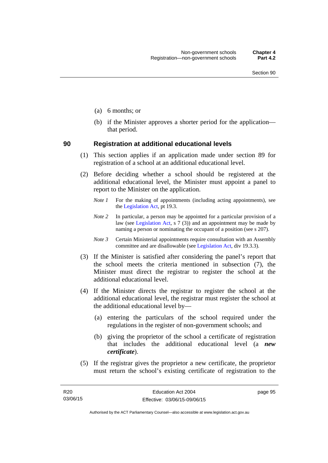- (a) 6 months; or
- (b) if the Minister approves a shorter period for the application that period.

#### **90 Registration at additional educational levels**

- (1) This section applies if an application made under section 89 for registration of a school at an additional educational level.
- (2) Before deciding whether a school should be registered at the additional educational level, the Minister must appoint a panel to report to the Minister on the application.
	- *Note 1* For the making of appointments (including acting appointments), see the [Legislation Act,](http://www.legislation.act.gov.au/a/2001-14) pt 19.3.
	- *Note 2* In particular, a person may be appointed for a particular provision of a law (see [Legislation Act,](http://www.legislation.act.gov.au/a/2001-14) s  $7(3)$ ) and an appointment may be made by naming a person or nominating the occupant of a position (see s 207).
	- *Note 3* Certain Ministerial appointments require consultation with an Assembly committee and are disallowable (see [Legislation Act](http://www.legislation.act.gov.au/a/2001-14), div 19.3.3).
- (3) If the Minister is satisfied after considering the panel's report that the school meets the criteria mentioned in subsection (7), the Minister must direct the registrar to register the school at the additional educational level.
- (4) If the Minister directs the registrar to register the school at the additional educational level, the registrar must register the school at the additional educational level by—
	- (a) entering the particulars of the school required under the regulations in the register of non-government schools; and
	- (b) giving the proprietor of the school a certificate of registration that includes the additional educational level (a *new certificate*).
- (5) If the registrar gives the proprietor a new certificate, the proprietor must return the school's existing certificate of registration to the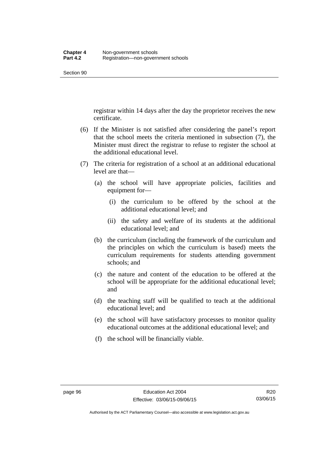registrar within 14 days after the day the proprietor receives the new certificate.

- (6) If the Minister is not satisfied after considering the panel's report that the school meets the criteria mentioned in subsection (7), the Minister must direct the registrar to refuse to register the school at the additional educational level.
- (7) The criteria for registration of a school at an additional educational level are that—
	- (a) the school will have appropriate policies, facilities and equipment for—
		- (i) the curriculum to be offered by the school at the additional educational level; and
		- (ii) the safety and welfare of its students at the additional educational level; and
	- (b) the curriculum (including the framework of the curriculum and the principles on which the curriculum is based) meets the curriculum requirements for students attending government schools; and
	- (c) the nature and content of the education to be offered at the school will be appropriate for the additional educational level; and
	- (d) the teaching staff will be qualified to teach at the additional educational level; and
	- (e) the school will have satisfactory processes to monitor quality educational outcomes at the additional educational level; and
	- (f) the school will be financially viable.

Authorised by the ACT Parliamentary Counsel—also accessible at www.legislation.act.gov.au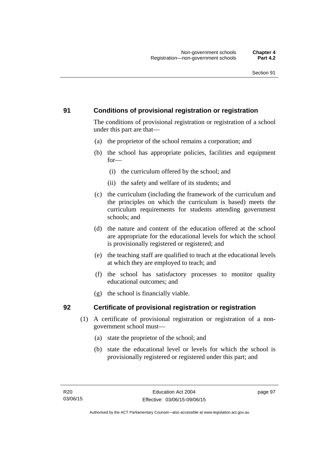## **91 Conditions of provisional registration or registration**

The conditions of provisional registration or registration of a school under this part are that—

- (a) the proprietor of the school remains a corporation; and
- (b) the school has appropriate policies, facilities and equipment for—
	- (i) the curriculum offered by the school; and
	- (ii) the safety and welfare of its students; and
- (c) the curriculum (including the framework of the curriculum and the principles on which the curriculum is based) meets the curriculum requirements for students attending government schools; and
- (d) the nature and content of the education offered at the school are appropriate for the educational levels for which the school is provisionally registered or registered; and
- (e) the teaching staff are qualified to teach at the educational levels at which they are employed to teach; and
- (f) the school has satisfactory processes to monitor quality educational outcomes; and
- (g) the school is financially viable.

## **92 Certificate of provisional registration or registration**

- (1) A certificate of provisional registration or registration of a nongovernment school must—
	- (a) state the proprietor of the school; and
	- (b) state the educational level or levels for which the school is provisionally registered or registered under this part; and

page 97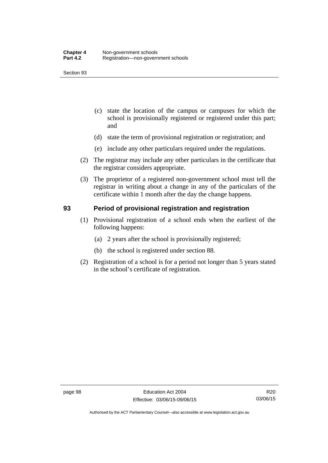- (c) state the location of the campus or campuses for which the school is provisionally registered or registered under this part; and
- (d) state the term of provisional registration or registration; and
- (e) include any other particulars required under the regulations.
- (2) The registrar may include any other particulars in the certificate that the registrar considers appropriate.
- (3) The proprietor of a registered non-government school must tell the registrar in writing about a change in any of the particulars of the certificate within 1 month after the day the change happens.

### **93 Period of provisional registration and registration**

- (1) Provisional registration of a school ends when the earliest of the following happens:
	- (a) 2 years after the school is provisionally registered;
	- (b) the school is registered under section 88.
- (2) Registration of a school is for a period not longer than 5 years stated in the school's certificate of registration.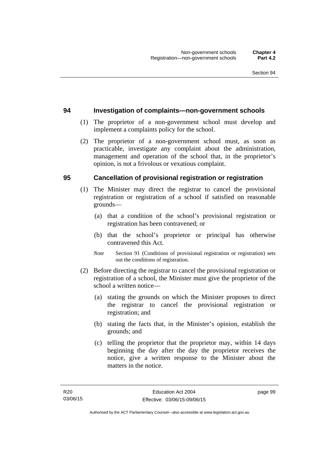#### **94 Investigation of complaints—non-government schools**

- (1) The proprietor of a non-government school must develop and implement a complaints policy for the school.
- (2) The proprietor of a non-government school must, as soon as practicable, investigate any complaint about the administration, management and operation of the school that, in the proprietor's opinion, is not a frivolous or vexatious complaint.

#### **95 Cancellation of provisional registration or registration**

- (1) The Minister may direct the registrar to cancel the provisional registration or registration of a school if satisfied on reasonable grounds—
	- (a) that a condition of the school's provisional registration or registration has been contravened; or
	- (b) that the school's proprietor or principal has otherwise contravened this Act.
	- *Note* Section 91 (Conditions of provisional registration or registration) sets out the conditions of registration.
- (2) Before directing the registrar to cancel the provisional registration or registration of a school, the Minister must give the proprietor of the school a written notice—
	- (a) stating the grounds on which the Minister proposes to direct the registrar to cancel the provisional registration or registration; and
	- (b) stating the facts that, in the Minister's opinion, establish the grounds; and
	- (c) telling the proprietor that the proprietor may, within 14 days beginning the day after the day the proprietor receives the notice, give a written response to the Minister about the matters in the notice.

page 99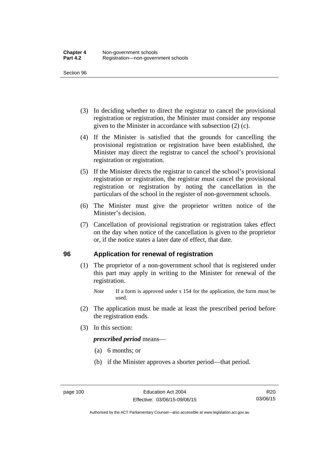- (3) In deciding whether to direct the registrar to cancel the provisional registration or registration, the Minister must consider any response given to the Minister in accordance with subsection (2) (c).
- (4) If the Minister is satisfied that the grounds for cancelling the provisional registration or registration have been established, the Minister may direct the registrar to cancel the school's provisional registration or registration.
- (5) If the Minister directs the registrar to cancel the school's provisional registration or registration, the registrar must cancel the provisional registration or registration by noting the cancellation in the particulars of the school in the register of non-government schools.
- (6) The Minister must give the proprietor written notice of the Minister's decision.
- (7) Cancellation of provisional registration or registration takes effect on the day when notice of the cancellation is given to the proprietor or, if the notice states a later date of effect, that date.

#### **96 Application for renewal of registration**

- (1) The proprietor of a non-government school that is registered under this part may apply in writing to the Minister for renewal of the registration.
	- *Note* If a form is approved under s 154 for the application, the form must be used.
- (2) The application must be made at least the prescribed period before the registration ends.
- (3) In this section:

*prescribed period* means—

- (a) 6 months; or
- (b) if the Minister approves a shorter period—that period.

Authorised by the ACT Parliamentary Counsel—also accessible at www.legislation.act.gov.au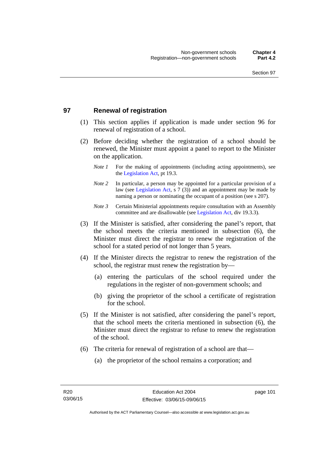## **97 Renewal of registration**

- (1) This section applies if application is made under section 96 for renewal of registration of a school.
- (2) Before deciding whether the registration of a school should be renewed, the Minister must appoint a panel to report to the Minister on the application.
	- *Note 1* For the making of appointments (including acting appointments), see the [Legislation Act,](http://www.legislation.act.gov.au/a/2001-14) pt 19.3.
	- *Note 2* In particular, a person may be appointed for a particular provision of a law (see [Legislation Act,](http://www.legislation.act.gov.au/a/2001-14) s 7 (3)) and an appointment may be made by naming a person or nominating the occupant of a position (see s 207).
	- *Note 3* Certain Ministerial appointments require consultation with an Assembly committee and are disallowable (see [Legislation Act](http://www.legislation.act.gov.au/a/2001-14), div 19.3.3).
- (3) If the Minister is satisfied, after considering the panel's report, that the school meets the criteria mentioned in subsection (6), the Minister must direct the registrar to renew the registration of the school for a stated period of not longer than 5 years.
- (4) If the Minister directs the registrar to renew the registration of the school, the registrar must renew the registration by—
	- (a) entering the particulars of the school required under the regulations in the register of non-government schools; and
	- (b) giving the proprietor of the school a certificate of registration for the school.
- (5) If the Minister is not satisfied, after considering the panel's report, that the school meets the criteria mentioned in subsection (6), the Minister must direct the registrar to refuse to renew the registration of the school.
- (6) The criteria for renewal of registration of a school are that—
	- (a) the proprietor of the school remains a corporation; and

page 101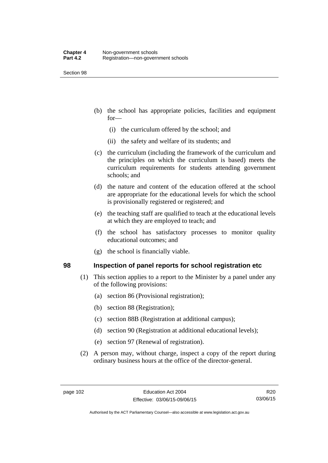- (b) the school has appropriate policies, facilities and equipment for—
	- (i) the curriculum offered by the school; and
	- (ii) the safety and welfare of its students; and
- (c) the curriculum (including the framework of the curriculum and the principles on which the curriculum is based) meets the curriculum requirements for students attending government schools; and
- (d) the nature and content of the education offered at the school are appropriate for the educational levels for which the school is provisionally registered or registered; and
- (e) the teaching staff are qualified to teach at the educational levels at which they are employed to teach; and
- (f) the school has satisfactory processes to monitor quality educational outcomes; and
- (g) the school is financially viable.

#### **98 Inspection of panel reports for school registration etc**

- (1) This section applies to a report to the Minister by a panel under any of the following provisions:
	- (a) section 86 (Provisional registration);
	- (b) section 88 (Registration);
	- (c) section 88B (Registration at additional campus);
	- (d) section 90 (Registration at additional educational levels);
	- (e) section 97 (Renewal of registration).
- (2) A person may, without charge, inspect a copy of the report during ordinary business hours at the office of the director-general.

R20 03/06/15

Authorised by the ACT Parliamentary Counsel—also accessible at www.legislation.act.gov.au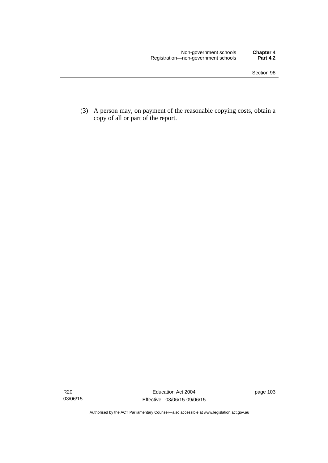(3) A person may, on payment of the reasonable copying costs, obtain a copy of all or part of the report.

Authorised by the ACT Parliamentary Counsel—also accessible at www.legislation.act.gov.au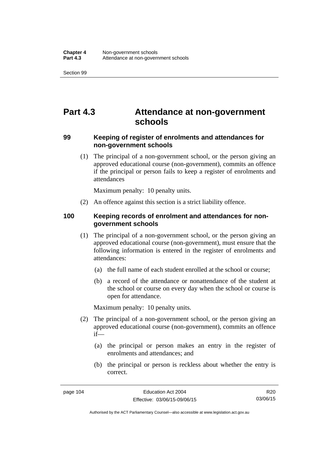# **Part 4.3 Attendance at non-government schools**

### **99 Keeping of register of enrolments and attendances for non-government schools**

 (1) The principal of a non-government school, or the person giving an approved educational course (non-government), commits an offence if the principal or person fails to keep a register of enrolments and attendances

Maximum penalty: 10 penalty units.

(2) An offence against this section is a strict liability offence.

### **100 Keeping records of enrolment and attendances for nongovernment schools**

- (1) The principal of a non-government school, or the person giving an approved educational course (non-government), must ensure that the following information is entered in the register of enrolments and attendances:
	- (a) the full name of each student enrolled at the school or course;
	- (b) a record of the attendance or nonattendance of the student at the school or course on every day when the school or course is open for attendance.

Maximum penalty: 10 penalty units.

- (2) The principal of a non-government school, or the person giving an approved educational course (non-government), commits an offence if—
	- (a) the principal or person makes an entry in the register of enrolments and attendances; and
	- (b) the principal or person is reckless about whether the entry is correct.

R20 03/06/15

Authorised by the ACT Parliamentary Counsel—also accessible at www.legislation.act.gov.au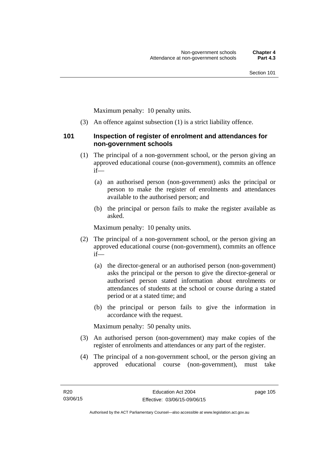Maximum penalty: 10 penalty units.

(3) An offence against subsection (1) is a strict liability offence.

#### **101 Inspection of register of enrolment and attendances for non-government schools**

- (1) The principal of a non-government school, or the person giving an approved educational course (non-government), commits an offence if—
	- (a) an authorised person (non-government) asks the principal or person to make the register of enrolments and attendances available to the authorised person; and
	- (b) the principal or person fails to make the register available as asked.

Maximum penalty: 10 penalty units.

- (2) The principal of a non-government school, or the person giving an approved educational course (non-government), commits an offence if—
	- (a) the director-general or an authorised person (non-government) asks the principal or the person to give the director-general or authorised person stated information about enrolments or attendances of students at the school or course during a stated period or at a stated time; and
	- (b) the principal or person fails to give the information in accordance with the request.

Maximum penalty: 50 penalty units.

- (3) An authorised person (non-government) may make copies of the register of enrolments and attendances or any part of the register.
- (4) The principal of a non-government school, or the person giving an approved educational course (non-government), must take

page 105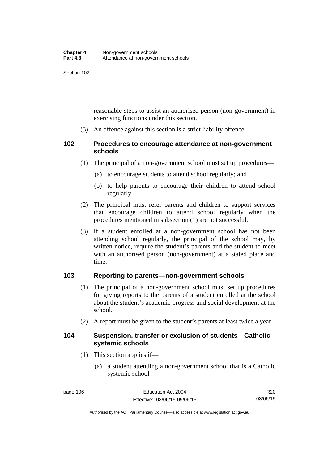reasonable steps to assist an authorised person (non-government) in exercising functions under this section.

(5) An offence against this section is a strict liability offence.

## **102 Procedures to encourage attendance at non-government schools**

- (1) The principal of a non-government school must set up procedures—
	- (a) to encourage students to attend school regularly; and
	- (b) to help parents to encourage their children to attend school regularly.
- (2) The principal must refer parents and children to support services that encourage children to attend school regularly when the procedures mentioned in subsection (1) are not successful.
- (3) If a student enrolled at a non-government school has not been attending school regularly, the principal of the school may, by written notice, require the student's parents and the student to meet with an authorised person (non-government) at a stated place and time.

## **103 Reporting to parents—non-government schools**

- (1) The principal of a non-government school must set up procedures for giving reports to the parents of a student enrolled at the school about the student's academic progress and social development at the school.
- (2) A report must be given to the student's parents at least twice a year.

#### **104 Suspension, transfer or exclusion of students—Catholic systemic schools**

- (1) This section applies if—
	- (a) a student attending a non-government school that is a Catholic systemic school—

R20 03/06/15

Authorised by the ACT Parliamentary Counsel—also accessible at www.legislation.act.gov.au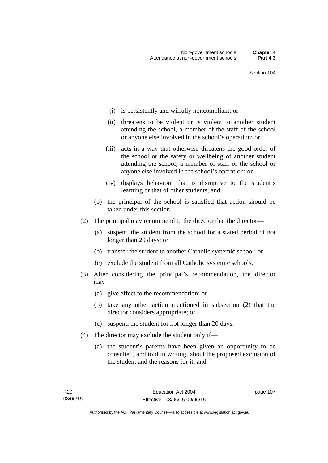- (i) is persistently and wilfully noncompliant; or
- (ii) threatens to be violent or is violent to another student attending the school, a member of the staff of the school or anyone else involved in the school's operation; or
- (iii) acts in a way that otherwise threatens the good order of the school or the safety or wellbeing of another student attending the school, a member of staff of the school or anyone else involved in the school's operation; or
- (iv) displays behaviour that is disruptive to the student's learning or that of other students; and
- (b) the principal of the school is satisfied that action should be taken under this section.
- (2) The principal may recommend to the director that the director—
	- (a) suspend the student from the school for a stated period of not longer than 20 days; or
	- (b) transfer the student to another Catholic systemic school; or
	- (c) exclude the student from all Catholic systemic schools.
- (3) After considering the principal's recommendation, the director may—
	- (a) give effect to the recommendation; or
	- (b) take any other action mentioned in subsection (2) that the director considers appropriate; or
	- (c) suspend the student for not longer than 20 days.
- (4) The director may exclude the student only if—
	- (a) the student's parents have been given an opportunity to be consulted, and told in writing, about the proposed exclusion of the student and the reasons for it; and

page 107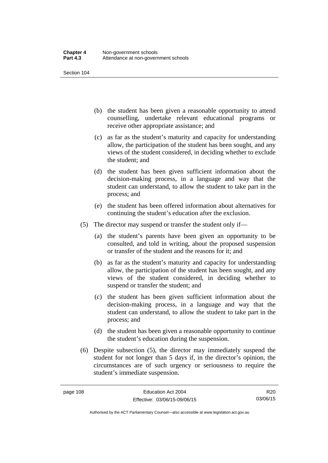- (b) the student has been given a reasonable opportunity to attend counselling, undertake relevant educational programs or receive other appropriate assistance; and
- (c) as far as the student's maturity and capacity for understanding allow, the participation of the student has been sought, and any views of the student considered, in deciding whether to exclude the student; and
- (d) the student has been given sufficient information about the decision-making process, in a language and way that the student can understand, to allow the student to take part in the process; and
- (e) the student has been offered information about alternatives for continuing the student's education after the exclusion.
- (5) The director may suspend or transfer the student only if—
	- (a) the student's parents have been given an opportunity to be consulted, and told in writing, about the proposed suspension or transfer of the student and the reasons for it; and
	- (b) as far as the student's maturity and capacity for understanding allow, the participation of the student has been sought, and any views of the student considered, in deciding whether to suspend or transfer the student; and
	- (c) the student has been given sufficient information about the decision-making process, in a language and way that the student can understand, to allow the student to take part in the process; and
	- (d) the student has been given a reasonable opportunity to continue the student's education during the suspension.
- (6) Despite subsection (5), the director may immediately suspend the student for not longer than 5 days if, in the director's opinion, the circumstances are of such urgency or seriousness to require the student's immediate suspension.

R20 03/06/15

Authorised by the ACT Parliamentary Counsel—also accessible at www.legislation.act.gov.au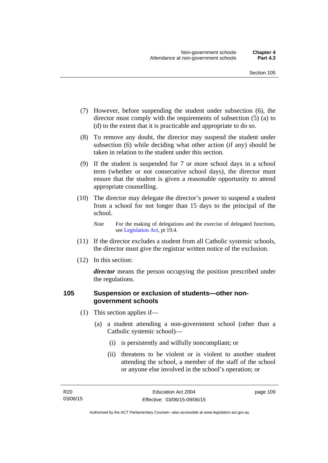- (7) However, before suspending the student under subsection (6), the director must comply with the requirements of subsection (5) (a) to (d) to the extent that it is practicable and appropriate to do so.
- (8) To remove any doubt, the director may suspend the student under subsection (6) while deciding what other action (if any) should be taken in relation to the student under this section.
- (9) If the student is suspended for 7 or more school days in a school term (whether or not consecutive school days), the director must ensure that the student is given a reasonable opportunity to attend appropriate counselling.
- (10) The director may delegate the director's power to suspend a student from a school for not longer than 15 days to the principal of the school.

*Note* For the making of delegations and the exercise of delegated functions, see [Legislation Act](http://www.legislation.act.gov.au/a/2001-14), pt 19.4.

- (11) If the director excludes a student from all Catholic systemic schools, the director must give the registrar written notice of the exclusion.
- (12) In this section:

*director* means the person occupying the position prescribed under the regulations.

### **105 Suspension or exclusion of students—other nongovernment schools**

- (1) This section applies if—
	- (a) a student attending a non-government school (other than a Catholic systemic school)—
		- (i) is persistently and wilfully noncompliant; or
		- (ii) threatens to be violent or is violent to another student attending the school, a member of the staff of the school or anyone else involved in the school's operation; or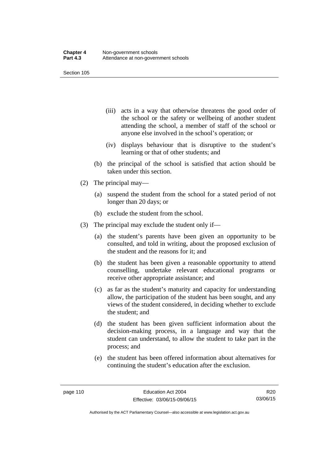- (iii) acts in a way that otherwise threatens the good order of the school or the safety or wellbeing of another student attending the school, a member of staff of the school or anyone else involved in the school's operation; or
- (iv) displays behaviour that is disruptive to the student's learning or that of other students; and
- (b) the principal of the school is satisfied that action should be taken under this section.
- (2) The principal may—
	- (a) suspend the student from the school for a stated period of not longer than 20 days; or
	- (b) exclude the student from the school.
- (3) The principal may exclude the student only if—
	- (a) the student's parents have been given an opportunity to be consulted, and told in writing, about the proposed exclusion of the student and the reasons for it; and
	- (b) the student has been given a reasonable opportunity to attend counselling, undertake relevant educational programs or receive other appropriate assistance; and
	- (c) as far as the student's maturity and capacity for understanding allow, the participation of the student has been sought, and any views of the student considered, in deciding whether to exclude the student; and
	- (d) the student has been given sufficient information about the decision-making process, in a language and way that the student can understand, to allow the student to take part in the process; and
	- (e) the student has been offered information about alternatives for continuing the student's education after the exclusion.

R20 03/06/15

Authorised by the ACT Parliamentary Counsel—also accessible at www.legislation.act.gov.au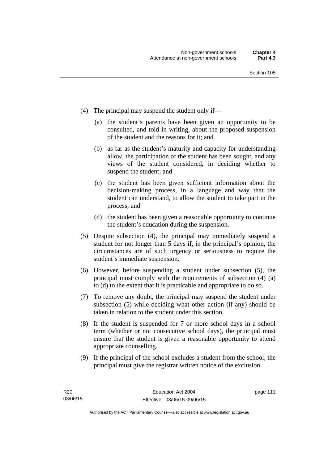- (4) The principal may suspend the student only if—
	- (a) the student's parents have been given an opportunity to be consulted, and told in writing, about the proposed suspension of the student and the reasons for it; and
	- (b) as far as the student's maturity and capacity for understanding allow, the participation of the student has been sought, and any views of the student considered, in deciding whether to suspend the student; and
	- (c) the student has been given sufficient information about the decision-making process, in a language and way that the student can understand, to allow the student to take part in the process; and
	- (d) the student has been given a reasonable opportunity to continue the student's education during the suspension.
- (5) Despite subsection (4), the principal may immediately suspend a student for not longer than 5 days if, in the principal's opinion, the circumstances are of such urgency or seriousness to require the student's immediate suspension.
- (6) However, before suspending a student under subsection (5), the principal must comply with the requirements of subsection (4) (a) to (d) to the extent that it is practicable and appropriate to do so.
- (7) To remove any doubt, the principal may suspend the student under subsection (5) while deciding what other action (if any) should be taken in relation to the student under this section.
- (8) If the student is suspended for 7 or more school days in a school term (whether or not consecutive school days), the principal must ensure that the student is given a reasonable opportunity to attend appropriate counselling.
- (9) If the principal of the school excludes a student from the school, the principal must give the registrar written notice of the exclusion.

page 111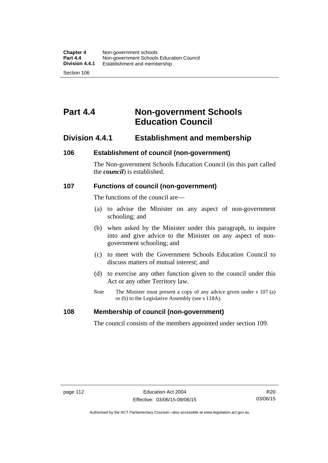# **Part 4.4 Non-government Schools Education Council**

## **Division 4.4.1 Establishment and membership**

#### **106 Establishment of council (non-government)**

The Non-government Schools Education Council (in this part called the *council*) is established.

#### **107 Functions of council (non-government)**

The functions of the council are—

- (a) to advise the Minister on any aspect of non-government schooling; and
- (b) when asked by the Minister under this paragraph, to inquire into and give advice to the Minister on any aspect of nongovernment schooling; and
- (c) to meet with the Government Schools Education Council to discuss matters of mutual interest; and
- (d) to exercise any other function given to the council under this Act or any other Territory law.
- *Note* The Minister must present a copy of any advice given under s 107 (a) or (b) to the Legislative Assembly (see s 118A).

#### **108 Membership of council (non-government)**

The council consists of the members appointed under section 109.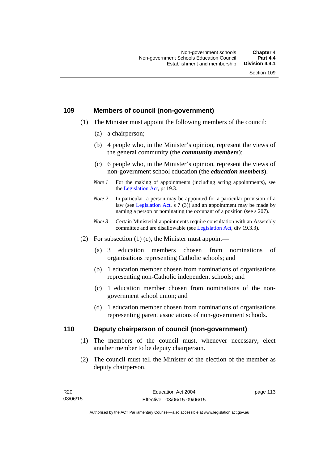## **109 Members of council (non-government)**

- (1) The Minister must appoint the following members of the council:
	- (a) a chairperson;
	- (b) 4 people who, in the Minister's opinion, represent the views of the general community (the *community members*);
	- (c) 6 people who, in the Minister's opinion, represent the views of non-government school education (the *education members*).
	- *Note 1* For the making of appointments (including acting appointments), see the [Legislation Act,](http://www.legislation.act.gov.au/a/2001-14) pt 19.3.
	- *Note 2* In particular, a person may be appointed for a particular provision of a law (see [Legislation Act,](http://www.legislation.act.gov.au/a/2001-14) s 7 (3)) and an appointment may be made by naming a person or nominating the occupant of a position (see s 207).
	- *Note 3* Certain Ministerial appointments require consultation with an Assembly committee and are disallowable (see [Legislation Act](http://www.legislation.act.gov.au/a/2001-14), div 19.3.3).
- (2) For subsection  $(1)$  (c), the Minister must appoint—
	- (a) 3 education members chosen from nominations of organisations representing Catholic schools; and
	- (b) 1 education member chosen from nominations of organisations representing non-Catholic independent schools; and
	- (c) 1 education member chosen from nominations of the nongovernment school union; and
	- (d) 1 education member chosen from nominations of organisations representing parent associations of non-government schools.

#### **110 Deputy chairperson of council (non-government)**

- (1) The members of the council must, whenever necessary, elect another member to be deputy chairperson.
- (2) The council must tell the Minister of the election of the member as deputy chairperson.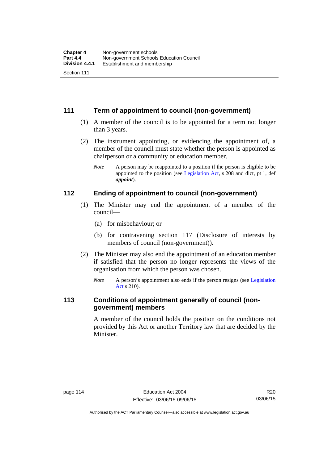## **111 Term of appointment to council (non-government)**

- (1) A member of the council is to be appointed for a term not longer than 3 years.
- (2) The instrument appointing, or evidencing the appointment of, a member of the council must state whether the person is appointed as chairperson or a community or education member.
	- *Note* A person may be reappointed to a position if the person is eligible to be appointed to the position (see [Legislation Act](http://www.legislation.act.gov.au/a/2001-14), s 208 and dict, pt 1, def *appoint*).

#### **112 Ending of appointment to council (non-government)**

- (1) The Minister may end the appointment of a member of the council—
	- (a) for misbehaviour; or
	- (b) for contravening section 117 (Disclosure of interests by members of council (non-government)).
- (2) The Minister may also end the appointment of an education member if satisfied that the person no longer represents the views of the organisation from which the person was chosen.
	- *Note* A person's appointment also ends if the person resigns (see Legislation [Act](http://www.legislation.act.gov.au/a/2001-14) s 210).

## **113 Conditions of appointment generally of council (nongovernment) members**

A member of the council holds the position on the conditions not provided by this Act or another Territory law that are decided by the Minister.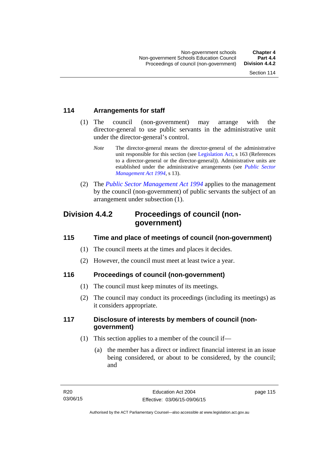## **114 Arrangements for staff**

- (1) The council (non-government) may arrange with the director-general to use public servants in the administrative unit under the director-general's control.
	- *Note* The director-general means the director-general of the administrative unit responsible for this section (see [Legislation Act](http://www.legislation.act.gov.au/a/2001-14), s 163 (References to a director-general or the director-general)). Administrative units are established under the administrative arrangements (see *[Public Sector](http://www.legislation.act.gov.au/a/1994-37)  [Management Act 1994](http://www.legislation.act.gov.au/a/1994-37)*, s 13).
- (2) The *[Public Sector Management Act 1994](http://www.legislation.act.gov.au/a/1994-37)* applies to the management by the council (non-government) of public servants the subject of an arrangement under subsection (1).

## **Division 4.4.2 Proceedings of council (nongovernment)**

## **115 Time and place of meetings of council (non-government)**

- (1) The council meets at the times and places it decides.
- (2) However, the council must meet at least twice a year.

## **116 Proceedings of council (non-government)**

- (1) The council must keep minutes of its meetings.
- (2) The council may conduct its proceedings (including its meetings) as it considers appropriate.

## **117 Disclosure of interests by members of council (nongovernment)**

- (1) This section applies to a member of the council if—
	- (a) the member has a direct or indirect financial interest in an issue being considered, or about to be considered, by the council; and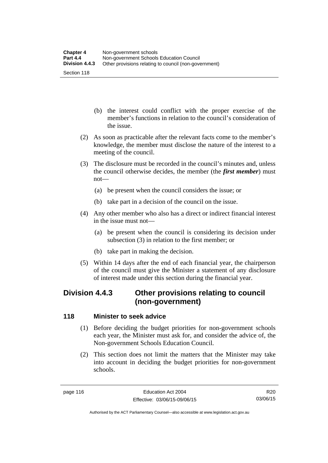- (b) the interest could conflict with the proper exercise of the member's functions in relation to the council's consideration of the issue.
- (2) As soon as practicable after the relevant facts come to the member's knowledge, the member must disclose the nature of the interest to a meeting of the council.
- (3) The disclosure must be recorded in the council's minutes and, unless the council otherwise decides, the member (the *first member*) must not—
	- (a) be present when the council considers the issue; or
	- (b) take part in a decision of the council on the issue.
- (4) Any other member who also has a direct or indirect financial interest in the issue must not—
	- (a) be present when the council is considering its decision under subsection (3) in relation to the first member; or
	- (b) take part in making the decision.
- (5) Within 14 days after the end of each financial year, the chairperson of the council must give the Minister a statement of any disclosure of interest made under this section during the financial year.

## **Division 4.4.3 Other provisions relating to council (non-government)**

## **118 Minister to seek advice**

- (1) Before deciding the budget priorities for non-government schools each year, the Minister must ask for, and consider the advice of, the Non-government Schools Education Council.
- (2) This section does not limit the matters that the Minister may take into account in deciding the budget priorities for non-government schools.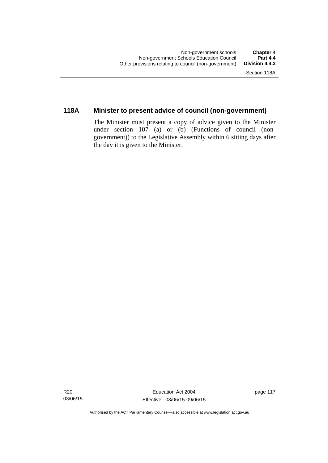## **118A Minister to present advice of council (non-government)**

The Minister must present a copy of advice given to the Minister under section 107 (a) or (b) (Functions of council (nongovernment)) to the Legislative Assembly within 6 sitting days after the day it is given to the Minister.

Authorised by the ACT Parliamentary Counsel—also accessible at www.legislation.act.gov.au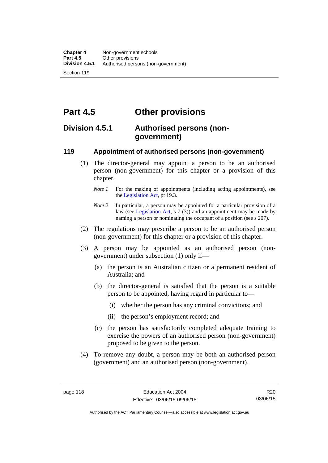**Part 4.5 Other provisions** 

## **Division 4.5.1 Authorised persons (nongovernment)**

### **119 Appointment of authorised persons (non-government)**

- (1) The director-general may appoint a person to be an authorised person (non-government) for this chapter or a provision of this chapter.
	- *Note 1* For the making of appointments (including acting appointments), see the [Legislation Act,](http://www.legislation.act.gov.au/a/2001-14) pt 19.3.
	- *Note 2* In particular, a person may be appointed for a particular provision of a law (see [Legislation Act,](http://www.legislation.act.gov.au/a/2001-14) s 7 (3)) and an appointment may be made by naming a person or nominating the occupant of a position (see s 207).
- (2) The regulations may prescribe a person to be an authorised person (non-government) for this chapter or a provision of this chapter.
- (3) A person may be appointed as an authorised person (nongovernment) under subsection (1) only if—
	- (a) the person is an Australian citizen or a permanent resident of Australia; and
	- (b) the director-general is satisfied that the person is a suitable person to be appointed, having regard in particular to—
		- (i) whether the person has any criminal convictions; and
		- (ii) the person's employment record; and
	- (c) the person has satisfactorily completed adequate training to exercise the powers of an authorised person (non-government) proposed to be given to the person.
- (4) To remove any doubt, a person may be both an authorised person (government) and an authorised person (non-government).

Authorised by the ACT Parliamentary Counsel—also accessible at www.legislation.act.gov.au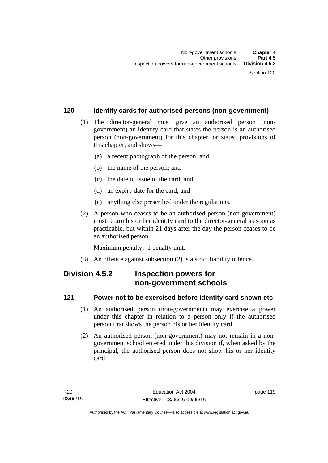## **120 Identity cards for authorised persons (non-government)**

- (1) The director-general must give an authorised person (nongovernment) an identity card that states the person is an authorised person (non-government) for this chapter, or stated provisions of this chapter, and shows—
	- (a) a recent photograph of the person; and
	- (b) the name of the person; and
	- (c) the date of issue of the card; and
	- (d) an expiry date for the card; and
	- (e) anything else prescribed under the regulations.
- (2) A person who ceases to be an authorised person (non-government) must return his or her identity card to the director-general as soon as practicable, but within 21 days after the day the person ceases to be an authorised person.

Maximum penalty: 1 penalty unit.

(3) An offence against subsection (2) is a strict liability offence.

## **Division 4.5.2 Inspection powers for non-government schools**

## **121 Power not to be exercised before identity card shown etc**

- (1) An authorised person (non-government) may exercise a power under this chapter in relation to a person only if the authorised person first shows the person his or her identity card.
- (2) An authorised person (non-government) may not remain in a nongovernment school entered under this division if, when asked by the principal, the authorised person does not show his or her identity card.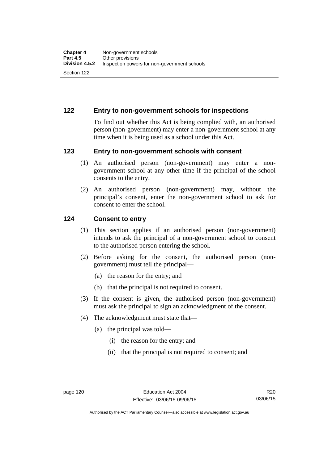## **122 Entry to non-government schools for inspections**

To find out whether this Act is being complied with, an authorised person (non-government) may enter a non-government school at any time when it is being used as a school under this Act.

#### **123 Entry to non-government schools with consent**

- (1) An authorised person (non-government) may enter a nongovernment school at any other time if the principal of the school consents to the entry.
- (2) An authorised person (non-government) may, without the principal's consent, enter the non-government school to ask for consent to enter the school.

#### **124 Consent to entry**

- (1) This section applies if an authorised person (non-government) intends to ask the principal of a non-government school to consent to the authorised person entering the school.
- (2) Before asking for the consent, the authorised person (nongovernment) must tell the principal—
	- (a) the reason for the entry; and
	- (b) that the principal is not required to consent.
- (3) If the consent is given, the authorised person (non-government) must ask the principal to sign an acknowledgment of the consent.
- (4) The acknowledgment must state that—
	- (a) the principal was told—
		- (i) the reason for the entry; and
		- (ii) that the principal is not required to consent; and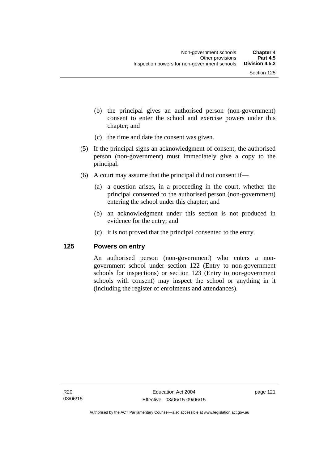- (b) the principal gives an authorised person (non-government) consent to enter the school and exercise powers under this chapter; and
- (c) the time and date the consent was given.
- (5) If the principal signs an acknowledgment of consent, the authorised person (non-government) must immediately give a copy to the principal.
- (6) A court may assume that the principal did not consent if—
	- (a) a question arises, in a proceeding in the court, whether the principal consented to the authorised person (non-government) entering the school under this chapter; and
	- (b) an acknowledgment under this section is not produced in evidence for the entry; and
	- (c) it is not proved that the principal consented to the entry.

#### **125 Powers on entry**

An authorised person (non-government) who enters a nongovernment school under section 122 (Entry to non-government schools for inspections) or section 123 (Entry to non-government schools with consent) may inspect the school or anything in it (including the register of enrolments and attendances).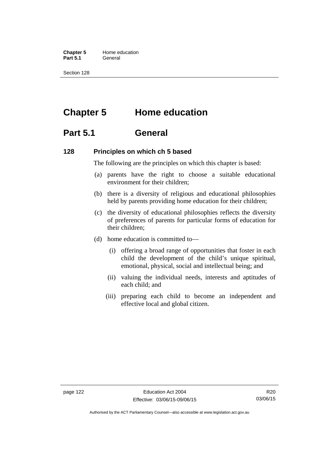**Chapter 5** Home education Part 5.1 **General** 

Section 128

# **Chapter 5 Home education**

## **Part 5.1 General**

#### **128 Principles on which ch 5 based**

The following are the principles on which this chapter is based:

- (a) parents have the right to choose a suitable educational environment for their children;
- (b) there is a diversity of religious and educational philosophies held by parents providing home education for their children;
- (c) the diversity of educational philosophies reflects the diversity of preferences of parents for particular forms of education for their children;
- (d) home education is committed to—
	- (i) offering a broad range of opportunities that foster in each child the development of the child's unique spiritual, emotional, physical, social and intellectual being; and
	- (ii) valuing the individual needs, interests and aptitudes of each child; and
	- (iii) preparing each child to become an independent and effective local and global citizen.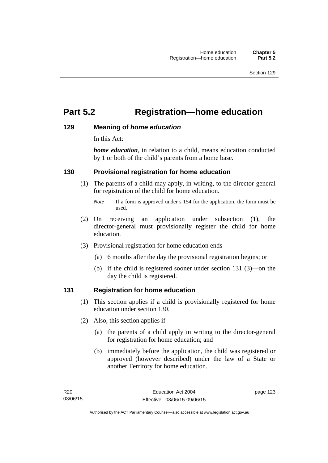# **Part 5.2 Registration—home education**

### **129 Meaning of** *home education*

In this Act:

*home education*, in relation to a child, means education conducted by 1 or both of the child's parents from a home base.

### **130 Provisional registration for home education**

(1) The parents of a child may apply, in writing, to the director-general for registration of the child for home education.

- (2) On receiving an application under subsection (1), the director-general must provisionally register the child for home education.
- (3) Provisional registration for home education ends—
	- (a) 6 months after the day the provisional registration begins; or
	- (b) if the child is registered sooner under section 131 (3)—on the day the child is registered.

#### **131 Registration for home education**

- (1) This section applies if a child is provisionally registered for home education under section 130.
- (2) Also, this section applies if—
	- (a) the parents of a child apply in writing to the director-general for registration for home education; and
	- (b) immediately before the application, the child was registered or approved (however described) under the law of a State or another Territory for home education.

*Note* If a form is approved under s 154 for the application, the form must be used.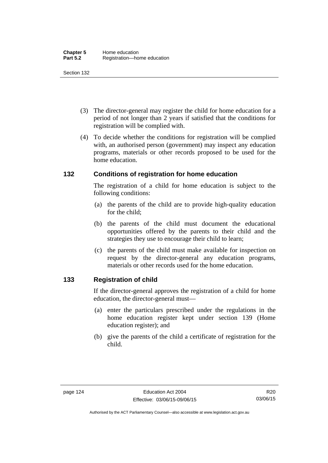- (3) The director-general may register the child for home education for a period of not longer than 2 years if satisfied that the conditions for registration will be complied with.
- (4) To decide whether the conditions for registration will be complied with, an authorised person (government) may inspect any education programs, materials or other records proposed to be used for the home education.

### **132 Conditions of registration for home education**

The registration of a child for home education is subject to the following conditions:

- (a) the parents of the child are to provide high-quality education for the child;
- (b) the parents of the child must document the educational opportunities offered by the parents to their child and the strategies they use to encourage their child to learn;
- (c) the parents of the child must make available for inspection on request by the director-general any education programs, materials or other records used for the home education.

## **133 Registration of child**

If the director-general approves the registration of a child for home education, the director-general must—

- (a) enter the particulars prescribed under the regulations in the home education register kept under section 139 (Home education register); and
- (b) give the parents of the child a certificate of registration for the child.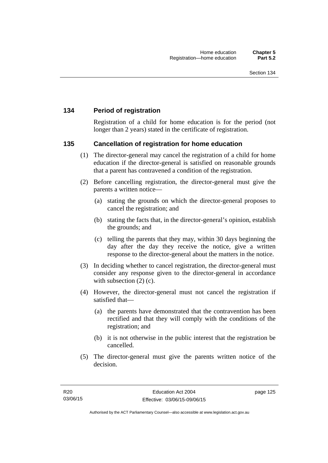## **134 Period of registration**

Registration of a child for home education is for the period (not longer than 2 years) stated in the certificate of registration.

#### **135 Cancellation of registration for home education**

- (1) The director-general may cancel the registration of a child for home education if the director-general is satisfied on reasonable grounds that a parent has contravened a condition of the registration.
- (2) Before cancelling registration, the director-general must give the parents a written notice—
	- (a) stating the grounds on which the director-general proposes to cancel the registration; and
	- (b) stating the facts that, in the director-general's opinion, establish the grounds; and
	- (c) telling the parents that they may, within 30 days beginning the day after the day they receive the notice, give a written response to the director-general about the matters in the notice.
- (3) In deciding whether to cancel registration, the director-general must consider any response given to the director-general in accordance with subsection  $(2)$  (c).
- (4) However, the director-general must not cancel the registration if satisfied that—
	- (a) the parents have demonstrated that the contravention has been rectified and that they will comply with the conditions of the registration; and
	- (b) it is not otherwise in the public interest that the registration be cancelled.
- (5) The director-general must give the parents written notice of the decision.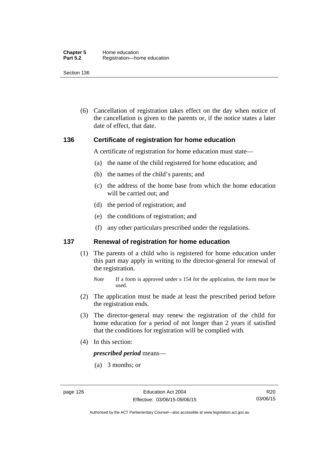(6) Cancellation of registration takes effect on the day when notice of the cancellation is given to the parents or, if the notice states a later date of effect, that date.

#### **136 Certificate of registration for home education**

A certificate of registration for home education must state—

- (a) the name of the child registered for home education; and
- (b) the names of the child's parents; and
- (c) the address of the home base from which the home education will be carried out; and
- (d) the period of registration; and
- (e) the conditions of registration; and
- (f) any other particulars prescribed under the regulations.

#### **137 Renewal of registration for home education**

(1) The parents of a child who is registered for home education under this part may apply in writing to the director-general for renewal of the registration.

- (2) The application must be made at least the prescribed period before the registration ends.
- (3) The director-general may renew the registration of the child for home education for a period of not longer than 2 years if satisfied that the conditions for registration will be complied with.
- (4) In this section:

*prescribed period* means—

(a) 3 months; or

*Note* If a form is approved under s 154 for the application, the form must be used.

R20 03/06/15

Authorised by the ACT Parliamentary Counsel—also accessible at www.legislation.act.gov.au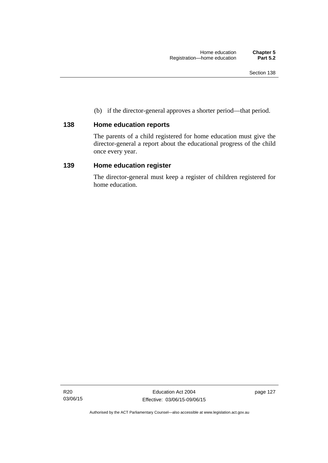(b) if the director-general approves a shorter period—that period.

## **138 Home education reports**

The parents of a child registered for home education must give the director-general a report about the educational progress of the child once every year.

### **139 Home education register**

The director-general must keep a register of children registered for home education.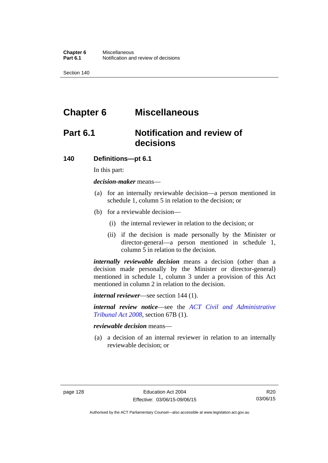# **Chapter 6 Miscellaneous**

# **Part 6.1 Notification and review of decisions**

#### **140 Definitions***—***pt 6.1**

In this part:

*decision-maker* means—

- (a) for an internally reviewable decision—a person mentioned in schedule 1, column 5 in relation to the decision; or
- (b) for a reviewable decision—
	- (i) the internal reviewer in relation to the decision; or
	- (ii) if the decision is made personally by the Minister or director-general—a person mentioned in schedule 1, column 5 in relation to the decision.

*internally reviewable decision* means a decision (other than a decision made personally by the Minister or director-general) mentioned in schedule 1, column 3 under a provision of this Act mentioned in column 2 in relation to the decision.

*internal reviewer*—see section 144 (1).

*internal review notice*—see the *[ACT Civil and Administrative](http://www.legislation.act.gov.au/a/2008-35)  [Tribunal Act 2008](http://www.legislation.act.gov.au/a/2008-35)*, section 67B (1).

*reviewable decision* means—

 (a) a decision of an internal reviewer in relation to an internally reviewable decision; or

Authorised by the ACT Parliamentary Counsel—also accessible at www.legislation.act.gov.au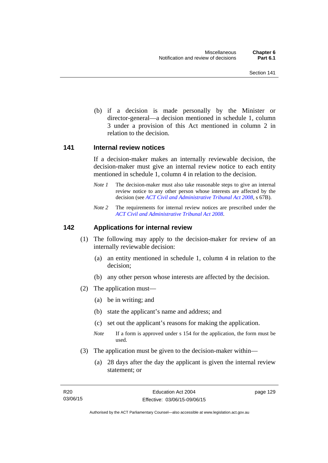(b) if a decision is made personally by the Minister or director-general—a decision mentioned in schedule 1, column 3 under a provision of this Act mentioned in column 2 in relation to the decision.

#### **141 Internal review notices**

If a decision-maker makes an internally reviewable decision, the decision-maker must give an internal review notice to each entity mentioned in schedule 1, column 4 in relation to the decision.

- *Note 1* The decision-maker must also take reasonable steps to give an internal review notice to any other person whose interests are affected by the decision (see *[ACT Civil and Administrative Tribunal Act 2008](http://www.legislation.act.gov.au/a/2008-35)*, s 67B).
- *Note 2* The requirements for internal review notices are prescribed under the *[ACT Civil and Administrative Tribunal Act 2008](http://www.legislation.act.gov.au/a/2008-35)*.

#### **142 Applications for internal review**

- (1) The following may apply to the decision-maker for review of an internally reviewable decision:
	- (a) an entity mentioned in schedule 1, column 4 in relation to the decision;
	- (b) any other person whose interests are affected by the decision.
- (2) The application must—
	- (a) be in writing; and
	- (b) state the applicant's name and address; and
	- (c) set out the applicant's reasons for making the application.
	- *Note* If a form is approved under s 154 for the application, the form must be used.
- (3) The application must be given to the decision-maker within—
	- (a) 28 days after the day the applicant is given the internal review statement; or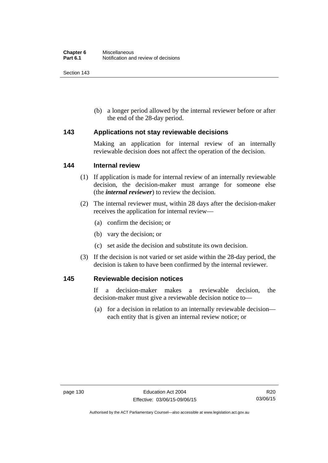(b) a longer period allowed by the internal reviewer before or after the end of the 28-day period.

#### **143 Applications not stay reviewable decisions**

Making an application for internal review of an internally reviewable decision does not affect the operation of the decision.

#### **144 Internal review**

- (1) If application is made for internal review of an internally reviewable decision, the decision-maker must arrange for someone else (the *internal reviewer*) to review the decision.
- (2) The internal reviewer must, within 28 days after the decision-maker receives the application for internal review—
	- (a) confirm the decision; or
	- (b) vary the decision; or
	- (c) set aside the decision and substitute its own decision.
- (3) If the decision is not varied or set aside within the 28-day period, the decision is taken to have been confirmed by the internal reviewer.

#### **145 Reviewable decision notices**

If a decision-maker makes a reviewable decision, the decision-maker must give a reviewable decision notice to—

 (a) for a decision in relation to an internally reviewable decision each entity that is given an internal review notice; or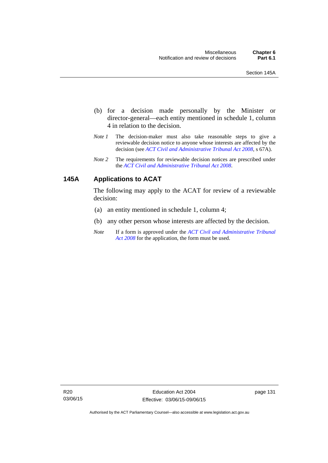- (b) for a decision made personally by the Minister or director-general—each entity mentioned in schedule 1, column 4 in relation to the decision.
- *Note 1* The decision-maker must also take reasonable steps to give a reviewable decision notice to anyone whose interests are affected by the decision (see *[ACT Civil and Administrative Tribunal Act 2008](http://www.legislation.act.gov.au/a/2008-35)*, s 67A).
- *Note 2* The requirements for reviewable decision notices are prescribed under the *[ACT Civil and Administrative Tribunal Act 2008](http://www.legislation.act.gov.au/a/2008-35)*.

## **145A Applications to ACAT**

The following may apply to the ACAT for review of a reviewable decision:

- (a) an entity mentioned in schedule 1, column 4;
- (b) any other person whose interests are affected by the decision.
- *Note* If a form is approved under the *[ACT Civil and Administrative Tribunal](http://www.legislation.act.gov.au/a/2008-35)  [Act 2008](http://www.legislation.act.gov.au/a/2008-35)* for the application, the form must be used.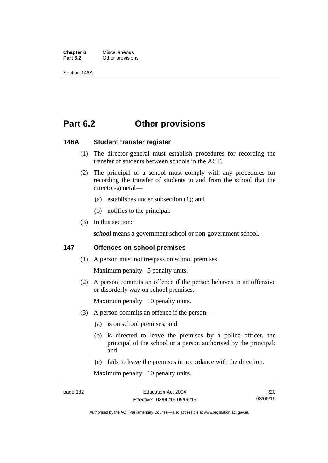**Chapter 6** Miscellaneous<br>**Part 6.2** Other provision **Other provisions** 

Section 146A

## **Part 6.2 Other provisions**

#### **146A Student transfer register**

- (1) The director-general must establish procedures for recording the transfer of students between schools in the ACT.
- (2) The principal of a school must comply with any procedures for recording the transfer of students to and from the school that the director-general—
	- (a) establishes under subsection (1); and
	- (b) notifies to the principal.
- (3) In this section:

school means a government school or non-government school.

#### **147 Offences on school premises**

(1) A person must not trespass on school premises.

Maximum penalty: 5 penalty units.

 (2) A person commits an offence if the person behaves in an offensive or disorderly way on school premises.

Maximum penalty: 10 penalty units.

- (3) A person commits an offence if the person—
	- (a) is on school premises; and
	- (b) is directed to leave the premises by a police officer, the principal of the school or a person authorised by the principal; and
	- (c) fails to leave the premises in accordance with the direction.

Maximum penalty: 10 penalty units.

R20 03/06/15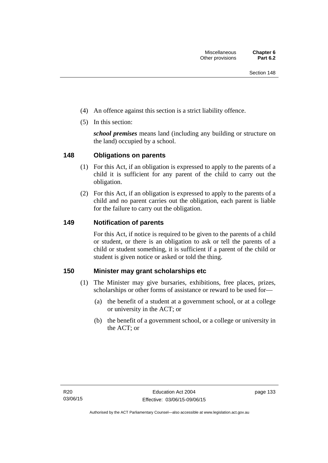- (4) An offence against this section is a strict liability offence.
- (5) In this section:

*school premises* means land (including any building or structure on the land) occupied by a school.

# **148 Obligations on parents**

- (1) For this Act, if an obligation is expressed to apply to the parents of a child it is sufficient for any parent of the child to carry out the obligation.
- (2) For this Act, if an obligation is expressed to apply to the parents of a child and no parent carries out the obligation, each parent is liable for the failure to carry out the obligation.

# **149 Notification of parents**

For this Act, if notice is required to be given to the parents of a child or student, or there is an obligation to ask or tell the parents of a child or student something, it is sufficient if a parent of the child or student is given notice or asked or told the thing.

# **150 Minister may grant scholarships etc**

- (1) The Minister may give bursaries, exhibitions, free places, prizes, scholarships or other forms of assistance or reward to be used for—
	- (a) the benefit of a student at a government school, or at a college or university in the ACT; or
	- (b) the benefit of a government school, or a college or university in the ACT; or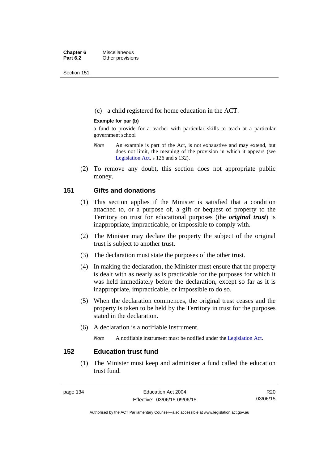Section 151

(c) a child registered for home education in the ACT.

## **Example for par (b)**

a fund to provide for a teacher with particular skills to teach at a particular government school

- *Note* An example is part of the Act, is not exhaustive and may extend, but does not limit, the meaning of the provision in which it appears (see [Legislation Act,](http://www.legislation.act.gov.au/a/2001-14) s 126 and s 132).
- (2) To remove any doubt, this section does not appropriate public money.

# **151 Gifts and donations**

- (1) This section applies if the Minister is satisfied that a condition attached to, or a purpose of, a gift or bequest of property to the Territory on trust for educational purposes (the *original trust*) is inappropriate, impracticable, or impossible to comply with.
- (2) The Minister may declare the property the subject of the original trust is subject to another trust.
- (3) The declaration must state the purposes of the other trust.
- (4) In making the declaration, the Minister must ensure that the property is dealt with as nearly as is practicable for the purposes for which it was held immediately before the declaration, except so far as it is inappropriate, impracticable, or impossible to do so.
- (5) When the declaration commences, the original trust ceases and the property is taken to be held by the Territory in trust for the purposes stated in the declaration.
- (6) A declaration is a notifiable instrument.

*Note* A notifiable instrument must be notified under the [Legislation Act](http://www.legislation.act.gov.au/a/2001-14).

# **152 Education trust fund**

 (1) The Minister must keep and administer a fund called the education trust fund.

R20 03/06/15

Authorised by the ACT Parliamentary Counsel—also accessible at www.legislation.act.gov.au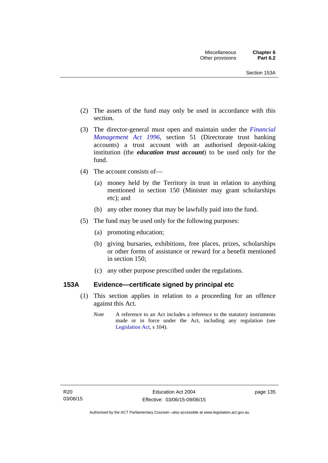- (2) The assets of the fund may only be used in accordance with this section.
- (3) The director-general must open and maintain under the *[Financial](http://www.legislation.act.gov.au/a/1996-22)  [Management Act 1996](http://www.legislation.act.gov.au/a/1996-22)*, section 51 (Directorate trust banking accounts) a trust account with an authorised deposit-taking institution (the *education trust account*) to be used only for the fund.
- (4) The account consists of—
	- (a) money held by the Territory in trust in relation to anything mentioned in section 150 (Minister may grant scholarships etc); and
	- (b) any other money that may be lawfully paid into the fund.
- (5) The fund may be used only for the following purposes:
	- (a) promoting education;
	- (b) giving bursaries, exhibitions, free places, prizes, scholarships or other forms of assistance or reward for a benefit mentioned in section 150;
	- (c) any other purpose prescribed under the regulations.

# **153A Evidence—certificate signed by principal etc**

- (1) This section applies in relation to a proceeding for an offence against this Act.
	- *Note* A reference to an Act includes a reference to the statutory instruments made or in force under the Act, including any regulation (see [Legislation Act,](http://www.legislation.act.gov.au/a/2001-14) s 104).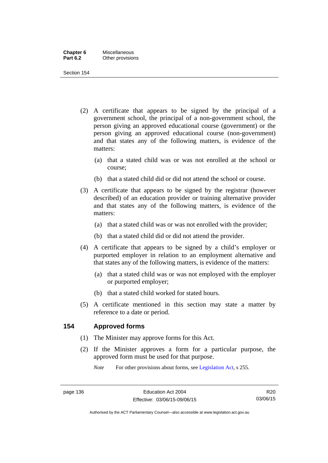| Chapter 6       | <b>Miscellaneous</b> |
|-----------------|----------------------|
| <b>Part 6.2</b> | Other provisions     |

Section 154

- (2) A certificate that appears to be signed by the principal of a government school, the principal of a non-government school, the person giving an approved educational course (government) or the person giving an approved educational course (non-government) and that states any of the following matters, is evidence of the matters:
	- (a) that a stated child was or was not enrolled at the school or course;
	- (b) that a stated child did or did not attend the school or course.
- (3) A certificate that appears to be signed by the registrar (however described) of an education provider or training alternative provider and that states any of the following matters, is evidence of the matters:
	- (a) that a stated child was or was not enrolled with the provider;
	- (b) that a stated child did or did not attend the provider.
- (4) A certificate that appears to be signed by a child's employer or purported employer in relation to an employment alternative and that states any of the following matters, is evidence of the matters:
	- (a) that a stated child was or was not employed with the employer or purported employer;
	- (b) that a stated child worked for stated hours.
- (5) A certificate mentioned in this section may state a matter by reference to a date or period.

# **154 Approved forms**

- (1) The Minister may approve forms for this Act.
- (2) If the Minister approves a form for a particular purpose, the approved form must be used for that purpose.

*Note* For other provisions about forms, see [Legislation Act,](http://www.legislation.act.gov.au/a/2001-14) s 255.

R20 03/06/15

Authorised by the ACT Parliamentary Counsel—also accessible at www.legislation.act.gov.au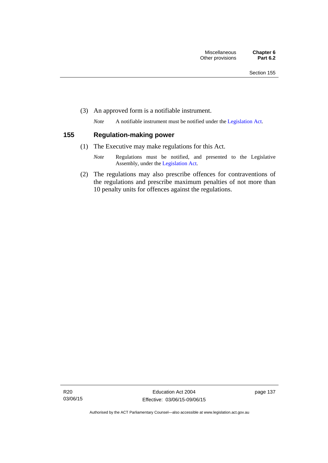(3) An approved form is a notifiable instrument.

*Note* A notifiable instrument must be notified under the [Legislation Act](http://www.legislation.act.gov.au/a/2001-14).

# **155 Regulation-making power**

- (1) The Executive may make regulations for this Act.
	- *Note* Regulations must be notified, and presented to the Legislative Assembly, under the [Legislation Act](http://www.legislation.act.gov.au/a/2001-14).
- (2) The regulations may also prescribe offences for contraventions of the regulations and prescribe maximum penalties of not more than 10 penalty units for offences against the regulations.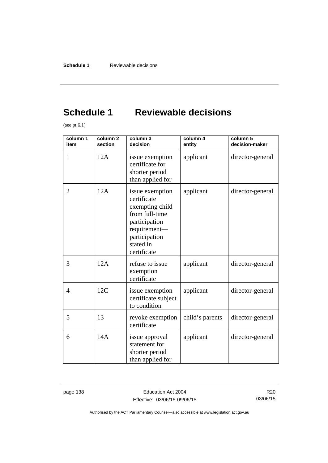# **Schedule 1 Reviewable decisions**

(see pt 6.1)

| column 1<br>item | column <sub>2</sub><br>section | column 3<br>decision                                                                                                                              | column 4<br>entity | column 5<br>decision-maker |
|------------------|--------------------------------|---------------------------------------------------------------------------------------------------------------------------------------------------|--------------------|----------------------------|
| 1                | 12A                            | issue exemption<br>certificate for<br>shorter period<br>than applied for                                                                          | applicant          | director-general           |
| 2                | 12A                            | issue exemption<br>certificate<br>exempting child<br>from full-time<br>participation<br>requirement-<br>participation<br>stated in<br>certificate | applicant          | director-general           |
| 3                | 12A                            | refuse to issue<br>exemption<br>certificate                                                                                                       | applicant          | director-general           |
| $\overline{4}$   | 12C                            | issue exemption<br>certificate subject<br>to condition                                                                                            | applicant          | director-general           |
| 5                | 13                             | revoke exemption<br>certificate                                                                                                                   | child's parents    | director-general           |
| 6                | 14A                            | issue approval<br>statement for<br>shorter period<br>than applied for                                                                             | applicant          | director-general           |

page 138 **Education Act 2004** Effective: 03/06/15-09/06/15

R20 03/06/15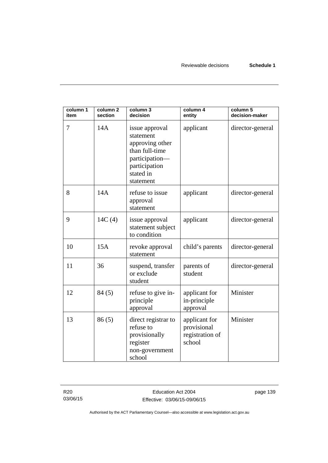| column 1<br>item | column 2<br>section | column 3<br>decision                                                                                                          | column 4<br>entity                                        | column 5<br>decision-maker |
|------------------|---------------------|-------------------------------------------------------------------------------------------------------------------------------|-----------------------------------------------------------|----------------------------|
| 7                | 14A                 | issue approval<br>statement<br>approving other<br>than full-time<br>participation-<br>participation<br>stated in<br>statement | applicant                                                 | director-general           |
| 8                | 14A                 | refuse to issue<br>approval<br>statement                                                                                      | applicant                                                 | director-general           |
| 9                | 14C(4)              | issue approval<br>statement subject<br>to condition                                                                           | applicant                                                 | director-general           |
| 10               | 15A                 | revoke approval<br>statement                                                                                                  | child's parents                                           | director-general           |
| 11               | 36                  | suspend, transfer<br>or exclude<br>student                                                                                    | parents of<br>student                                     | director-general           |
| 12               | 84(5)               | refuse to give in-<br>principle<br>approval                                                                                   | applicant for<br>in-principle<br>approval                 | Minister                   |
| 13               | 86(5)               | direct registrar to<br>refuse to<br>provisionally<br>register<br>non-government<br>school                                     | applicant for<br>provisional<br>registration of<br>school | Minister                   |

R20 03/06/15 page 139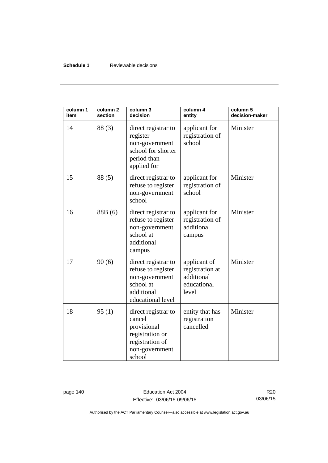## **Schedule 1** Reviewable decisions

| column 1<br>item | column <sub>2</sub><br>section | column 3<br>decision                                                                                           | column 4<br>entity                                                    | column 5<br>decision-maker |
|------------------|--------------------------------|----------------------------------------------------------------------------------------------------------------|-----------------------------------------------------------------------|----------------------------|
| 14               | 88(3)                          | direct registrar to<br>register<br>non-government<br>school for shorter<br>period than<br>applied for          | applicant for<br>registration of<br>school                            | Minister                   |
| 15               | 88(5)                          | direct registrar to<br>refuse to register<br>non-government<br>school                                          | applicant for<br>registration of<br>school                            | Minister                   |
| 16               | 88B (6)                        | direct registrar to<br>refuse to register<br>non-government<br>school at<br>additional<br>campus               | applicant for<br>registration of<br>additional<br>campus              | Minister                   |
| 17               | 90(6)                          | direct registrar to<br>refuse to register<br>non-government<br>school at<br>additional<br>educational level    | applicant of<br>registration at<br>additional<br>educational<br>level | Minister                   |
| 18               | 95(1)                          | direct registrar to<br>cancel<br>provisional<br>registration or<br>registration of<br>non-government<br>school | entity that has<br>registration<br>cancelled                          | Minister                   |

page 140 **Education Act 2004** Effective: 03/06/15-09/06/15

R20 03/06/15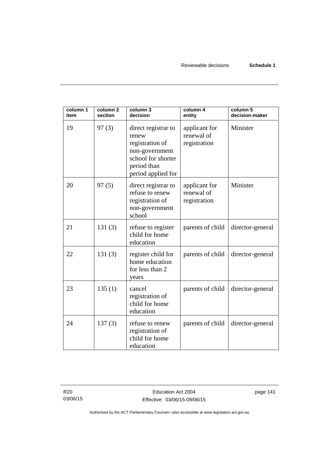| column 1<br>item | column <sub>2</sub><br>section | column 3<br>decision                                                                                                         | column 4<br>entity                          | column 5<br>decision-maker |
|------------------|--------------------------------|------------------------------------------------------------------------------------------------------------------------------|---------------------------------------------|----------------------------|
| 19               | 97(3)                          | direct registrar to<br>renew<br>registration of<br>non-government<br>school for shorter<br>period than<br>period applied for | applicant for<br>renewal of<br>registration | Minister                   |
| 20               | 97(5)                          | direct registrar to<br>refuse to renew<br>registration of<br>non-government<br>school                                        | applicant for<br>renewal of<br>registration | Minister                   |
| 21               | 131(3)                         | refuse to register<br>child for home<br>education                                                                            | parents of child                            | director-general           |
| 22               | 131(3)                         | register child for<br>home education<br>for less than 2<br>years                                                             | parents of child                            | director-general           |
| 23               | 135(1)                         | cancel<br>registration of<br>child for home<br>education                                                                     | parents of child                            | director-general           |
| 24               | 137(3)                         | refuse to renew<br>registration of<br>child for home<br>education                                                            | parents of child                            | director-general           |

R20 03/06/15 page 141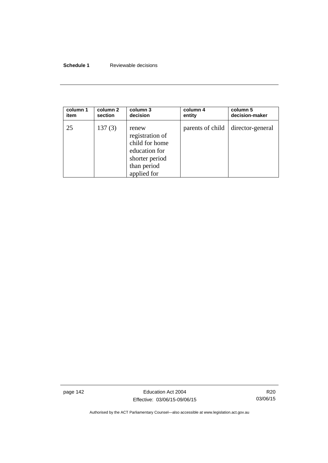# **Schedule 1** Reviewable decisions

| column 1 | column 2 | column 3                                                                                                    | column 4         | column 5         |
|----------|----------|-------------------------------------------------------------------------------------------------------------|------------------|------------------|
| item     | section  | decision                                                                                                    | entity           | decision-maker   |
| 25       | 137(3)   | renew<br>registration of<br>child for home<br>education for<br>shorter period<br>than period<br>applied for | parents of child | director-general |

page 142 **Education Act 2004** Effective: 03/06/15-09/06/15

R20 03/06/15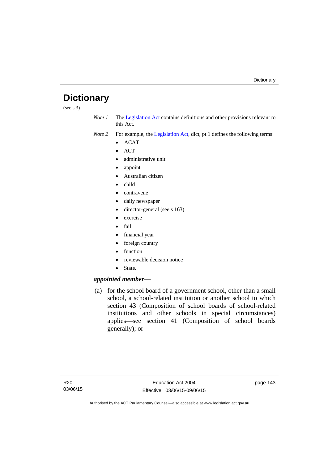# **Dictionary**

(see s 3)

*Note 1* The [Legislation Act](http://www.legislation.act.gov.au/a/2001-14) contains definitions and other provisions relevant to this Act.

*Note 2* For example, the [Legislation Act,](http://www.legislation.act.gov.au/a/2001-14) dict, pt 1 defines the following terms:

- $\bullet$  ACAT
- $\bullet$  ACT
- administrative unit
- appoint
- Australian citizen
- child
- contravene
- daily newspaper
- director-general (see s 163)
- exercise
- $\bullet$  fail
- financial year
- foreign country
- function
- reviewable decision notice
- State.

# *appointed member*—

 (a) for the school board of a government school, other than a small school, a school-related institution or another school to which section 43 (Composition of school boards of school-related institutions and other schools in special circumstances) applies—see section 41 (Composition of school boards generally); or

page 143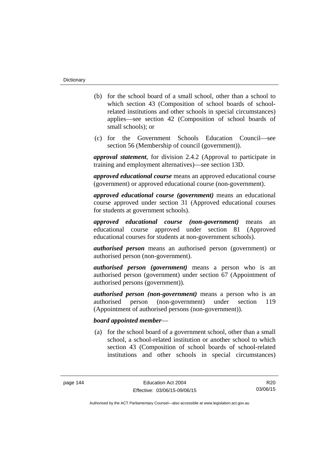- (b) for the school board of a small school, other than a school to which section 43 (Composition of school boards of schoolrelated institutions and other schools in special circumstances) applies—see section 42 (Composition of school boards of small schools); or
- (c) for the Government Schools Education Council—see section 56 (Membership of council (government)).

*approval statement*, for division 2.4.2 (Approval to participate in training and employment alternatives)—see section 13D.

*approved educational course* means an approved educational course (government) or approved educational course (non-government).

*approved educational course (government)* means an educational course approved under section 31 (Approved educational courses for students at government schools).

*approved educational course (non-government)* means an educational course approved under section 81 (Approved educational courses for students at non-government schools).

*authorised person* means an authorised person (government) or authorised person (non-government).

*authorised person (government)* means a person who is an authorised person (government) under section 67 (Appointment of authorised persons (government)).

*authorised person (non-government)* means a person who is an authorised person (non-government) under section 119 (Appointment of authorised persons (non-government)).

## *board appointed member*—

 (a) for the school board of a government school, other than a small school, a school-related institution or another school to which section 43 (Composition of school boards of school-related institutions and other schools in special circumstances)

R20 03/06/15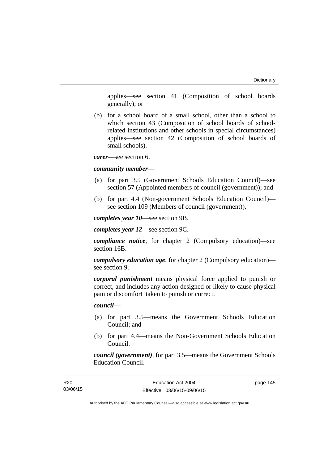applies—see section 41 (Composition of school boards generally); or

 (b) for a school board of a small school, other than a school to which section 43 (Composition of school boards of schoolrelated institutions and other schools in special circumstances) applies—see section 42 (Composition of school boards of small schools).

*carer*—see section 6.

#### *community member*—

- (a) for part 3.5 (Government Schools Education Council)—see section 57 (Appointed members of council (government)); and
- (b) for part 4.4 (Non-government Schools Education Council) see section 109 (Members of council (government)).

*completes year 10*—see section 9B.

*completes year 12*—see section 9C.

*compliance notice*, for chapter 2 (Compulsory education)—see section 16B.

*compulsory education age*, for chapter 2 (Compulsory education) see section 9.

*corporal punishment* means physical force applied to punish or correct, and includes any action designed or likely to cause physical pain or discomfort taken to punish or correct.

*council*—

- (a) for part 3.5—means the Government Schools Education Council; and
- (b) for part 4.4—means the Non-Government Schools Education Council.

*council (government)*, for part 3.5—means the Government Schools Education Council.

page 145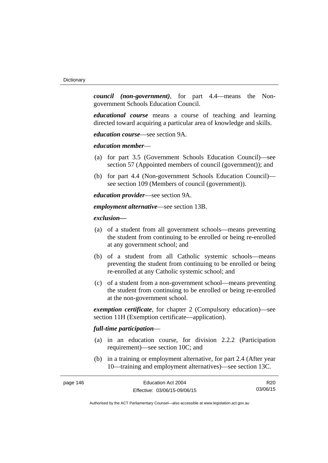*council (non-government)*, for part 4.4—means the Nongovernment Schools Education Council.

*educational course* means a course of teaching and learning directed toward acquiring a particular area of knowledge and skills.

*education course*—see section 9A.

*education member*—

- (a) for part 3.5 (Government Schools Education Council)—see section 57 (Appointed members of council (government)); and
- (b) for part 4.4 (Non-government Schools Education Council) see section 109 (Members of council (government)).

*education provider*—see section 9A.

*employment alternative*—see section 13B.

*exclusion***—**

- (a) of a student from all government schools—means preventing the student from continuing to be enrolled or being re-enrolled at any government school; and
- (b) of a student from all Catholic systemic schools—means preventing the student from continuing to be enrolled or being re-enrolled at any Catholic systemic school; and
- (c) of a student from a non-government school—means preventing the student from continuing to be enrolled or being re-enrolled at the non-government school.

*exemption certificate*, for chapter 2 (Compulsory education)—see section 11H (Exemption certificate—application).

# *full-time participation*—

- (a) in an education course, for division 2.2.2 (Participation requirement)—see section 10C; and
- (b) in a training or employment alternative, for part 2.4 (After year 10—training and employment alternatives)—see section 13C.

| page 146 | Education Act 2004           | R20      |
|----------|------------------------------|----------|
|          | Effective: 03/06/15-09/06/15 | 03/06/15 |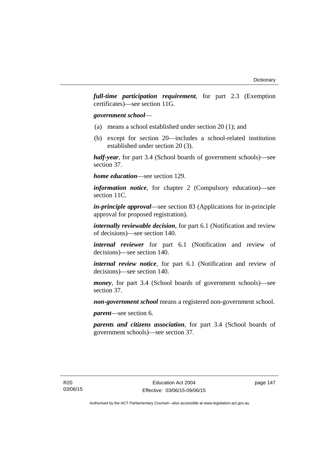*full-time participation requirement*, for part 2.3 (Exemption certificates)—see section 11G.

## *government school*—

- (a) means a school established under section 20 (1); and
- (b) except for section 20—includes a school-related institution established under section 20 (3).

*half-year*, for part 3.4 (School boards of government schools)—see section 37.

*home education*—see section 129.

*information notice*, for chapter 2 (Compulsory education)—see section 11C.

*in-principle approval*—see section 83 (Applications for in-principle approval for proposed registration).

*internally reviewable decision*, for part 6.1 (Notification and review of decisions)—see section 140.

*internal reviewer* for part 6.1 (Notification and review of decisions)—see section 140.

*internal review notice*, for part 6.1 (Notification and review of decisions)—see section 140.

*money*, for part 3.4 (School boards of government schools)—see section 37.

*non-government school* means a registered non-government school.

*parent*—see section 6.

*parents and citizens association*, for part 3.4 (School boards of government schools)—see section 37.

page 147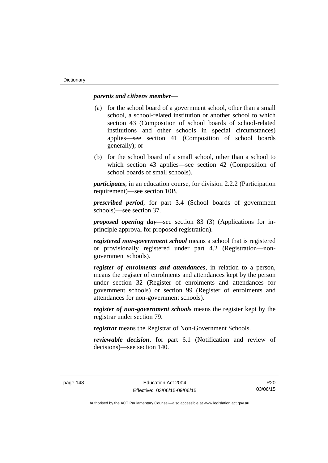## *parents and citizens member*—

- (a) for the school board of a government school, other than a small school, a school-related institution or another school to which section 43 (Composition of school boards of school-related institutions and other schools in special circumstances) applies—see section 41 (Composition of school boards generally); or
- (b) for the school board of a small school, other than a school to which section 43 applies—see section 42 (Composition of school boards of small schools).

*participates*, in an education course, for division 2.2.2 (Participation requirement)—see section 10B.

*prescribed period*, for part 3.4 (School boards of government schools)—see section 37.

*proposed opening day*—see section 83 (3) (Applications for inprinciple approval for proposed registration).

*registered non-government school* means a school that is registered or provisionally registered under part 4.2 (Registration—nongovernment schools).

*register of enrolments and attendances*, in relation to a person, means the register of enrolments and attendances kept by the person under section 32 (Register of enrolments and attendances for government schools) or section 99 (Register of enrolments and attendances for non-government schools).

*register of non-government schools* means the register kept by the registrar under section 79.

*registrar* means the Registrar of Non-Government Schools.

*reviewable decision*, for part 6.1 (Notification and review of decisions)—see section 140.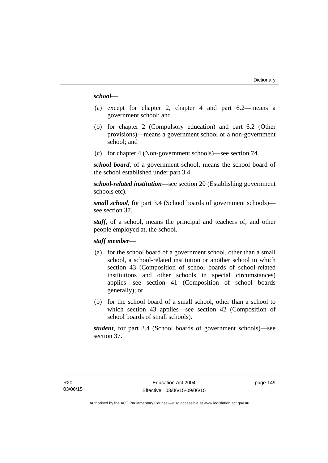## *school*—

- (a) except for chapter 2, chapter 4 and part 6.2—means a government school; and
- (b) for chapter 2 (Compulsory education) and part 6.2 (Other provisions)—means a government school or a non-government school; and
- (c) for chapter 4 (Non-government schools)—see section 74.

*school board*, of a government school, means the school board of the school established under part 3.4.

*school-related institution*—see section 20 (Establishing government schools etc).

*small school*, for part 3.4 (School boards of government schools) see section 37.

*staff*, of a school, means the principal and teachers of, and other people employed at, the school.

## *staff member*—

- (a) for the school board of a government school, other than a small school, a school-related institution or another school to which section 43 (Composition of school boards of school-related institutions and other schools in special circumstances) applies—see section 41 (Composition of school boards generally); or
- (b) for the school board of a small school, other than a school to which section 43 applies—see section 42 (Composition of school boards of small schools).

*student*, for part 3.4 (School boards of government schools)—see section 37.

page 149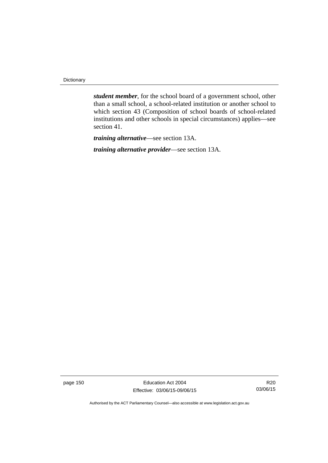**Dictionary** 

*student member*, for the school board of a government school, other than a small school, a school-related institution or another school to which section 43 (Composition of school boards of school-related institutions and other schools in special circumstances) applies—see section 41.

*training alternative*—see section 13A.

*training alternative provider*—see section 13A.

page 150 **Education Act 2004** Effective: 03/06/15-09/06/15

R20 03/06/15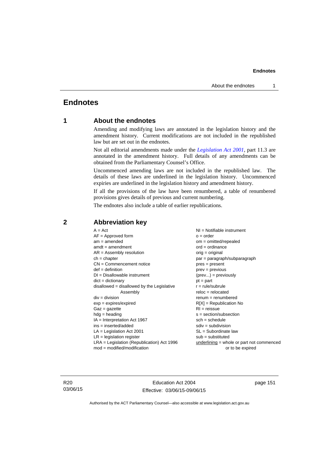# **Endnotes**

# **1 About the endnotes**

Amending and modifying laws are annotated in the legislation history and the amendment history. Current modifications are not included in the republished law but are set out in the endnotes.

Not all editorial amendments made under the *[Legislation Act 2001](http://www.legislation.act.gov.au/a/2001-14)*, part 11.3 are annotated in the amendment history. Full details of any amendments can be obtained from the Parliamentary Counsel's Office.

Uncommenced amending laws are not included in the republished law. The details of these laws are underlined in the legislation history. Uncommenced expiries are underlined in the legislation history and amendment history.

If all the provisions of the law have been renumbered, a table of renumbered provisions gives details of previous and current numbering.

The endnotes also include a table of earlier republications.

| $A = Act$                                    | $NI = Notifiable$ instrument                |
|----------------------------------------------|---------------------------------------------|
| $AF =$ Approved form                         | $o = order$                                 |
| $am = amended$                               | $om = omitted/repealed$                     |
| $amdt = amendment$                           | $ord = ordinance$                           |
| $AR = Assembly resolution$                   | $orig = original$                           |
| $ch = chapter$                               | par = paragraph/subparagraph                |
| $CN =$ Commencement notice                   | $pres = present$                            |
| $def = definition$                           | $prev = previous$                           |
| $DI = Disallowable instrument$               | $(\text{prev}) = \text{previously}$         |
| $dict = dictionary$                          | $pt = part$                                 |
| $disallowed = disallowed by the Legislative$ | $r = rule/subrule$                          |
| Assembly                                     | $reloc = relocated$                         |
| $div =$ division                             | $remum = renumbered$                        |
| $exp = expires/expired$                      | $R[X]$ = Republication No                   |
| $Gaz = gazette$                              | $RI = reissue$                              |
| $hdg = heading$                              | $s = section/subsection$                    |
| $IA = Interpretation Act 1967$               | $sch = schedule$                            |
| ins = inserted/added                         | $sdiv = subdivision$                        |
| $LA =$ Legislation Act 2001                  | $SL = Subordinate$ law                      |
| $LR =$ legislation register                  | $sub =$ substituted                         |
| $LRA =$ Legislation (Republication) Act 1996 | $underlining = whole or part not commenced$ |
| $mod = modified/modification$                | or to be expired                            |
|                                              |                                             |

# **2 Abbreviation key**

R20 03/06/15

Education Act 2004 Effective: 03/06/15-09/06/15 page 151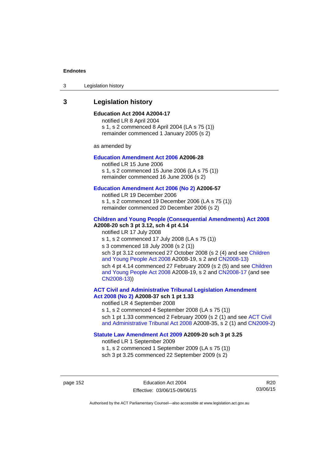3 Legislation history

# **3 Legislation history**

### **Education Act 2004 A2004-17**

notified LR 8 April 2004 s 1, s 2 commenced 8 April 2004 (LA s 75 (1)) remainder commenced 1 January 2005 (s 2)

as amended by

## **[Education Amendment Act 2006](http://www.legislation.act.gov.au/a/2006-28) A2006-28**

notified LR 15 June 2006 s 1, s 2 commenced 15 June 2006 (LA s 75 (1)) remainder commenced 16 June 2006 (s 2)

#### **[Education Amendment Act 2006 \(No 2\)](http://www.legislation.act.gov.au/a/2006-57) A2006-57**

notified LR 19 December 2006 s 1, s 2 commenced 19 December 2006 (LA s 75 (1)) remainder commenced 20 December 2006 (s 2)

#### **[Children and Young People \(Consequential Amendments\) Act 2008](http://www.legislation.act.gov.au/a/2008-20) A2008-20 sch 3 pt 3.12, sch 4 pt 4.14**

notified LR 17 July 2008 s 1, s 2 commenced 17 July 2008 (LA s 75 (1)) s 3 commenced 18 July 2008 (s 2 (1)) sch 3 pt 3.12 commenced 27 October 2008 (s 2 (4) and see [Children](http://www.legislation.act.gov.au/a/2008-19)  [and Young People Act 2008](http://www.legislation.act.gov.au/a/2008-19) A2008-19, s 2 and [CN2008-13](http://www.legislation.act.gov.au/cn/2008-13/default.asp)) sch 4 pt 4.14 commenced 27 February 2009 (s 2 (5) and see [Children](http://www.legislation.act.gov.au/a/2008-19)  [and Young People Act 2008](http://www.legislation.act.gov.au/a/2008-19) A2008-19, s 2 and [CN2008-17 \(](http://www.legislation.act.gov.au/cn/2008-17/default.asp)and see [CN2008-13](http://www.legislation.act.gov.au/cn/2008-13/default.asp)))

**[ACT Civil and Administrative Tribunal Legislation Amendment](http://www.legislation.act.gov.au/a/2008-37)  [Act 2008 \(No 2\)](http://www.legislation.act.gov.au/a/2008-37) A2008-37 sch 1 pt 1.33** 

notified LR 4 September 2008

s 1, s 2 commenced 4 September 2008 (LA s 75 (1)) sch 1 pt 1.33 commenced 2 February 2009 (s 2 (1) and see ACT Civil [and Administrative Tribunal Act 2008](http://www.legislation.act.gov.au/a/2008-35) A2008-35, s 2 (1) and [CN2009-2](http://www.legislation.act.gov.au/cn/2009-2/default.asp))

## **[Statute Law Amendment Act 2009](http://www.legislation.act.gov.au/a/2009-20) A2009-20 sch 3 pt 3.25**

notified LR 1 September 2009 s 1, s 2 commenced 1 September 2009 (LA s 75 (1)) sch 3 pt 3.25 commenced 22 September 2009 (s 2)

page 152 Education Act 2004 Effective: 03/06/15-09/06/15

R20 03/06/15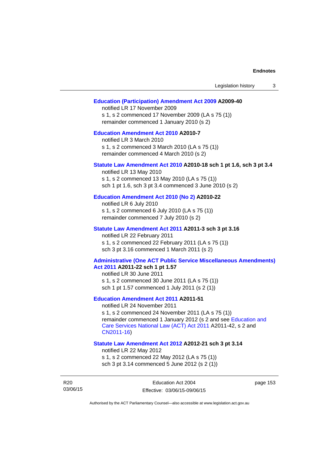| Legislation history<br>3                                                                                                                                                                                                                                                        |
|---------------------------------------------------------------------------------------------------------------------------------------------------------------------------------------------------------------------------------------------------------------------------------|
| <b>Education (Participation) Amendment Act 2009 A2009-40</b><br>notified LR 17 November 2009<br>s 1, s 2 commenced 17 November 2009 (LA s 75 (1))<br>remainder commenced 1 January 2010 (s 2)                                                                                   |
| <b>Education Amendment Act 2010 A2010-7</b><br>notified LR 3 March 2010<br>s 1, s 2 commenced 3 March 2010 (LA s 75 (1))<br>remainder commenced 4 March 2010 (s 2)                                                                                                              |
| Statute Law Amendment Act 2010 A2010-18 sch 1 pt 1.6, sch 3 pt 3.4<br>notified LR 13 May 2010<br>s 1, s 2 commenced 13 May 2010 (LA s 75 (1))<br>sch 1 pt 1.6, sch 3 pt 3.4 commenced 3 June 2010 (s 2)                                                                         |
| Education Amendment Act 2010 (No 2) A2010-22<br>notified LR 6 July 2010<br>s 1, s 2 commenced 6 July 2010 (LA s 75 (1))<br>remainder commenced 7 July 2010 (s 2)                                                                                                                |
| Statute Law Amendment Act 2011 A2011-3 sch 3 pt 3.16<br>notified LR 22 February 2011<br>s 1, s 2 commenced 22 February 2011 (LA s 75 (1))<br>sch 3 pt 3.16 commenced 1 March 2011 (s 2)                                                                                         |
| <b>Administrative (One ACT Public Service Miscellaneous Amendments)</b><br>Act 2011 A2011-22 sch 1 pt 1.57<br>notified LR 30 June 2011<br>s 1, s 2 commenced 30 June 2011 (LA s 75 (1))<br>sch 1 pt 1.57 commenced 1 July 2011 (s 2 (1))                                        |
| <b>Education Amendment Act 2011 A2011-51</b><br>notified LR 24 November 2011<br>s 1, s 2 commenced 24 November 2011 (LA s 75 (1))<br>remainder commenced 1 January 2012 (s 2 and see Education and<br>Care Services National Law (ACT) Act 2011 A2011-42, s 2 and<br>CN2011-16) |
| Statute Law Amendment Act 2012 A2012-21 sch 3 pt 3.14<br>notified LR 22 May 2012<br>s 1, s 2 commenced 22 May 2012 (LA s 75 (1))<br>sch 3 pt 3.14 commenced 5 June 2012 (s 2 (1))                                                                                               |

R20 03/06/15 page 153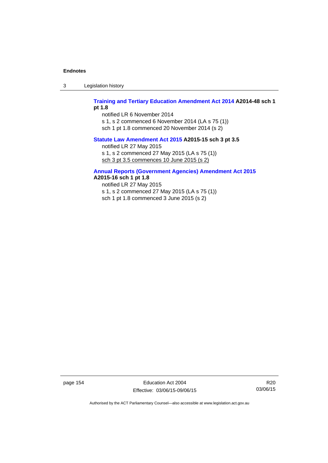3 Legislation history

## **[Training and Tertiary Education Amendment Act 2014](http://www.legislation.act.gov.au/a/2014-48) A2014-48 sch 1 pt 1.8**

notified LR 6 November 2014

s 1, s 2 commenced 6 November 2014 (LA s 75 (1))

sch 1 pt 1.8 commenced 20 November 2014 (s 2)

## **[Statute Law Amendment Act 2015](http://www.legislation.act.gov.au/a/2015-15/default.asp) A2015-15 sch 3 pt 3.5**

notified LR 27 May 2015

s 1, s 2 commenced 27 May 2015 (LA s 75 (1))

sch 3 pt 3.5 commences 10 June 2015 (s 2)

# **[Annual Reports \(Government Agencies\) Amendment Act 2015](http://www.legislation.act.gov.au/a/2015-16)**

**A2015-16 sch 1 pt 1.8** 

notified LR 27 May 2015 s 1, s 2 commenced 27 May 2015 (LA s 75 (1)) sch 1 pt 1.8 commenced 3 June 2015 (s 2)

page 154 Education Act 2004 Effective: 03/06/15-09/06/15

R20 03/06/15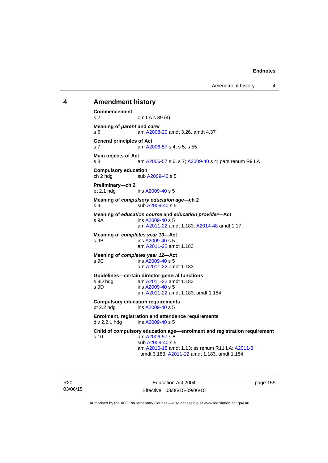Amendment history 4

## **4 Amendment history**

**Commencement**  s 2 om LA s 89 (4) **Meaning of** *parent* **and** *carer*  s 6 am [A2008-20](http://www.legislation.act.gov.au/a/2008-20) amdt 3.26, amdt 4.37 **General principles of Act**  s 7 am [A2006-57](http://www.legislation.act.gov.au/a/2006-57) s 4, s 5, s 55 **Main objects of Act**  s 8 am [A2006-57](http://www.legislation.act.gov.au/a/2006-57) s 6, s 7; [A2009-40](http://www.legislation.act.gov.au/a/2009-40) s 4; pars renum R9 LA **Compulsory education**  ch 2 hdg sub [A2009-40](http://www.legislation.act.gov.au/a/2009-40) s 5 **Preliminary—ch 2**  pt 2.1 hdg ins [A2009-40](http://www.legislation.act.gov.au/a/2009-40) s 5 **Meaning of** *compulsory education age***—ch 2**  s 9 sub [A2009-40](http://www.legislation.act.gov.au/a/2009-40) s 5 **Meaning of** *education course* **and** *education provider***—Act**  s 9A ins [A2009-40](http://www.legislation.act.gov.au/a/2009-40) s 5 am [A2011-22](http://www.legislation.act.gov.au/a/2011-22) amdt 1.183; [A2014-48](http://www.legislation.act.gov.au/a/2014-48) amdt 1.17 **Meaning of** *completes year 10***—Act**  s 9B ins [A2009-40](http://www.legislation.act.gov.au/a/2009-40) s 5 am [A2011-22](http://www.legislation.act.gov.au/a/2011-22) amdt 1.183 **Meaning of** *completes year 12***—Act**  s 9C ins [A2009-40](http://www.legislation.act.gov.au/a/2009-40) s 5 am [A2011-22](http://www.legislation.act.gov.au/a/2011-22) amdt 1.183 **Guidelines—certain director-general functions**  am [A2011-22](http://www.legislation.act.gov.au/a/2011-22) amdt 1.183 s 9D ins [A2009-40](http://www.legislation.act.gov.au/a/2009-40) s 5 am [A2011-22](http://www.legislation.act.gov.au/a/2011-22) amdt 1.183, amdt 1.184 **Compulsory education requirements**  pt 2.2 hdg ins [A2009-40](http://www.legislation.act.gov.au/a/2009-40) s 5 **Enrolment, registration and attendance requirements**  div 2.2.1 hdg ins [A2009-40](http://www.legislation.act.gov.au/a/2009-40) s 5 **Child of compulsory education age—enrolment and registration requirement**  s 10 am [A2006-57](http://www.legislation.act.gov.au/a/2006-57) s 8 sub [A2009-40](http://www.legislation.act.gov.au/a/2009-40) s 5 am [A2010-18](http://www.legislation.act.gov.au/a/2010-18) amdt 1.13; ss renum R11 LA; [A2011-3](http://www.legislation.act.gov.au/a/2011-3) amdt 3.183; [A2011-22](http://www.legislation.act.gov.au/a/2011-22) amdt 1.183, amdt 1.184

R20 03/06/15

Education Act 2004 Effective: 03/06/15-09/06/15 page 155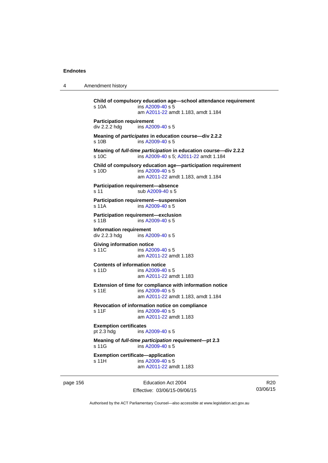4 Amendment history

```
Child of compulsory education age—school attendance requirement 
s 10A ins A2009-40 s 5
                am A2011-22 amdt 1.183, amdt 1.184 
Participation requirement 
div 2.2.2 hdg ins A2009-40 s 5
Meaning of participates in education course—div 2.2.2 
s 10B ins A2009-40 s 5
Meaning of full-time participation in education course—div 2.2.2 
A2009-40 A2011-22 amdt 1.184
Child of compulsory education age—participation requirement 
s 10D ins A2009-40 s 5
                am A2011-22 amdt 1.183, amdt 1.184 
Participation requirement—absence 
A2009-40 s 5
Participation requirement—suspension 
s 11A ins A2009-40 s 5
Participation requirement—exclusion 
s 11B ins A2009-40 s 5
Information requirement 
div 2.2.3 hdg ins A2009-40 s 5
Giving information notice 
A2009-40 s 5
                am A2011-22 amdt 1.183
Contents of information notice 
s 11D ins A2009-40 s 5
                am A2011-22 amdt 1.183
Extension of time for compliance with information notice 
A2009-40 s 5
                am A2011-22 amdt 1.183, amdt 1.184 
Revocation of information notice on compliance 
A2009-40 s 5
                am A2011-22 amdt 1.183
Exemption certificates 
pt 2.3 hdg ins A2009-40 s 5
Meaning of full-time participation requirement—pt 2.3 
 A2009-40 s 5
Exemption certificate—application 
A2009-40 s 5
                am A2011-22 amdt 1.183
```
page 156 **Education Act 2004** Effective: 03/06/15-09/06/15

R20 03/06/15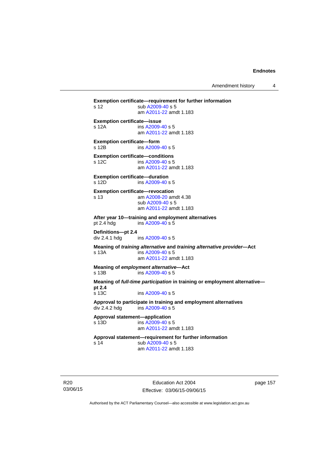Amendment history 4

**Exemption certificate—requirement for further information**  s 12 sub [A2009-40](http://www.legislation.act.gov.au/a/2009-40) s 5 am [A2011-22](http://www.legislation.act.gov.au/a/2011-22) amdt 1.183 **Exemption certificate—issue**  s 12A ins [A2009-40](http://www.legislation.act.gov.au/a/2009-40) s 5 am [A2011-22](http://www.legislation.act.gov.au/a/2011-22) amdt 1.183 **Exemption certificate—form**  s 12B ins [A2009-40](http://www.legislation.act.gov.au/a/2009-40) s 5 **Exemption certificate—conditions**  s 12C ins [A2009-40](http://www.legislation.act.gov.au/a/2009-40) s 5 am [A2011-22](http://www.legislation.act.gov.au/a/2011-22) amdt 1.183 **Exemption certificate—duration**  s 12D ins [A2009-40](http://www.legislation.act.gov.au/a/2009-40) s 5 **Exemption certificate—revocation**  s 13 am [A2008-20](http://www.legislation.act.gov.au/a/2008-20) amdt 4.38 sub [A2009-40](http://www.legislation.act.gov.au/a/2009-40) s 5 am [A2011-22](http://www.legislation.act.gov.au/a/2011-22) amdt 1.183 **After year 10—training and employment alternatives**  pt 2.4 hdg ins [A2009-40](http://www.legislation.act.gov.au/a/2009-40) s 5 **Definitions—pt 2.4**  ins [A2009-40](http://www.legislation.act.gov.au/a/2009-40) s 5 **Meaning of** *training alternative* **and** *training alternative provider***—Act**  s 13A ins [A2009-40](http://www.legislation.act.gov.au/a/2009-40) s 5 am [A2011-22](http://www.legislation.act.gov.au/a/2011-22) amdt 1.183 **Meaning of** *employment alternative***—Act**  s 13B ins [A2009-40](http://www.legislation.act.gov.au/a/2009-40) s 5 **Meaning of** *full-time participation* **in training or employment alternative pt 2.4**  s 13C ins [A2009-40](http://www.legislation.act.gov.au/a/2009-40) s 5 **Approval to participate in training and employment alternatives**  div 2.4.2 hdg ins [A2009-40](http://www.legislation.act.gov.au/a/2009-40) s 5 **Approval statement—application**   $ins A2009-40 s 5$  $ins A2009-40 s 5$  $ins A2009-40 s 5$  am [A2011-22](http://www.legislation.act.gov.au/a/2011-22) amdt 1.183 **Approval statement—requirement for further information**  s 14 sub [A2009-40](http://www.legislation.act.gov.au/a/2009-40) s 5 am [A2011-22](http://www.legislation.act.gov.au/a/2011-22) amdt 1.183

R20 03/06/15

Education Act 2004 Effective: 03/06/15-09/06/15 page 157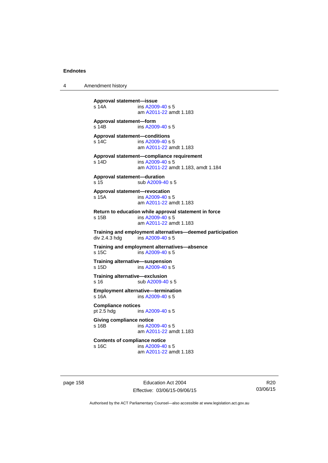4 Amendment history

```
Approval statement—issue 
s 14A ins A2009-40 s 5
                 am A2011-22 amdt 1.183
Approval statement—form 
s 14B ins A2009-40 s 5
Approval statement—conditions 
s 14C ins A2009-40 s 5
                 am A2011-22 amdt 1.183
Approval statement—compliance requirement 
s 14D ins A2009-40 s 5
                 am A2011-22 amdt 1.183, amdt 1.184 
Approval statement—duration 
A2009-40 s 5
Approval statement—revocation 
s 15A ins A2009-40 s 5
                 am A2011-22 amdt 1.183
Return to education while approval statement in force 
s 15B ins A2009-40 s 5
                 am A2011-22 amdt 1.183
Training and employment alternatives—deemed participation 
                insA2009-40 s 5
Training and employment alternatives—absence 
s 15C ins A2009-40 s 5
Training alternative—suspension<br>s 15D ins A2009-40 s 5
                A2009-40 s 5Training alternative—exclusion 
A2009-40 s 5
Employment alternative—termination 
s 16A ins A2009-40 s 5
Compliance notices 
pt 2.5 hdg ins A2009-40 s 5
Giving compliance notice 
A2009-40 s 5
                 am A2011-22 amdt 1.183
Contents of compliance notice<br>s 16C ins A2009-40
                A2009-40 s 5
                 am A2011-22 amdt 1.183
```
page 158 Education Act 2004 Effective: 03/06/15-09/06/15

R20 03/06/15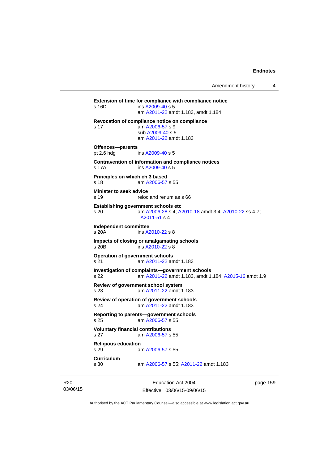**Extension of time for compliance with compliance notice**  s 16D ins [A2009-40](http://www.legislation.act.gov.au/a/2009-40) s 5 am [A2011-22](http://www.legislation.act.gov.au/a/2011-22) amdt 1.183, amdt 1.184 **Revocation of compliance notice on compliance**  s 17 am [A2006-57](http://www.legislation.act.gov.au/a/2006-57) s 9 sub [A2009-40](http://www.legislation.act.gov.au/a/2009-40) s 5 am [A2011-22](http://www.legislation.act.gov.au/a/2011-22) amdt 1.183 **Offences—parents**  pt 2.6 hdg ins [A2009-40](http://www.legislation.act.gov.au/a/2009-40) s 5 **Contravention of information and compliance notices**  s 17A ins [A2009-40](http://www.legislation.act.gov.au/a/2009-40) s 5 **Principles on which ch 3 based**  s 18 am [A2006-57](http://www.legislation.act.gov.au/a/2006-57) s 55 **Minister to seek advice**  s 19 reloc and renum as s 66 **Establishing government schools etc**  s 20 am [A2006-28](http://www.legislation.act.gov.au/a/2006-28) s 4; [A2010-18](http://www.legislation.act.gov.au/a/2010-18) amdt 3.4; [A2010-22](http://www.legislation.act.gov.au/a/2010-22) ss 4-7; [A2011-51](http://www.legislation.act.gov.au/a/2011-51) s 4 **Independent committee**  ins [A2010-22](http://www.legislation.act.gov.au/a/2010-22) s 8 **Impacts of closing or amalgamating schools**  s 20B ins [A2010-22](http://www.legislation.act.gov.au/a/2010-22) s 8 **Operation of government schools**  s 21 am [A2011-22](http://www.legislation.act.gov.au/a/2011-22) amdt 1.183 **Investigation of complaints—government schools**  s 22 am [A2011-22](http://www.legislation.act.gov.au/a/2011-22) amdt 1.183, amdt 1.184; [A2015-16](http://www.legislation.act.gov.au/a/2015-16) amdt 1.9 **Review of government school system**  s 23 am [A2011-22](http://www.legislation.act.gov.au/a/2011-22) amdt 1.183 **Review of operation of government schools**  s 24 am [A2011-22](http://www.legislation.act.gov.au/a/2011-22) amdt 1.183 **Reporting to parents—government schools**  s 25 am [A2006-57](http://www.legislation.act.gov.au/a/2006-57) s 55 **Voluntary financial contributions**  s 27 am [A2006-57](http://www.legislation.act.gov.au/a/2006-57) s 55 **Religious education**  s 29 am [A2006-57](http://www.legislation.act.gov.au/a/2006-57) s 55 **Curriculum**  am [A2006-57](http://www.legislation.act.gov.au/a/2006-57) s 55; [A2011-22](http://www.legislation.act.gov.au/a/2011-22) amdt 1.183

R20 03/06/15

Education Act 2004 Effective: 03/06/15-09/06/15 page 159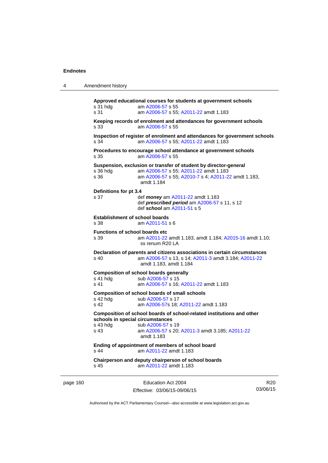| Amendment history |  |
|-------------------|--|
|-------------------|--|

**Approved educational courses for students at government schools**  s 31 hdg am [A2006-57](http://www.legislation.act.gov.au/a/2006-57) s 55 s 31 am [A2006-57](http://www.legislation.act.gov.au/a/2006-57) s 55; [A2011-22](http://www.legislation.act.gov.au/a/2011-22) amdt 1.183 **Keeping records of enrolment and attendances for government schools**  s 33 am [A2006-57](http://www.legislation.act.gov.au/a/2006-57) s 55 **Inspection of register of enrolment and attendances for government schools**  s 34 am [A2006-57](http://www.legislation.act.gov.au/a/2006-57) s 55; [A2011-22](http://www.legislation.act.gov.au/a/2011-22) amdt 1.183 **Procedures to encourage school attendance at government schools**  s 35 am [A2006-57](http://www.legislation.act.gov.au/a/2006-57) s 55 **Suspension, exclusion or transfer of student by director-general**  s 36 hdg am [A2006-57](http://www.legislation.act.gov.au/a/2006-57) s 55; [A2011-22](http://www.legislation.act.gov.au/a/2011-22) amdt 1.183 am [A2006-57](http://www.legislation.act.gov.au/a/2006-57) s 55; [A2010-7](http://www.legislation.act.gov.au/a/2010-7) s 4; [A2011-22](http://www.legislation.act.gov.au/a/2011-22) amdt 1.183, amdt 1.184 **Definitions for pt 3.4**  s 37 def *money* am [A2011-22](http://www.legislation.act.gov.au/a/2011-22) amdt 1.183 def *prescribed period* am [A2006-57](http://www.legislation.act.gov.au/a/2006-57) s 11, s 12 def *school* am [A2011-51](http://www.legislation.act.gov.au/a/2011-51) s 5 **Establishment of school boards**  s 38 am [A2011-51](http://www.legislation.act.gov.au/a/2011-51) s 6 **Functions of school boards etc**  s 39 am [A2011-22](http://www.legislation.act.gov.au/a/2011-22) amdt 1.183, amdt 1.184; [A2015-16](http://www.legislation.act.gov.au/a/2015-16) amdt 1.10; ss renum R20 LA **Declaration of parents and citizens associations in certain circumstances**  s 40 am [A2006-57](http://www.legislation.act.gov.au/a/2006-57) s 13, s 14; [A2011-3](http://www.legislation.act.gov.au/a/2011-3) amdt 3.184; [A2011-22](http://www.legislation.act.gov.au/a/2011-22) amdt 1.183, amdt 1.184 **Composition of school boards generally**  s 41 hdg sub [A2006-57](http://www.legislation.act.gov.au/a/2006-57) s 15 s 41 am [A2006-57](http://www.legislation.act.gov.au/a/2006-57) s 16; [A2011-22](http://www.legislation.act.gov.au/a/2011-22) amdt 1.183 **Composition of school boards of small schools**  s 42 hdg sub [A2006-57](http://www.legislation.act.gov.au/a/2006-57) s 17<br>s 42 am A2006-57 s 18: am [A2006-57](http://www.legislation.act.gov.au/a/2006-57)s 18; [A2011-22](http://www.legislation.act.gov.au/a/2011-22) amdt 1.183 **Composition of school boards of school-related institutions and other schools in special circumstances**  s 43 hdg sub [A2006-57](http://www.legislation.act.gov.au/a/2006-57) s 19 s 43 am [A2006-57](http://www.legislation.act.gov.au/a/2006-57) s 20; [A2011-3](http://www.legislation.act.gov.au/a/2011-3) amdt 3.185; [A2011-22](http://www.legislation.act.gov.au/a/2011-22) amdt 1.183 **Ending of appointment of members of school board**  s 44 **am [A2011-22](http://www.legislation.act.gov.au/a/2011-22) amdt 1.183 Chairperson and deputy chairperson of school boards**  s 45 am [A2011-22](http://www.legislation.act.gov.au/a/2011-22) amdt 1.183

page 160 Education Act 2004 Effective: 03/06/15-09/06/15

R20 03/06/15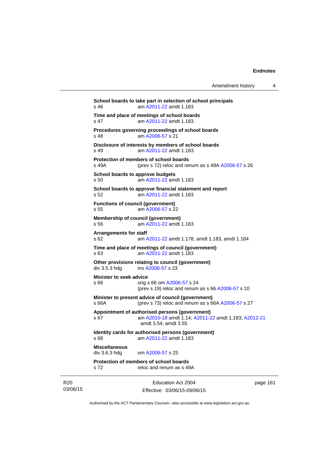| Amendment history |  |
|-------------------|--|
|-------------------|--|

Education Act 2004 **School boards to take part in selection of school principals**  s 46 am [A2011-22](http://www.legislation.act.gov.au/a/2011-22) amdt 1.183 **Time and place of meetings of school boards**  s 47 am [A2011-22](http://www.legislation.act.gov.au/a/2011-22) amdt 1.183 **Procedures governing proceedings of school boards**  s 48 am [A2006-57](http://www.legislation.act.gov.au/a/2006-57) s 21 **Disclosure of interests by members of school boards**  s 49 am [A2011-22](http://www.legislation.act.gov.au/a/2011-22) amdt 1.183 **Protection of members of school boards**  s 49A (prev s 72) reloc and renum as s 49A [A2006-57](http://www.legislation.act.gov.au/a/2006-57) s 26 **School boards to approve budgets**  s 50 am [A2011-22](http://www.legislation.act.gov.au/a/2011-22) amdt 1.183 **School boards to approve financial statement and report**  s 52 am [A2011-22](http://www.legislation.act.gov.au/a/2011-22) amdt 1.183 **Functions of council (government)**  s 55 am [A2006-57](http://www.legislation.act.gov.au/a/2006-57) s 22 **Membership of council (government)**  s 56 am [A2011-22](http://www.legislation.act.gov.au/a/2011-22) amdt 1.183 **Arrangements for staff**  s 62 am [A2011-22](http://www.legislation.act.gov.au/a/2011-22) amdt 1.178, amdt 1.183, amdt 1.184 **Time and place of meetings of council (government)**  s 63 am [A2011-22](http://www.legislation.act.gov.au/a/2011-22) amdt 1.183 **Other provisions relating to council (government)**  div 3.5.3 hdg ins [A2006-57](http://www.legislation.act.gov.au/a/2006-57) s 23 **Minister to seek advice**  s 66 orig s 66 om [A2006-57](http://www.legislation.act.gov.au/a/2006-57) s 24 (prev s 19) reloc and renum as s 66 [A2006-57](http://www.legislation.act.gov.au/a/2006-57) s 10 **Minister to present advice of council (government)**  s 66A (prev s 73) reloc and renum as s 66A [A2006-57](http://www.legislation.act.gov.au/a/2006-57) s 27 **Appointment of authorised persons (government)**  s 67 am [A2010-18](http://www.legislation.act.gov.au/a/2010-18) amdt 1.14; [A2011-22](http://www.legislation.act.gov.au/a/2011-22) amdt 1.183; [A2012-21](http://www.legislation.act.gov.au/a/2012-21) amdt 3.54, amdt 3.55 **Identity cards for authorised persons (government)**  s 68 am [A2011-22](http://www.legislation.act.gov.au/a/2011-22) amdt 1.183 **Miscellaneous**  div 3.6.3 hdg om [A2006-57](http://www.legislation.act.gov.au/a/2006-57) s 25 **Protection of members of school boards**  s 72 reloc and renum as s 49A

03/06/15

R20

Effective: 03/06/15-09/06/15

page 161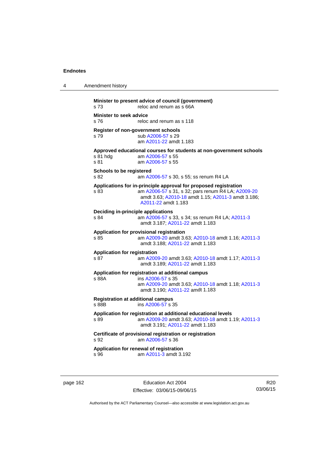| 4 | Amendment history                                                                                                                                                                                           |
|---|-------------------------------------------------------------------------------------------------------------------------------------------------------------------------------------------------------------|
|   | Minister to present advice of council (government)<br>s 73<br>reloc and renum as s 66A                                                                                                                      |
|   | <b>Minister to seek advice</b><br>reloc and renum as s 118<br>s 76                                                                                                                                          |
|   | Register of non-government schools<br>sub A2006-57 s 29<br>s 79<br>am A2011-22 amdt 1.183                                                                                                                   |
|   | Approved educational courses for students at non-government schools<br>s 81 hdg<br>am A2006-57 s 55<br>s 81<br>am A2006-57 s 55                                                                             |
|   | Schools to be registered<br>s 82<br>am A2006-57 s 30, s 55; ss renum R4 LA                                                                                                                                  |
|   | Applications for in-principle approval for proposed registration<br>am A2006-57 s 31, s 32; pars renum R4 LA; A2009-20<br>s 83<br>amdt 3.63; A2010-18 amdt 1.15; A2011-3 amdt 3.186;<br>A2011-22 amdt 1.183 |
|   | Deciding in-principle applications<br>am A2006-57 s 33, s 34; ss renum R4 LA; A2011-3<br>s 84<br>amdt 3.187; A2011-22 amdt 1.183                                                                            |
|   | Application for provisional registration<br>am A2009-20 amdt 3.63; A2010-18 amdt 1.16; A2011-3<br>s 85<br>amdt 3.188: A2011-22 amdt 1.183                                                                   |
|   | <b>Application for registration</b><br>s 87<br>am A2009-20 amdt 3.63; A2010-18 amdt 1.17; A2011-3<br>amdt 3.189; A2011-22 amdt 1.183                                                                        |
|   | Application for registration at additional campus<br>s 88A<br>ins A2006-57 s 35<br>am A2009-20 amdt 3.63; A2010-18 amdt 1.18; A2011-3<br>amdt 3.190; A2011-22 amdt 1.183                                    |
|   | <b>Registration at additional campus</b><br>s 88B<br>ins A2006-57 s 35                                                                                                                                      |
|   | Application for registration at additional educational levels<br>am A2009-20 amdt 3.63; A2010-18 amdt 1.19; A2011-3<br>s 89<br>amdt 3.191; A2011-22 amdt 1.183                                              |
|   | Certificate of provisional registration or registration<br>s 92<br>am A2006-57 s 36                                                                                                                         |
|   | Application for renewal of registration<br>am A2011-3 amdt 3.192<br>s 96                                                                                                                                    |

page 162 **Education Act 2004** Effective: 03/06/15-09/06/15

R20 03/06/15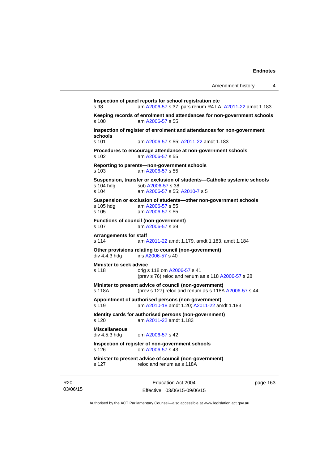page 163

```
Inspection of panel reports for school registration etc 
s 98 am A2006-57 s 37; pars renum R4 LA; A2011-22 amdt 1.183 
Keeping records of enrolment and attendances for non-government schools <br>s 100 am A2006-57 s 55
                 A2006-57 s 55
Inspection of register of enrolment and attendances for non-government 
schools 
s 101 am A2006-57 s 55; A2011-22 amdt 1.183 
Procedures to encourage attendance at non-government schools 
s 102 am A2006-57 s 55 
Reporting to parents—non-government schools 
s 103 am A2006-57 s 55 
Suspension, transfer or exclusion of students—Catholic systemic schools 
                A2006-57 s 38
s 104 am A2006-57 s 55; A2010-7 s 5 
Suspension or exclusion of students—other non-government schools 
                 A2006-57 s 55
s 105 am A2006-57 s 55 
Functions of council (non-government) 
s 107 am A2006-57 s 39 
Arrangements for staff 
s 114 am A2011-22 amdt 1.179, amdt 1.183, amdt 1.184 
Other provisions relating to council (non-government) 
A2006-57 s 40
Minister to seek advice 
s 118 orig s 118 om A2006-57 s 41 
                (prev s 76) reloc and renum as s 118 A2006-57 s 28 
Minister to present advice of council (non-government) 
s 118A (prev s 127) reloc and renum as s 118A A2006-57 s 44 
Appointment of authorised persons (non-government) 
s 119 am A2010-18 amdt 1.20; A2011-22 amdt 1.183 
Identity cards for authorised persons (non-government) 
s 120 am A2011-22 amdt 1.183
Miscellaneous 
div 4.5.3 hdg om A2006-57 s 42 
Inspection of register of non-government schools 
s 126 om A2006-57 s 43 
Minister to present advice of council (non-government) 
s 127 reloc and renum as s 118A
```
Authorised by the ACT Parliamentary Counsel—also accessible at www.legislation.act.gov.au

Education Act 2004 Effective: 03/06/15-09/06/15

R20 03/06/15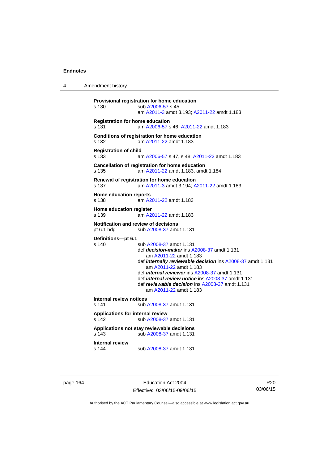4 Amendment history

```
Provisional registration for home education 
s 130 sub A2006-57 s 45 
                  am A2011-3 amdt 3.193; A2011-22 amdt 1.183 
Registration for home education 
s 131 am A2006-57 s 46; A2011-22 amdt 1.183 
Conditions of registration for home education 
s 132 am A2011-22 amdt 1.183
Registration of child 
s 133 am A2006-57 s 47, s 48; A2011-22 amdt 1.183 
Cancellation of registration for home education 
s 135 am A2011-22 amdt 1.183, amdt 1.184 
Renewal of registration for home education 
s 137 am A2011-3 amdt 3.194; A2011-22 amdt 1.183 
Home education reports 
s 138 am A2011-22 amdt 1.183
Home education register 
s 139 am A2011-22 amdt 1.183
Notification and review of decisions 
pt 6.1 hdg sub A2008-37 amdt 1.131 
Definitions—pt 6.1 
                 A2008-37 amdt 1.131
                  def decision-maker ins A2008-37 amdt 1.131 
                     am A2011-22 amdt 1.183
                  def internally reviewable decision ins A2008-37 amdt 1.131 
                     am A2011-22 amdt 1.183
                  def internal reviewer ins A2008-37 amdt 1.131 
                  def internal review notice ins A2008-37 amdt 1.131 
                  def reviewable decision ins A2008-37 amdt 1.131 
                     am A2011-22 amdt 1.183
Internal review notices 
                A2008-37 amdt 1.131
Applications for internal review 
s 142 sub A2008-37 amdt 1.131 
Applications not stay reviewable decisions 
s 143 sub A2008-37 amdt 1.131 
Internal review 
s 144 sub A2008-37 amdt 1.131
```
page 164 Education Act 2004 Effective: 03/06/15-09/06/15

R20 03/06/15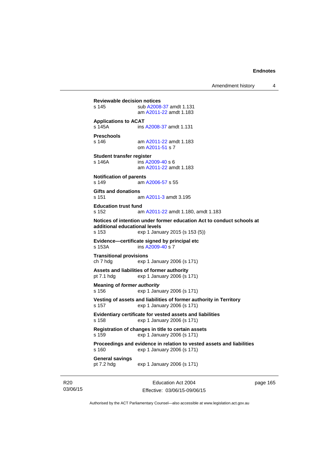Amendment history 4

**Reviewable decision notices**  s 145 sub [A2008-37](http://www.legislation.act.gov.au/a/2008-37) amdt 1.131 am [A2011-22](http://www.legislation.act.gov.au/a/2011-22) amdt 1.183 **Applications to ACAT**  s 145A ins [A2008-37](http://www.legislation.act.gov.au/a/2008-37) amdt 1.131 **Preschools**  s 146 am [A2011-22](http://www.legislation.act.gov.au/a/2011-22) amdt 1.183 om [A2011-51](http://www.legislation.act.gov.au/a/2011-51) s 7 **Student transfer register**  s 146A ins [A2009-40](http://www.legislation.act.gov.au/a/2009-40) s 6 am [A2011-22](http://www.legislation.act.gov.au/a/2011-22) amdt 1.183 **Notification of parents**  s 149 am [A2006-57](http://www.legislation.act.gov.au/a/2006-57) s 55 **Gifts and donations**  s 151 am [A2011-3](http://www.legislation.act.gov.au/a/2011-3) amdt 3.195 **Education trust fund**  s 152 am [A2011-22](http://www.legislation.act.gov.au/a/2011-22) amdt 1.180, amdt 1.183 **Notices of intention under former education Act to conduct schools at additional educational levels**  exp 1 January 2015 (s 153 (5)) **Evidence—certificate signed by principal etc**  s 153A ins [A2009-40](http://www.legislation.act.gov.au/a/2009-40) s 7 **Transitional provisions**  ch 7 hdg exp 1 January 2006 (s 171) **Assets and liabilities of former authority**  pt 7.1 hdg exp 1 January 2006 (s 171) **Meaning of** *former authority* s 156 exp 1 January 2006 (s 171) **Vesting of assets and liabilities of former authority in Territory**  s 157 exp 1 January 2006 (s 171) **Evidentiary certificate for vested assets and liabilities**  s 158 exp 1 January 2006 (s 171) **Registration of changes in title to certain assets**  s 159 exp 1 January 2006 (s 171) **Proceedings and evidence in relation to vested assets and liabilities**  s 160 exp 1 January 2006 (s 171) **General savings**  exp 1 January 2006 (s 171)

R20 03/06/15

Education Act 2004 Effective: 03/06/15-09/06/15 page 165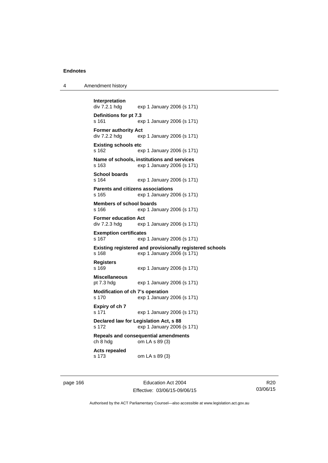| 4 | Amendment history |
|---|-------------------|
|---|-------------------|

```
Interpretation 
                exp 1 January 2006 (s 171)
Definitions for pt 7.3 
s 161 exp 1 January 2006 (s 171) 
Former authority Act 
div 7.2.2 hdg exp 1 January 2006 (s 171) 
Existing schools etc 
s 162 exp 1 January 2006 (s 171) 
Name of schools, institutions and services 
s 163 exp 1 January 2006 (s 171) 
School boards 
s 164 exp 1 January 2006 (s 171) 
Parents and citizens associations 
s 165 exp 1 January 2006 (s 171) 
Members of school boards 
s 166 exp 1 January 2006 (s 171) 
Former education Act 
div 7.2.3 hdg exp 1 January 2006 (s 171) 
Exemption certificates 
s 167 exp 1 January 2006 (s 171) 
Existing registered and provisionally registered schools 
s 168 exp 1 January 2006 (s 171) 
Registers 
s 169 exp 1 January 2006 (s 171) 
Miscellaneous 
pt 7.3 hdg exp 1 January 2006 (s 171) 
Modification of ch 7's operation 
s 170 exp 1 January 2006 (s 171) 
Expiry of ch 7 
s 171 exp 1 January 2006 (s 171) 
Declared law for Legislation Act, s 88 
s 172 exp 1 January 2006 (s 171) 
Repeals and consequential amendments 
ch 8 hdg om LA s 89 (3) 
Acts repealed 
s 173 om LA s 89 (3)
```
page 166 Education Act 2004 Effective: 03/06/15-09/06/15

R20 03/06/15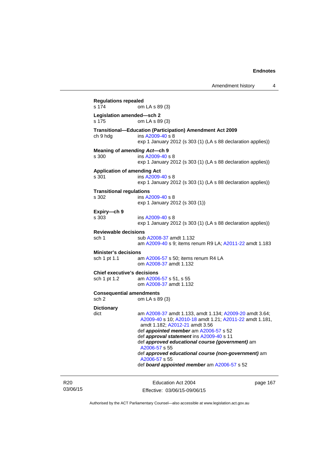Amendment history 4

**Regulations repealed**  om LA s 89 (3) **Legislation amended—sch 2**  om LA s 89 (3) **Transitional—Education (Participation) Amendment Act 2009**  ch 9 hdg ins [A2009-40](http://www.legislation.act.gov.au/a/2009-40) s 8 exp 1 January 2012 (s 303 (1) (LA s 88 declaration applies)) **Meaning of** *amending Act***—ch 9**  s 300 ins [A2009-40](http://www.legislation.act.gov.au/a/2009-40) s 8 exp 1 January 2012 (s 303 (1) (LA s 88 declaration applies)) **Application of amending Act**  s 301 ins [A2009-40](http://www.legislation.act.gov.au/a/2009-40) s 8 exp 1 January 2012 (s 303 (1) (LA s 88 declaration applies)) **Transitional regulations**  s 302 ins [A2009-40](http://www.legislation.act.gov.au/a/2009-40) s 8 exp 1 January 2012 (s 303 (1)) **Expiry—ch 9**  s 303 ins [A2009-40](http://www.legislation.act.gov.au/a/2009-40) s 8 exp 1 January 2012 (s 303 (1) (LA s 88 declaration applies)) **Reviewable decisions**  sub [A2008-37](http://www.legislation.act.gov.au/a/2008-37) amdt 1.132 am [A2009-40](http://www.legislation.act.gov.au/a/2009-40) s 9; items renum R9 LA; [A2011-22](http://www.legislation.act.gov.au/a/2011-22) amdt 1.183 **Minister's decisions**  sch 1 pt 1.1 am [A2006-57](http://www.legislation.act.gov.au/a/2006-57) s 50; items renum R4 LA om [A2008-37](http://www.legislation.act.gov.au/a/2008-37) amdt 1.132 **Chief executive's decisions**  sch 1 pt 1.2 am [A2006-57](http://www.legislation.act.gov.au/a/2006-57) s 51, s 55 om [A2008-37](http://www.legislation.act.gov.au/a/2008-37) amdt 1.132 **Consequential amendments**  sch 2 om LA s 89 (3) **Dictionary**  dict am [A2008-37](http://www.legislation.act.gov.au/a/2008-37) amdt 1.133, amdt 1.134; [A2009-20](http://www.legislation.act.gov.au/a/2009-20) amdt 3.64; [A2009-40](http://www.legislation.act.gov.au/a/2009-40) s 10; [A2010-18](http://www.legislation.act.gov.au/a/2010-18) amdt 1.21; [A2011-22](http://www.legislation.act.gov.au/a/2011-22) amdt 1.181, amdt 1.182; [A2012-21](http://www.legislation.act.gov.au/a/2012-21) amdt 3.56 def *appointed member* am [A2006-57](http://www.legislation.act.gov.au/a/2006-57) s 52 def *approval statement* ins [A2009-40](http://www.legislation.act.gov.au/a/2009-40) s 11 def *approved educational course (government)* am [A2006-57](http://www.legislation.act.gov.au/a/2006-57) s 55 def *approved educational course (non-government)* am [A2006-57](http://www.legislation.act.gov.au/a/2006-57) s 55 def *board appointed member* am [A2006-57](http://www.legislation.act.gov.au/a/2006-57) s 52

R20 03/06/15

Education Act 2004 Effective: 03/06/15-09/06/15 page 167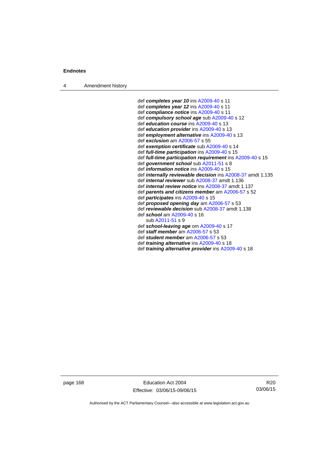4 Amendment history

 def *completes year 10* ins [A2009-40](http://www.legislation.act.gov.au/a/2009-40) s 11 def *completes year 12* ins [A2009-40](http://www.legislation.act.gov.au/a/2009-40) s 11 def *compliance notice* ins [A2009-40](http://www.legislation.act.gov.au/a/2009-40) s 11 def *compulsory school age* sub [A2009-40](http://www.legislation.act.gov.au/a/2009-40) s 12 def *education course* ins [A2009-40](http://www.legislation.act.gov.au/a/2009-40) s 13 def *education provider* ins [A2009-40](http://www.legislation.act.gov.au/a/2009-40) s 13 def *employment alternative* ins [A2009-40](http://www.legislation.act.gov.au/a/2009-40) s 13 def *exclusion* am [A2006-57](http://www.legislation.act.gov.au/a/2006-57) s 55 def *exemption certificate* sub [A2009-40](http://www.legislation.act.gov.au/a/2009-40) s 14 def *full-time participation* ins [A2009-40](http://www.legislation.act.gov.au/a/2009-40) s 15 def *full-time participation requirement* ins [A2009-40](http://www.legislation.act.gov.au/a/2009-40) s 15 def *government school* sub [A2011-51](http://www.legislation.act.gov.au/a/2011-51) s 8 def *information notice* ins [A2009-40](http://www.legislation.act.gov.au/a/2009-40) s 15 def *internally reviewable decision* ins [A2008-37](http://www.legislation.act.gov.au/a/2008-37) amdt 1.135 def *internal reviewer* sub [A2008-37](http://www.legislation.act.gov.au/a/2008-37) amdt 1.136 def *internal review notice* ins [A2008-37](http://www.legislation.act.gov.au/a/2008-37) amdt 1.137 def *parents and citizens member* am [A2006-57](http://www.legislation.act.gov.au/a/2006-57) s 52 def *participates* ins [A2009-40](http://www.legislation.act.gov.au/a/2009-40) s 15 def *proposed opening day* am [A2006-57](http://www.legislation.act.gov.au/a/2006-57) s 53 def *reviewable decision* sub [A2008-37](http://www.legislation.act.gov.au/a/2008-37) amdt 1.138 def *school* am [A2009-40](http://www.legislation.act.gov.au/a/2009-40) s 16 sub [A2011-51](http://www.legislation.act.gov.au/a/2011-51) s 9 def *school-leaving age* om [A2009-40](http://www.legislation.act.gov.au/a/2009-40) s 17 def *staff member* am [A2006-57](http://www.legislation.act.gov.au/a/2006-57) s 53 def *student member* am [A2006-57](http://www.legislation.act.gov.au/a/2006-57) s 53 def *training alternative* ins [A2009-40](http://www.legislation.act.gov.au/a/2009-40) s 18 def *training alternative provider* ins [A2009-40](http://www.legislation.act.gov.au/a/2009-40) s 18

page 168 Education Act 2004 Effective: 03/06/15-09/06/15

R20 03/06/15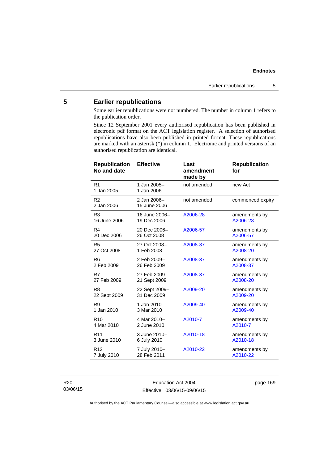#### **Endnotes**

# **5 Earlier republications**

Some earlier republications were not numbered. The number in column 1 refers to the publication order.

Since 12 September 2001 every authorised republication has been published in electronic pdf format on the ACT legislation register. A selection of authorised republications have also been published in printed format. These republications are marked with an asterisk (\*) in column 1. Electronic and printed versions of an authorised republication are identical.

| <b>Republication</b><br>No and date | <b>Effective</b>            | Last<br>amendment<br>made by | <b>Republication</b><br>for |
|-------------------------------------|-----------------------------|------------------------------|-----------------------------|
| R <sub>1</sub><br>1 Jan 2005        | 1 Jan 2005-<br>1 Jan 2006   | not amended                  | new Act                     |
| R <sub>2</sub><br>2 Jan 2006        | 2 Jan 2006-<br>15 June 2006 | not amended                  | commenced expiry            |
| R <sub>3</sub>                      | 16 June 2006-               | A2006-28                     | amendments by               |
| 16 June 2006                        | 19 Dec 2006                 |                              | A2006-28                    |
| R <sub>4</sub>                      | 20 Dec 2006-                | A2006-57                     | amendments by               |
| 20 Dec 2006                         | 26 Oct 2008                 |                              | A2006-57                    |
| R <sub>5</sub>                      | 27 Oct 2008-                | A2008-37                     | amendments by               |
| 27 Oct 2008                         | 1 Feb 2008                  |                              | A2008-20                    |
| R <sub>6</sub>                      | 2 Feb 2009-                 | A2008-37                     | amendments by               |
| 2 Feb 2009                          | 26 Feb 2009                 |                              | A2008-37                    |
| R7                                  | 27 Feb 2009-                | A2008-37                     | amendments by               |
| 27 Feb 2009                         | 21 Sept 2009                |                              | A2008-20                    |
| R <sub>8</sub>                      | 22 Sept 2009-               | A2009-20                     | amendments by               |
| 22 Sept 2009                        | 31 Dec 2009                 |                              | A2009-20                    |
| R <sub>9</sub>                      | 1 Jan 2010-                 | A2009-40                     | amendments by               |
| 1 Jan 2010                          | 3 Mar 2010                  |                              | A2009-40                    |
| R <sub>10</sub>                     | 4 Mar 2010-                 | A2010-7                      | amendments by               |
| 4 Mar 2010                          | 2 June 2010                 |                              | A2010-7                     |
| R <sub>11</sub>                     | 3 June 2010-                | A2010-18                     | amendments by               |
| 3 June 2010                         | 6 July 2010                 |                              | A2010-18                    |
| R <sub>12</sub>                     | 7 July 2010-                | A2010-22                     | amendments by               |
| 7 July 2010                         | 28 Feb 2011                 |                              | A2010-22                    |

R20 03/06/15

Education Act 2004 Effective: 03/06/15-09/06/15 page 169

Authorised by the ACT Parliamentary Counsel—also accessible at www.legislation.act.gov.au